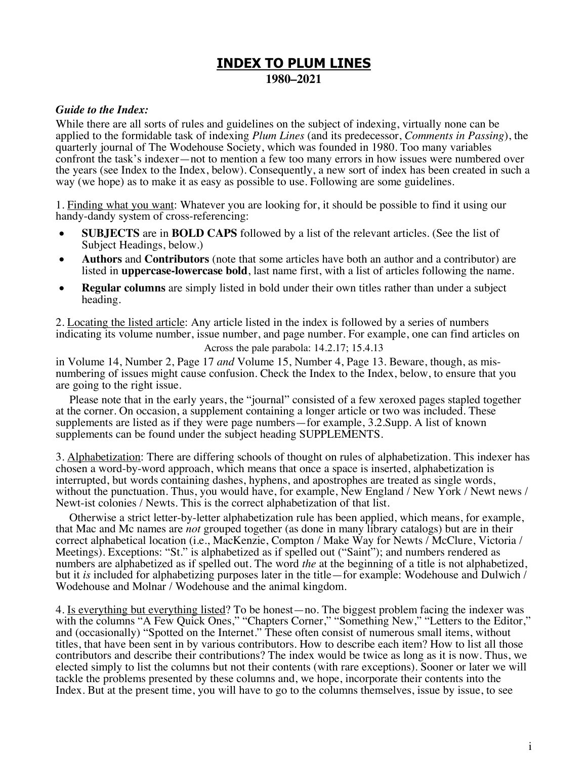# **INDEX TO PLUM LINES 1980–2021**

### *Guide to the Index:*

While there are all sorts of rules and guidelines on the subject of indexing, virtually none can be applied to the formidable task of indexing *Plum Lines* (and its predecessor, *Comments in Passing*), the quarterly journal of The Wodehouse Society, which was founded in 1980. Too many variables confront the task's indexer—not to mention a few too many errors in how issues were numbered over the years (see Index to the Index, below). Consequently, a new sort of index has been created in such a way (we hope) as to make it as easy as possible to use. Following are some guidelines.

1. Finding what you want: Whatever you are looking for, it should be possible to find it using our handy-dandy system of cross-referencing:

- **SUBJECTS** are in **BOLD CAPS** followed by a list of the relevant articles. (See the list of Subject Headings, below.)
- **Authors** and **Contributors** (note that some articles have both an author and a contributor) are listed in **uppercase-lowercase bold**, last name first, with a list of articles following the name.
- **Regular columns** are simply listed in bold under their own titles rather than under a subject heading.

2. Locating the listed article: Any article listed in the index is followed by a series of numbers indicating its volume number, issue number, and page number. For example, one can find articles on

Across the pale parabola: 14.2.17; 15.4.13

in Volume 14, Number 2, Page 17 *and* Volume 15, Number 4, Page 13. Beware, though, as mis- numbering of issues might cause confusion. Check the Index to the Index, below, to ensure that you are going to the right issue.

Please note that in the early years, the "journal" consisted of a few xeroxed pages stapled together at the corner. On occasion, a supplement containing a longer article or two was included. These supplements are listed as if they were page numbers—for example, 3.2.Supp. A list of known supplements can be found under the subject heading SUPPLEMENTS.

3. Alphabetization: There are differing schools of thought on rules of alphabetization. This indexer has chosen a word-by-word approach, which means that once a space is inserted, alphabetization is interrupted, but words containing dashes, hyphens, and apostrophes are treated as single words, without the punctuation. Thus, you would have, for example, New England / New York / Newt news / Newt-ist colonies / Newts. This is the correct alphabetization of that list.

Otherwise a strict letter-by-letter alphabetization rule has been applied, which means, for example, that Mac and Mc names are *not* grouped together (as done in many library catalogs) but are in their correct alphabetical location (i.e., MacKenzie, Compton / Make Way for Newts / McClure, Victoria / Meetings). Exceptions: "St." is alphabetized as if spelled out ("Saint"); and numbers rendered as numbers are alphabetized as if spelled out. The word *the* at the beginning of a title is not alphabetized, but it *is* included for alphabetizing purposes later in the title—for example: Wodehouse and Dulwich / Wodehouse and Molnar / Wodehouse and the animal kingdom.

4. Is everything but everything listed? To be honest—no. The biggest problem facing the indexer was with the columns "A Few Quick Ones," "Chapters Corner," "Something New," "Letters to the Editor," and (occasionally) "Spotted on the Internet." These often consist of numerous small items, without titles, that have been sent in by various contributors. How to describe each item? How to list all those contributors and describe their contributions? The index would be twice as long as it is now. Thus, we elected simply to list the columns but not their contents (with rare exceptions). Sooner or later we will tackle the problems presented by these columns and, we hope, incorporate their contents into the Index. But at the present time, you will have to go to the columns themselves, issue by issue, to see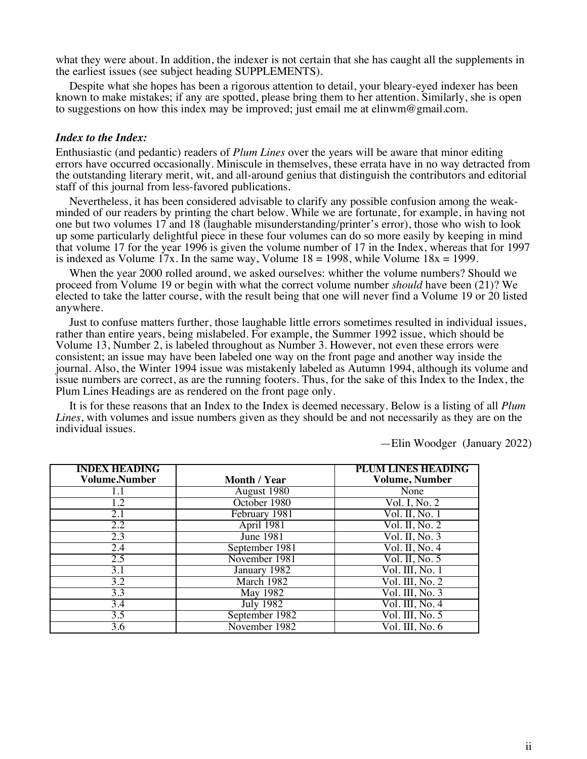what they were about. In addition, the indexer is not certain that she has caught all the supplements in the earliest issues (see subject heading SUPPLEMENTS).

Despite what she hopes has been a rigorous attention to detail, your bleary-eyed indexer has been known to make mistakes; if any are spotted, please bring them to her attention. Similarly, she is open to suggestions on how this index may be improved; just email me at elinwm@gmail.com.

#### *Index to the Index:*

Enthusiastic (and pedantic) readers of *Plum Lines* over the years will be aware that minor editing errors have occurred occasionally. Miniscule in themselves, these errata have in no way detracted from the outstanding literary merit, wit, and all-around genius that distinguish the contributors and editorial staff of this journal from less-favored publications.

Nevertheless, it has been considered advisable to clarify any possible confusion among the weakminded of our readers by printing the chart below. While we are fortunate, for example, in having not one but two volumes 17 and 18 (laughable misunderstanding/printer's error), those who wish to look up some particularly delightful piece in these four volumes can do so more easily by keeping in mind that volume 17 for the year 1996 is given the volume number of 17 in the Index, whereas that for 1997 is indexed as Volume 17x. In the same way, Volume  $18 = 1998$ , while Volume  $18x = 1999$ .

When the year 2000 rolled around, we asked ourselves: whither the volume numbers? Should we proceed from Volume 19 or begin with what the correct volume number *should* have been (21)? We elected to take the latter course, with the result being that one will never find a Volume 19 or 20 listed anywhere.

Just to confuse matters further, those laughable little errors sometimes resulted in individual issues, rather than entire years, being mislabeled. For example, the Summer 1992 issue, which should be Volume 13, Number 2, is labeled throughout as Number 3. However, not even these errors were consistent; an issue may have been labeled one way on the front page and another way inside the journal. Also, the Winter 1994 issue was mistakenly labeled as Autumn 1994, although its volume and issue numbers are correct, as are the running footers. Thus, for the sake of this Index to the Index, the Plum Lines Headings are as rendered on the front page only.

It is for these reasons that an Index to the Index is deemed necessary. Below is a listing of all *Plum Lines*, with volumes and issue numbers given as they should be and not necessarily as they are on the individual issues.

—Elin Woodger (January 2022)

| <b>INDEX HEADING</b> |                  | <b>PLUM LINES HEADING</b>                             |
|----------------------|------------------|-------------------------------------------------------|
| Volume.Number        | Month / Year     | <b>Volume, Number</b>                                 |
| 1.1                  | August 1980      | None                                                  |
| 1.2                  | October 1980     | Vol. I, No. 2                                         |
| 2.1                  | February 1981    | Vol. II, No. 1                                        |
| 2.2                  | April 1981       | Vol. II, No. 2                                        |
| 2.3                  | <b>June 1981</b> | Vol. II, No. 3                                        |
| 2.4                  | September 1981   | $\overline{\text{Vol. II}}$ , No. 4                   |
| 2.5                  | November 1981    | Vol. II, No. $5$                                      |
| 3.1                  | January 1982     | Vol. III, No. 1                                       |
| $\overline{3.2}$     | March 1982       | $\overline{Vol. III, No. 2}$                          |
| 3.3                  | May 1982         | Vol. III, No. 3                                       |
| 3.4                  | July $1982$      | Vol. III, No. 4                                       |
| 3.5                  | September 1982   | $\overline{\text{Vol. III}}, \overline{\text{No. 5}}$ |
| 3.6                  | November 1982    | Vol. III, No. 6                                       |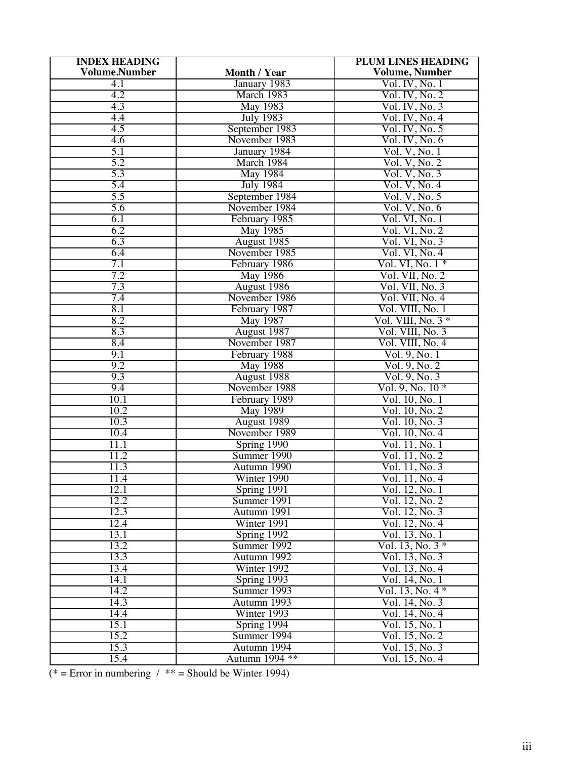| <b>INDEX HEADING</b> |                            | <b>PLUM LINES HEADING</b>            |
|----------------------|----------------------------|--------------------------------------|
| <b>Volume.Number</b> | Month / Year               | <b>Volume, Number</b>                |
| $\overline{4.1}$     | January 1983               | Vol. IV, No. 1                       |
| 4.2                  | March 1983                 | Vol. IV, No. 2                       |
| 4.3                  | <b>May 1983</b>            | Vol. IV, No. 3                       |
| 4.4                  | <b>July 1983</b>           | Vol. IV, No. 4                       |
| 4.5                  | September 1983             | Vol. IV, No. 5                       |
| $\overline{4.6}$     | November 1983              | Vol. IV, No. 6                       |
| 5.1                  | January 1984               | Vol. V, No. 1                        |
| 5.2                  | March 1984                 | Vol. V, No. 2                        |
| 5.3                  | <b>May 1984</b>            | Vol. V, No. 3                        |
| 5.4                  | <b>July 1984</b>           | Vol. V, No. 4                        |
| 5.5                  | September 1984             | Vol. V, No. 5                        |
| 5.6                  | November 1984              | Vol. V, No. 6                        |
| 6.1                  | February 1985              | Vol. VI, No. 1                       |
| 6.2                  | May 1985                   | Vol. VI, No. 2                       |
| 6.3                  | August 1985                | Vol. VI, No. 3                       |
| 6.4                  | November 1985              | Vol. VI, No. 4                       |
| 7.1                  | February 1986              | Vol. VI, No. $1*$                    |
| 7.2                  | <b>May 1986</b>            | Vol. VII, No. 2                      |
| 7.3                  | August 1986                | Vol. VII, No. 3                      |
| 7.4                  | November 1986              | Vol. VII, No. 4                      |
| 8.1                  | February 1987              | Vol. VIII, No. 1                     |
| 8.2                  | <b>May 1987</b>            | Vol. VIII, No. $3*$                  |
| 8.3                  | August 1987                | Vol. VIII, No. 3                     |
| 8.4                  | November 1987              | Vol. VIII, No. 4                     |
| 9.1                  | February 1988              | Vol. 9, No. 1                        |
| 9.2                  | <b>May 1988</b>            | Vol. 9, No. 2                        |
| 9.3                  | August 1988                | Vol. 9, No. 3                        |
| 9.4                  | November 1988              | $Vol. 9, No. 10*$                    |
| 10.1                 | February 1989              | Vol. 10, No. 1                       |
| 10.2                 | <b>May 1989</b>            | Vol. 10, No. 2                       |
| 10.3                 | August 1989                | Vol. 10, No. 3                       |
| 10.4                 | November 1989              | Vol. 10, No. 4                       |
| 11.1                 | Spring 1990                | Vol. 11, No. 1                       |
| 11.2<br>11.3         | Summer 1990                | Vol. 11, No. 2                       |
|                      | Autumn 1990                | Vol. 11, No. 3                       |
| 11.4                 | Winter 1990                | Vol. 11, No. 4                       |
| 12.1<br>12.2         | Spring 1991                | Vol. 12, No. 1                       |
|                      | Summer 1991                | Vol. 12, No. 2                       |
| 12.3                 | Autumn 1991                | Vol. 12, No. 3                       |
| 12.4<br>13.1         | Winter 1991                | Vol. 12, No. 4<br>Vol. 13, No. 1     |
|                      | Spring 1992                |                                      |
| 13.2<br>13.3         | Summer 1992                | Vol. 13, No. $3 *$<br>Vol. 13, No. 3 |
|                      | Autumn 1992                |                                      |
| 13.4<br>14.1         | Winter 1992<br>Spring 1993 | Vol. 13, No. 4<br>Vol. 14, No. 1     |
| 14.2                 | Summer 1993                | Vol. 13, No. 4 *                     |
| 14.3                 | Autumn 1993                | Vol. 14, No. 3                       |
| 14.4                 | Winter 1993                | Vol. 14, No. 4                       |
| 15.1                 | Spring 1994                | Vol. 15, No. 1                       |
| 15.2                 | Summer 1994                | Vol. 15, No. 2                       |
| 15.3                 | Autumn 1994                | Vol. 15, No. 3                       |
| 15.4                 | Autumn 1994 **             | Vol. 15, No. 4                       |
|                      |                            |                                      |

(\* = Error in numbering / \*\* = Should be Winter 1994)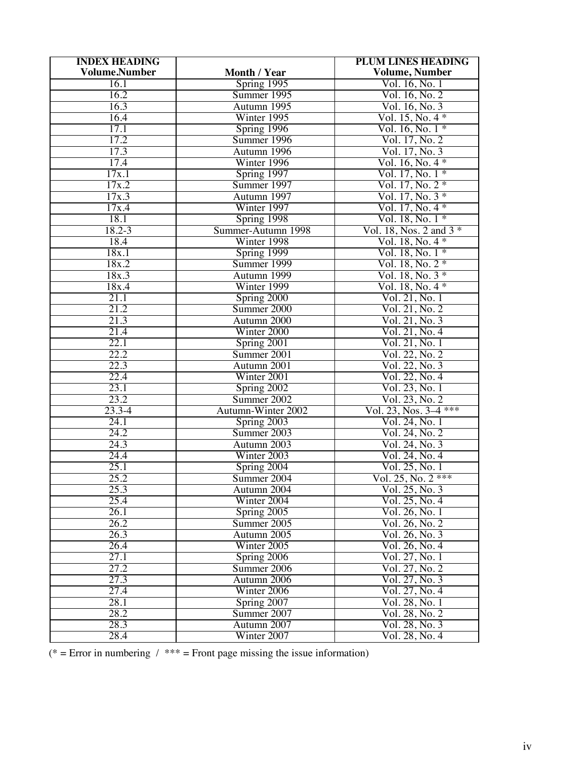| <b>INDEX HEADING</b> |                    | <b>PLUM LINES HEADING</b> |
|----------------------|--------------------|---------------------------|
| <b>Volume.Number</b> | Month / Year       | <b>Volume, Number</b>     |
| 16.1                 | $Spring$ 1995      | Vol. 16, No. 1            |
| 16.2                 | Summer 1995        | Vol. 16, No. 2            |
| 16.3                 | Autumn 1995        | Vol. 16, No. 3            |
| 16.4                 | Winter 1995        | Vol. 15, No. $4 *$        |
| 17.1                 | Spring 1996        | Vol. 16, No. 1 *          |
| 17.2                 | Summer 1996        | Vol. 17, No. 2            |
| 17.3                 | Autumn 1996        | Vol. 17, No. 3            |
| 17.4                 | Winter 1996        | Vol. 16, No. $4 *$        |
| 17x.1                | Spring 1997        | Vol. $17$ , No. $1 *$     |
| 17x.2                | Summer 1997        | $Vol. 17, No. 2*$         |
| 17x.3                | Autumn 1997        | Vol. $17$ , No. $3 *$     |
| 17x.4                | Winter 1997        | Vol. $17$ , No. $4 *$     |
| 18.1                 | Spring 1998        | Vol. 18, No. 1 *          |
| $18.2 - 3$           | Summer-Autumn 1998 | Vol. 18, Nos. 2 and $3*$  |
| 18.4                 | Winter 1998        | Vol. $18$ , No. $4 *$     |
| 18x.1                | Spring 1999        | Vol. 18, No. $1 *$        |
| 18x.2                | Summer 1999        | Vol. 18, No. $2 *$        |
| 18x.3                | Autumn 1999        | Vol. 18, No. $3 *$        |
| 18x.4                | Winter 1999        | Vol. $18, No. 4*$         |
| 21.1                 | Spring 2000        | Vol. 21, No. 1            |
| 21.2                 | Summer 2000        | Vol. 21, No. 2            |
| 21.3                 | Autumn 2000        | Vol. 21, No. 3            |
| 21.4                 | Winter 2000        | Vol. 21, No. 4            |
| 22.1                 | Spring 2001        | Vol. 21, No. 1            |
| 22.2                 | Summer 2001        | Vol. 22, No. 2            |
| 22.3                 | Autumn 2001        | Vol. 22, No. 3            |
| 22.4                 | Winter 2001        | Vol. 22, No. 4            |
| 23.1                 | Spring 2002        | Vol. 23, No. 1            |
| 23.2                 | Summer 2002        | Vol. 23, No. 2            |
| $23.3 - 4$           | Autumn-Winter 2002 | Vol. 23, Nos. 3–4 ***     |
| 24.1                 | Spring 2003        | Vol. 24, No. 1            |
| 24.2                 | Summer 2003        | Vol. 24, No. 2            |
| 24.3                 | Autumn 2003        | Vol. 24, No. 3            |
| 24.4                 | Winter 2003        | Vol. 24, No. 4            |
| 25.1                 | Spring 2004        | Vol. 25, No. 1            |
| 25.2                 | Summer 2004        | Vol. 25, No. 2 ***        |
| 25.3                 | Autumn 2004        | Vol. 25, No. 3            |
| 25.4                 | Winter 2004        | Vol. 25, No. 4            |
| 26.1                 | Spring 2005        | Vol. 26, No. 1            |
| 26.2                 | Summer 2005        | Vol. 26, No. 2            |
| 26.3                 | Autumn 2005        | Vol. 26, No. 3            |
| 26.4                 | Winter 2005        | Vol. 26, No. 4            |
| 27.1                 | Spring 2006        | Vol. 27, No. 1            |
| 27.2                 | Summer 2006        | Vol. 27, No. 2            |
| 27.3                 | Autumn 2006        | Vol. 27, No. 3            |
| 27.4                 | Winter 2006        | Vol. 27, No. 4            |
| 28.1                 | Spring 2007        | Vol. 28, No. 1            |
| 28.2                 | Summer 2007        | Vol. 28, No. 2            |
| 28.3                 | Autumn 2007        | Vol. 28, No. 3            |
| 28.4                 | Winter 2007        | Vol. 28, No. 4            |

(\* = Error in numbering  $/$  \*\*\* = Front page missing the issue information)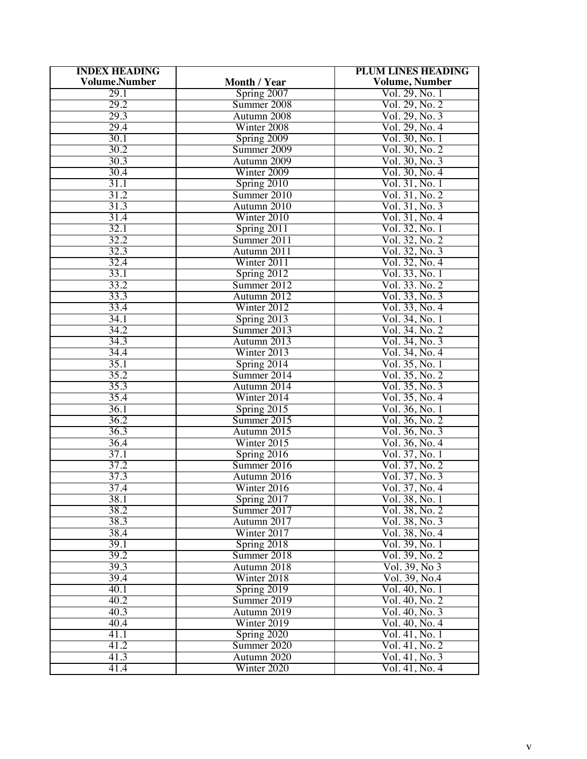| <b>INDEX HEADING</b> |                         | <b>PLUM LINES HEADING</b> |
|----------------------|-------------------------|---------------------------|
| <b>Volume.Number</b> | Month / Year            | <b>Volume, Number</b>     |
| 29.1                 | Spring 2007             | Vol. 29, No. 1            |
| 29.2                 | Summer 2008             | Vol. 29, No. 2            |
| 29.3                 | Autumn 2008             | Vol. 29, No. 3            |
| 29.4                 | Winter 2008             | Vol. 29, No. 4            |
| 30.1                 | Spring 2009             | Vol. 30, No. 1            |
| 30.2                 | Summer 2009             | Vol. 30, No. 2            |
| 30.3                 | Autumn 2009             | Vol. 30, No. 3            |
| 30.4                 | Winter 2009             | Vol. 30, No. 4            |
| 31.1                 | S <sub>pring</sub> 2010 | Vol. 31, No. 1            |
| 31.2                 | Summer 2010             | Vol. 31, No. 2            |
| 31.3                 | Autumn 2010             | Vol. 31, No. 3            |
| 31.4                 | Winter 2010             | Vol. 31, No. 4            |
| 32.1                 | Spring 2011             | Vol. 32, No. 1            |
| 32.2                 | Summer 2011             | Vol. 32, No. 2            |
| 32.3                 | Autumn 2011             | Vol. 32, No. 3            |
| 32.4                 | Winter 2011             | Vol. 32, No. 4            |
| 33.1                 | Spring 2012             | Vol. 33, No. 1            |
| 33.2                 | Summer 2012             | Vol. 33. No. 2            |
| 33.3                 | Autumn 2012             | Vol. 33, No. 3            |
| 33.4                 | Winter 2012             | Vol. 33, No. 4            |
| 34.1                 | Spring 2013             | Vol. 34, No. 1            |
| 34.2                 | Summer 2013             | Vol. 34. No. 2            |
| 34.3                 | Autumn 2013             | Vol. 34, No. 3            |
| 34.4                 | Winter 2013             | Vol. 34, No. 4            |
| 35.1                 | Spring 2014             | Vol. 35, No. 1            |
| 35.2                 | Summer 2014             | Vol. 35, No. 2            |
| 35.3                 | Autumn 2014             | Vol. 35, No. 3            |
| 35.4                 | Winter 2014             | Vol. 35, No. 4            |
| 36.1                 | Spring 2015             | Vol. 36, No. 1            |
| 36.2                 | Summer 2015             | Vol. 36, No. 2            |
| 36.3                 | Autumn 2015             | Vol. 36, No. 3            |
| 36.4                 | Winter 2015             | Vol. 36, No. 4            |
| 37.1                 | Spring 2016             | Vol. 37, No. 1            |
| 37.2                 | Summer 2016             | Vol. 37, No. 2            |
| 37.3                 | Autumn 2016             | Vol. 37, No. 3            |
| 37.4                 | Winter 2016             | Vol. 37, No. 4            |
| 38.1                 | Spring 2017             | Vol. 38, No. 1            |
| 38.2                 | Summer 2017             | Vol. 38, No. 2            |
| 38.3                 | Autumn 2017             | Vol. 38, No. 3            |
| 38.4                 | Winter 2017             | Vol. 38, No. 4            |
| 39.1                 | Spring 2018             | Vol. 39, No. 1            |
| 39.2                 | Summer 2018             | Vol. 39, No. 2            |
| 39.3                 | Autumn 2018             | Vol. 39, No 3             |
| 39.4                 | Winter 2018             | Vol. 39, No.4             |
| 40.1                 | Spring 2019             | Vol. 40, No. 1            |
| 40.2                 | Summer 2019             | Vol. 40, No. 2            |
| 40.3                 | Autumn 2019             | Vol. 40, No. 3            |
| 40.4                 | Winter 2019             | Vol. 40, No. 4            |
| 41.1                 | Spring 2020             | Vol. 41, No. 1            |
| 41.2                 | Summer 2020             | Vol. 41, No. 2            |
| 41.3                 | Autumn 2020             | Vol. 41, No. 3            |
| 41.4                 | Winter 2020             | Vol. 41, No. 4            |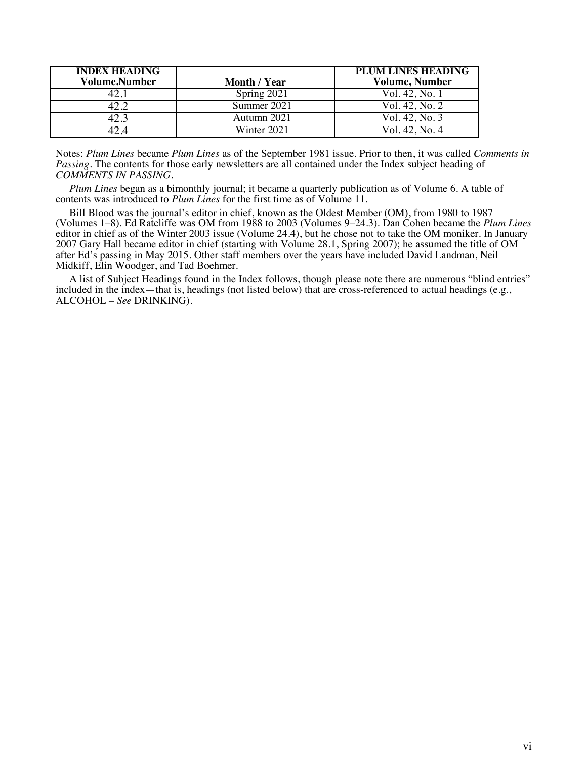| <b>INDEX HEADING</b><br><b>Volume.Number</b> | Month / Year | <b>PLUM LINES HEADING</b><br><b>Volume, Number</b> |
|----------------------------------------------|--------------|----------------------------------------------------|
|                                              | Spring 2021  | Vol. 42, No. 1                                     |
|                                              | Summer 2021  | Vol. 42, No. 2                                     |
|                                              | Autumn 2021  | Vol. 42, No. 3                                     |
|                                              | Winter 2021  | Vol. 42. No. 4                                     |

Notes: *Plum Lines* became *Plum Lines* as of the September 1981 issue. Prior to then, it was called *Comments in Passing*. The contents for those early newsletters are all contained under the Index subject heading of *COMMENTS IN PASSING*.

*Plum Lines* began as a bimonthly journal; it became a quarterly publication as of Volume 6. A table of contents was introduced to *Plum Lines* for the first time as of Volume 11.

Bill Blood was the journal's editor in chief, known as the Oldest Member (OM), from 1980 to 1987 (Volumes 1–8). Ed Ratcliffe was OM from 1988 to 2003 (Volumes 9–24.3). Dan Cohen became the *Plum Lines* editor in chief as of the Winter 2003 issue (Volume 24.4), but he chose not to take the OM moniker. In January 2007 Gary Hall became editor in chief (starting with Volume 28.1, Spring 2007); he assumed the title of OM after Ed's passing in May 2015. Other staff members over the years have included David Landman, Neil Midkiff, Elin Woodger, and Tad Boehmer.

A list of Subject Headings found in the Index follows, though please note there are numerous "blind entries" included in the index—that is, headings (not listed below) that are cross-referenced to actual headings (e.g., ALCOHOL – *See* DRINKING).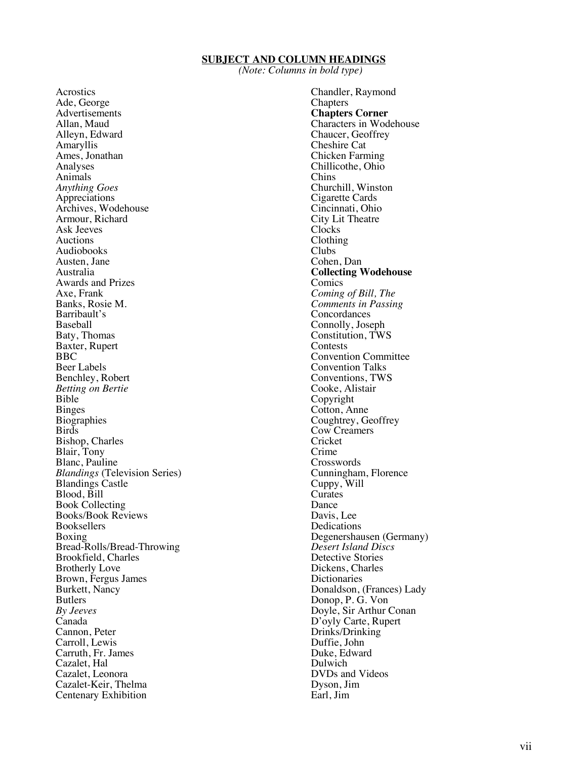#### **SUBJECT AND COLUMN HEADINGS**

*(Note: Columns in bold type)*

Acrostics Ade, George Advertisements Allan, Maud Alleyn, Edward Amaryllis Ames, Jonathan Analyses Animals *Anything Goes*  Appreciations Archives, Wodehouse Armour, Richard Ask Jeeves Auctions Audiobooks Austen, Jane Australia Awards and Prizes Axe, Frank Banks, Rosie M. Barribault's Baty, Thomas Baxter, Rupert BBC Beer Labels Benchley, Robert *Betting on Bertie* Bible Binges **Biographies** Birds Bishop, Charles Blair, Tony Blanc, Pauline *Blandings* (Television Series) Blandings Castle Blood, Bill Book Collecting Books/Book Reviews Bookseller s Boxing Bread -Rolls/Bread -Throwing Brookfield, Charles Brotherly Love Brown, Fergus James Burkett, Nancy Butlers *By Jeeves* Canada Cannon, Peter Carroll, Lewis Carruth, Fr. James Cazalet, Hal Cazalet, Leonora Cazalet -Keir, Thelma Centenary Exhibition

Chandler, Raymond Chapters **Chapters Corner** Characters in Wodehouse Chaucer, Geoffrey Cheshire Cat Chicken Farming Chillicothe, Ohio Chins Churchill, Winston Cigarette Cards Cincinnati, Ohio City Lit Theatre Clocks Clothing Clubs Cohen, Dan **Collecting Wodehouse** Comics *Coming of Bill, The Comments in Passing* **Concordances** Connolly, Joseph Constitution, TWS Contests Convention Committee Convention Talks Conventions, TWS Cooke, Alistair Copyright Cotton, Anne Coughtrey, Geoffrey Cow Creamers Cricket Crime Crosswords Cunningham, Florence Cuppy, Will **Curates** Dance Davis, Lee Dedications Degenershausen (Germany) *Desert Island Discs* Detective Stories Dickens, Charles **Dictionaries** Donaldson, (Frances) Lady Donop, P. G. Von Doyle, Sir Arthur Conan D'oyly Carte, Rupert Drinks/Drinking Duffie, John Duke, Edward Dulwich DVDs and Videos Dyson, Jim Earl, Jim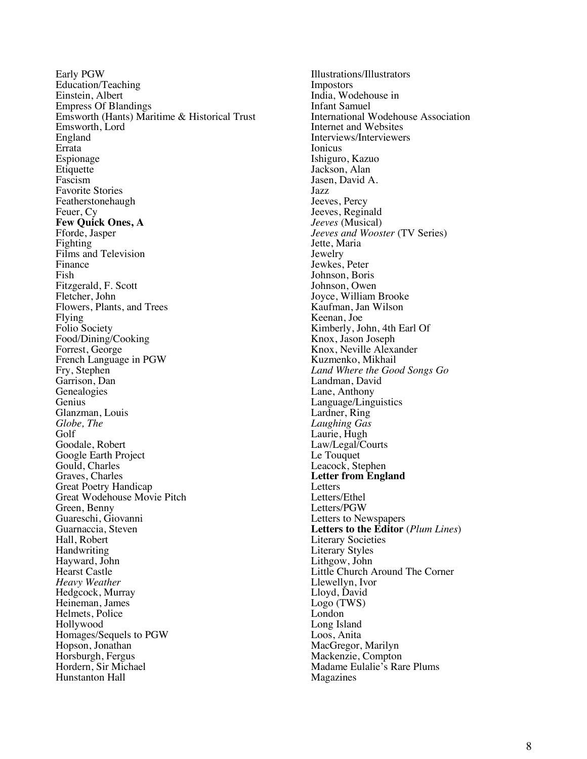Early PGW Education/Teaching Einstein, Albert Empress Of Blandings Emsworth (Hants) Maritime & Historical Trust Emsworth, Lord England Errata Espionage Etiquette Fascism Favorite Stories Featherstonehaugh Feuer, Cy **Few Quick Ones, A** Fforde, Jasper Fighting Films and Television Finance Fish Fitzgerald, F. Scott Fletcher, John Flowers , Plants , and Trees Flying Folio Society Food/Dining/Cooking Forrest, George French Language in PGW Fry, Stephen Garrison, Dan Genealogies Genius Glanzman, Louis *Globe, The* Golf Goodale, Robert Google Earth Project Gould, Charles Graves, Charles Great Poetry Handicap Great Wodehouse Movie Pitch Green, Benny Guareschi, Giovanni Guarnaccia, Steven Hall, Robert Handwriting Hayward, John Hearst Castle *Heavy Weather* Hedgcock, Murray Heineman, James Helmets, Police Hollywood Homages/Sequels to PGW Hopson, Jonathan Horsburgh, Fergus Hordern, Sir Michael Hunstanton Hall

Illustrations/Illustrators Impostors India, Wodehouse in Infant Samuel International Wodehouse Association Internet and Websites Interviews/Interviewers Ionicus Ishiguro, Kazuo Jackson, Alan Jasen, David A. Jazz Jeeves, Percy Jeeves, Reginald *Jeeves* (Musical) *Jeeves and Wooster* (TV Series) Jette, Maria Jewelry Jewkes, Peter Johnson, Boris Johnson, Owen Joyce, William Brooke Kaufman, Jan Wilson Keenan, Joe Kimberly, John, 4th Earl Of Knox, Jason Joseph Knox, Neville Alexander Kuzmenko, Mikhail *Land Where the Good Songs Go* Landman, David Lane, Anthony Language/Linguistics Lardner, Ring<br>Laughing Gas Laurie, Hugh Law/Legal/Courts Le Touquet Leacock, Stephen **Letter from England** Letters Letters/Ethel Letters/PGW Letters to Newspapers **Letters to the Editor** (*Plum Lines* ) Literary Societies Literary Styles Lithgow, John Little Church Around The Corner Llewellyn, Ivor Lloyd, Davi d Logo (TWS) London Long Island Loos, Anita MacGregor, Marilyn Mackenzie, Compton Madame Eulalie's Rare Plums Magazines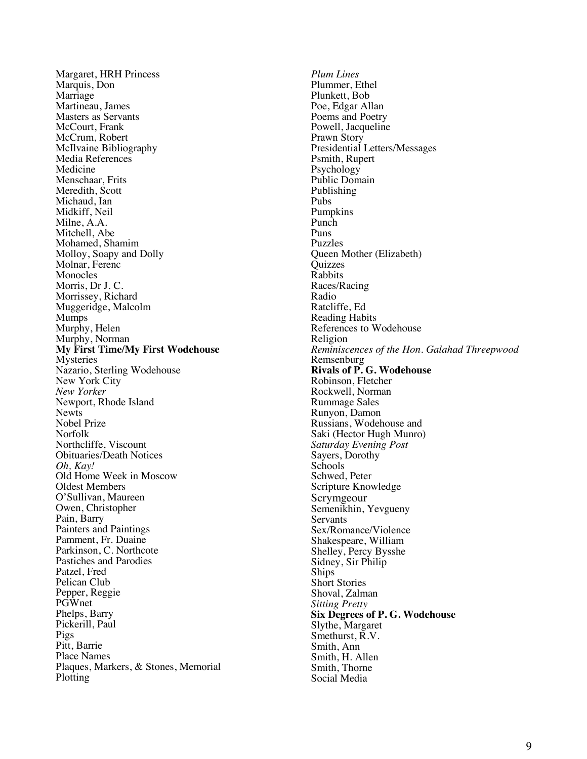Margaret, HRH Princess Marquis, Don Marriage Martineau, James Masters as Servants McCourt, Frank McCrum, Robert McIlvaine Bibliography Media References Medicine Menschaar, Frits Meredith, Scott Michaud, Ian Midkiff, Neil Milne, A.A. Mitchell, Abe Mohamed, Shamim Molloy, Soapy and Dolly Molnar, Ferenc Monocles Morris, Dr J. C. Morrissey, Richard Muggeridge, Malcolm Mumps Murphy, Helen Murphy, Norman **My First Time/My First Wodehouse** Mysteries Nazario, Sterling Wodehouse New York City *New Yorker* Newport, Rhode Island **Newt<sub>s</sub>** Nobel Prize Norfolk Northcliffe, Viscount Obituaries/Death Notices *Oh, Kay!* Old Home Week in Moscow Oldest Members O'Sullivan, Maureen Owen, Christopher Pain, Barry Painters and Paintings Pamment, Fr. Duaine Parkinson, C. Northcote Pastiches and Parodies Patzel, Fred Pelican Club Pepper, Reggie PGWnet Phelps, Barry Pickerill, Paul Pigs Pitt, Barrie Place Names Plaques, Marker s , & Stones, Memorial Plotting

*Plum Lines* Plummer, Ethel Plunkett, Bob Poe, Edgar Allan Poems and Poetry Powell, Jacqueline Prawn Story Presidential Letters/Messages Psmith, Rupert Psychology Public Domain Publishing Pubs Pumpkins Punch Puns Puzzles Queen Mother (Elizabeth) **Quizzes** Rabbits Races/Racing Radio Ratcliffe, Ed Reading Habits References to Wodehouse Religion *Reminiscences of the Hon. Galahad Threepwood* Remsenburg **Rivals of P. G. Wodehouse** Robinson, Fletcher Rockwell, Norman Rummage Sales Runyon, Damon Russians, Wodehouse and Saki (Hector Hugh Munro) *Saturday Evening Post* Sayers, Dorothy School s Schwed, Peter Scripture Knowledge Scrymgeour Semenikhin, Yevgueny **Servants** Sex/Romance/Violence Shakespeare, William Shelley, Percy Bysshe Sidney, Sir Philip **Ships** Short Stories Shoval, Zalman *Sitting Pretty* **Six Degrees of P. G. Wodehouse**  Slythe, Margaret Smethurst, R.V. Smith, Ann Smith, H. Allen Smith, Thorne Social Media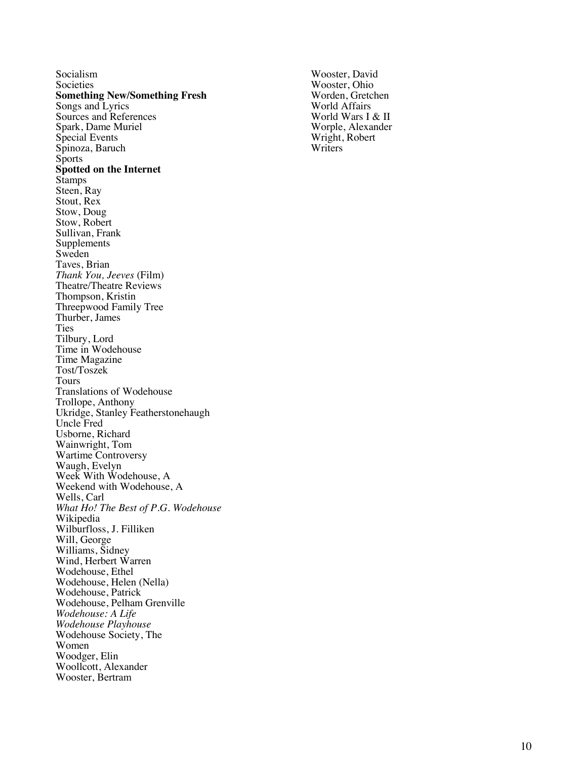Socialism Societies **Something New/S omething Fresh** Songs and Lyrics Sources and References Spark, Dame Muriel Special Events Spinoza, Baruch **Sports Spotted on the Internet** Stamps Steen, Ray Stout, Rex Stow, Doug Stow, Robert Sullivan, Frank Supplements Sweden Taves, Brian *Thank You, Jeeves* (Film) Theatre/Theatre Reviews Thompson, Kristin Threepwood Family Tree Thurber, James Ties Tilbury, Lord Time in Wodehouse Time Magazine Tost/Toszek Tours Translations of Wodehouse Trollope, Anthony Ukridge, Stanley Featherstonehaugh Uncle Fred Usborne, Richard Wainwright, Tom Wartime Controversy Waugh, Evelyn Week With Wodehouse, A Weekend with Wodehouse, A Wells, Carl *What Ho! The Best of P.G. Wodehouse* Wikipedia Wilburfloss, J. Fill iken Will, George Williams, Sidney Wind, Herbert Warren Wodehouse, Ethel Wodehouse, Helen (Nella) Wodehouse, Patrick Wodehouse, Pelham Grenville *Wodehouse: A Life Wodehouse Playhouse* Wodehouse Society, The Women Woodger, Elin Woollcott, Alexander Wooster, Bertram

Wooster, David Wooster, Ohio Worden, Gretchen World Affairs World Wars I & II Worple, Alexander Wright, Robert **Writers**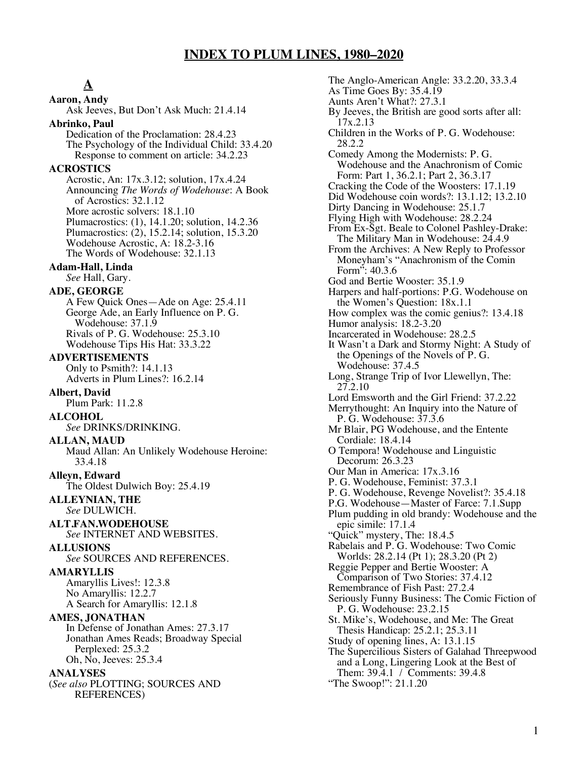## **INDEX TO PLUM LINES, 1980–2020**

# **A**

**Aaron, Andy** Ask Jeeves, But Don't Ask Much: 21.4.14 **Abrinko, Paul** Dedication of the Proclamation: 28.4.23 The Psychology of the Individual Child: 33.4.20 Response to comment on article: 34.2.23 **ACROSTICS** Acrostic, An: 17x.3.12; solution, 17x.4.24 Announcing *The Words of Wodehouse*: A Book of Acrostics: 32.1.12 More acrostic solvers: 18.1.10 Plumacrostics: (1), 14.1.20; solution, 14.2.36 Plumacrostics: (2), 15.2.14; solution, 15.3.20 Wodehouse Acrostic, A: 18.2-3.16 The Words of Wodehouse: 32.1.13 **Adam-Hall, Linda** *See* Hall, Gary. **ADE, GEORGE** A Few Quick Ones—Ade on Age: 25.4.11 George Ade, an Early Influence on P. G. Wodehouse: 37.1.9 Rivals of P. G. Wodehouse: 25.3.10 Wodehouse Tips His Hat: 33.3.22 **ADVERTISEMENTS** Only to Psmith?: 14.1.13 Adverts in Plum Lines?: 16.2.14 **Albert, David** Plum Park: 11.2.8 **ALCOHOL** *See* DRINKS/DRINKING. **ALLAN, MAUD** Maud Allan: An Unlikely Wodehouse Heroine: 33.4.18 **Alleyn, Edward** The Oldest Dulwich Boy: 25.4.19 **ALLEYNIAN, THE** *See* DULWICH. **ALT.FAN.WODEHOUSE** *See* INTERNET AND WEBSITES. **ALLUSIONS** *See* SOURCES AND REFERENCES. **AMARYLLIS** Amaryllis Lives!: 12.3.8 No Amaryllis: 12.2.7 A Search for Amaryllis: 12.1.8 **AMES, JONATHAN** In Defense of Jonathan Ames: 27.3.17 Jonathan Ames Reads; Broadway Special Perplexed: 25.3.2 Oh, No, Jeeves: 25.3.4

#### **ANALYSES**

(*See also* PLOTTING; SOURCES AND REFERENCES)

The Anglo-American Angle: 33.2.20, 33.3.4 As Time Goes By: 35.4.19 Aunts Aren't What?: 27.3.1 By Jeeves, the British are good sorts after all: 17x.2.13 Children in the Works of P. G. Wodehouse: 28.2.2 Comedy Among the Modernists: P. G. Wodehouse and the Anachronism of Comic Form: Part 1, 36.2.1; Part 2, 36.3.17 Cracking the Code of the Woosters: 17.1.19 Did Wodehouse coin words?: 13.1.12; 13.2.10 Dirty Dancing in Wodehouse: 25.1.7 Flying High with Wodehouse: 28.2.24 From Ex-Sgt. Beale to Colonel Pashley-Drake: The Military Man in Wodehouse: 24.4.9 From the Archives: A New Reply to Professor Moneyham's "Anachronism of the Comin Form": 40.3.6 God and Bertie Wooster: 35.1.9 Harpers and half-portions: P.G. Wodehouse on the Women's Question: 18x.1.1 How complex was the comic genius?: 13.4.18 Humor analysis: 18.2-3.20 Incarcerated in Wodehouse: 28.2.5 It Wasn't a Dark and Stormy Night: A Study of the Openings of the Novels of P. G. Wodehouse: 37.4.5 Long, Strange Trip of Ivor Llewellyn, The: 27.2.10 Lord Emsworth and the Girl Friend: 37.2.22 Merrythought: An Inquiry into the Nature of P. G. Wodehouse: 37.3.6 Mr Blair, PG Wodehouse, and the Entente Cordiale: 18.4.14 O Tempora! Wodehouse and Linguistic Decorum: 26.3.23 Our Man in America: 17x.3.16 P. G. Wodehouse, Feminist: 37.3.1 P. G. Wodehouse, Revenge Novelist?: 35.4.18 P.G. Wodehouse—Master of Farce: 7.1.Supp Plum pudding in old brandy: Wodehouse and the epic simile: 17.1.4 "Quick" mystery, The: 18.4.5 Rabelais and P. G. Wodehouse: Two Comic Worlds: 28.2.14 (Pt 1); 28.3.20 (Pt 2) Reggie Pepper and Bertie Wooster: A Comparison of Two Stories: 37.4.12 Remembrance of Fish Past: 27.2.4 Seriously Funny Business: The Comic Fiction of P. G. Wodehouse: 23.2.15 St. Mike's, Wodehouse, and Me: The Great Thesis Handicap: 25.2.1; 25.3.11 Study of opening lines, A: 13.1.15 The Supercilious Sisters of Galahad Threepwood and a Long, Lingering Look at the Best of Them: 39.4.1 / Comments: 39.4.8 "The Swoop!": 21.1.20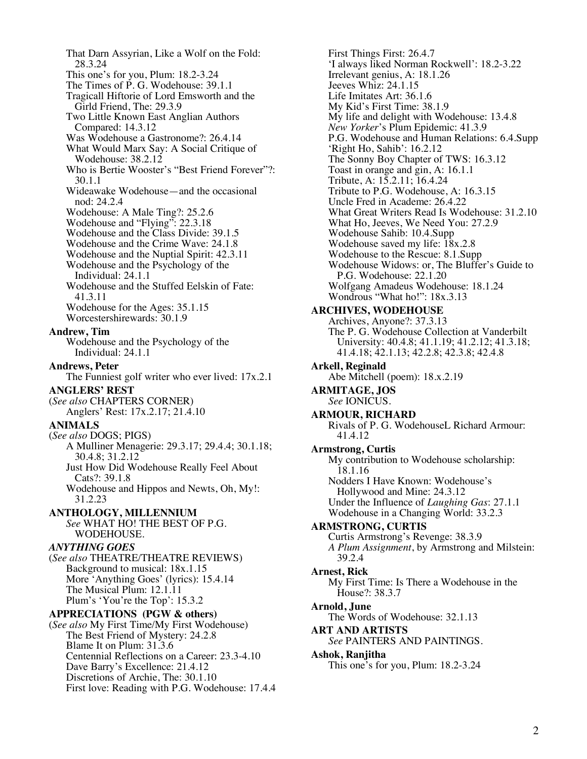That Darn Assyrian, Like a Wolf on the Fold: 28.3.24 This one's for you, Plum: 18.2-3.24 The Times of P. G. Wodehouse: 39.1.1 Tragicall Hiftorie of Lord Emsworth and the Girld Friend, The: 29.3.9 Two Little Known East Anglian Authors Compared: 14.3.12 Was Wodehouse a Gastronome?: 26.4.14 What Would Marx Say: A Social Critique of Wodehouse: 38.2.12 Who is Bertie Wooster's "Best Friend Forever"?: 30.1.1 Wideawake Wodehouse—and the occasional nod: 24.2.4 Wodehouse: A Male Ting?: 25.2.6 Wodehouse and "Flying": 22.3.18 Wodehouse and the Class Divide: 39.1.5 Wodehouse and the Crime Wave: 24.1.8 Wodehouse and the Nuptial Spirit: 42.3.11 Wodehouse and the Psychology of the Individual: 24.1.1 Wodehouse and the Stuffed Eelskin of Fate: 41.3.11 Wodehouse for the Ages: 35.1.15 Worcestershirewards: 30.1.9 **Andrew, Tim** Wodehouse and the Psychology of the Individual: 24.1.1 **Andrews, Peter** The Funniest golf writer who ever lived: 17x.2.1 **ANGLERS' REST** (*See also* CHAPTERS CORNER) Anglers' Rest: 17x.2.17; 21.4.10 **ANIMALS**  (*See also* DOGS; PIGS) A Mulliner Menagerie: 29.3.17; 29.4.4; 30.1.18; 30.4.8; 31.2.12 Just How Did Wodehouse Really Feel About Cats?: 39.1.8 Wodehouse and Hippos and Newts, Oh, My!: 31.2.23 **ANTHOLOGY, MILLENNIUM** *See* WHAT HO! THE BEST OF P.G. WODEHOUSE. *ANYTHING GOES* (*See also* THEATRE/THEATRE REVIEWS) Background to musical: 18x.1.15 More 'Anything Goes' (lyrics): 15.4.14 The Musical Plum: 12.1.11 Plum's 'You're the Top': 15.3.2 **APPRECIATIONS (PGW & others)** (*See also* My First Time/My First Wodehouse) The Best Friend of Mystery: 24.2.8 Blame It on Plum: 31.3.6 Centennial Reflections on a Career: 23.3-4.10 Dave Barry's Excellence: 21.4.12 Discretions of Archie, The: 30.1.10 First love: Reading with P.G. Wodehouse: 17.4.4

First Things First: 26.4.7 'I always liked Norman Rockwell': 18.2-3.22 Irrelevant genius, A: 18.1.26 Jeeves Whiz: 24.1.15 Life Imitates Art: 36.1.6 My Kid's First Time: 38.1.9 My life and delight with Wodehouse: 13.4.8 *New Yorker*'s Plum Epidemic: 41.3.9 P.G. Wodehouse and Human Relations: 6.4.Supp 'Right Ho, Sahib': 16.2.12 The Sonny Boy Chapter of TWS: 16.3.12 Toast in orange and gin, A: 16.1.1 Tribute, A: 15.2.11; 16.4.24 Tribute to P.G. Wodehouse, A: 16.3.15 Uncle Fred in Academe: 26.4.22 What Great Writers Read Is Wodehouse: 31.2.10 What Ho, Jeeves, We Need You: 27.2.9 Wodehouse Sahib: 10.4.Supp Wodehouse saved my life:  $18x.2.8$ Wodehouse to the Rescue: 8.1.Supp Wodehouse Widows: or, The Bluffer's Guide to P.G. Wodehouse: 22.1.20 Wolfgang Amadeus Wodehouse: 18.1.24 Wondrous "What ho!": 18x.3.13 **ARCHIVES, WODEHOUSE** Archives, Anyone?: 37.3.13 The P. G. Wodehouse Collection at Vanderbilt University: 40.4.8; 41.1.19; 41.2.12; 41.3.18; 41.4.18; 42.1.13; 42.2.8; 42.3.8; 42.4.8 **Arkell, Reginald** Abe Mitchell (poem): 18.x.2.19 **ARMITAGE, JOS** *See* IONICUS. **ARMOUR, RICHARD** Rivals of P. G. WodehouseL Richard Armour: 41.4.12 **Armstrong, Curtis** My contribution to Wodehouse scholarship: 18.1.16 Nodders I Have Known: Wodehouse's Hollywood and Mine: 24.3.12 Under the Influence of *Laughing Gas*: 27.1.1 Wodehouse in a Changing World: 33.2.3 **ARMSTRONG, CURTIS** Curtis Armstrong's Revenge: 38.3.9 *A Plum Assignment*, by Armstrong and Milstein: 39.2.4 **Arnest, Rick** My First Time: Is There a Wodehouse in the House?: 38.3.7 **Arnold, June** The Words of Wodehouse: 32.1.13 **ART AND ARTISTS** *See* PAINTERS AND PAINTINGS. **Ashok, Ranjitha** This one's for you, Plum: 18.2-3.24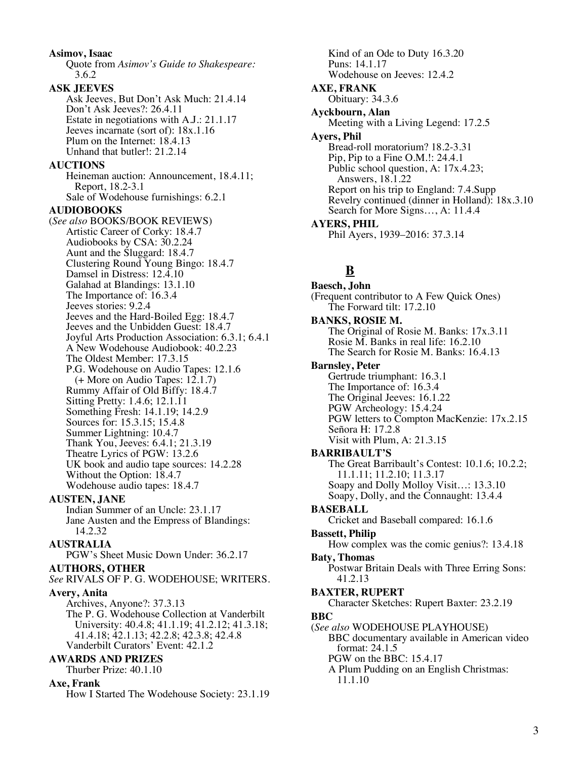**Asimov, Isaac** Quote from *Asimov's Guide to Shakespeare:* 3.6.2 **ASK JEEVES** Ask Jeeves, But Don't Ask Much: 21.4.14 Don't Ask Jeeves?: 26.4.11 Estate in negotiations with A.J.: 21.1.17 Jeeves incarnate (sort of): 18x.1.16 Plum on the Internet: 18.4.13 Unhand that butler!: 21.2.14 **AUCTIONS** Heineman auction: Announcement, 18.4.11; Report, 18.2-3.1 Sale of Wodehouse furnishings: 6.2.1 **AUDIOBOOKS** (*See also* BOOKS/BOOK REVIEWS) Artistic Career of Corky: 18.4.7 Audiobooks by CSA: 30.2.24 Aunt and the Sluggard: 18.4.7 Clustering Round Young Bingo: 18.4.7 Damsel in Distress: 12.4.10 Galahad at Blandings: 13.1.10 The Importance of: 16.3.4 Jeeves stories: 9.2.4 Jeeves and the Hard-Boiled Egg: 18.4.7 Jeeves and the Unbidden Guest: 18.4.7 Joyful Arts Production Association: 6.3.1; 6.4.1 A New Wodehouse Audiobook: 40.2.23 The Oldest Member: 17.3.15 P.G. Wodehouse on Audio Tapes: 12.1.6  $(+$  More on Audio Tapes: 12.1.7) Rummy Affair of Old Biffy: 18.4.7 Sitting Pretty: 1.4.6; 12.1.11 Something Fresh: 14.1.19; 14.2.9 Sources for: 15.3.15; 15.4.8 Summer Lightning: 10.4.7 Thank You, Jeeves: 6.4.1; 21.3.19 Theatre Lyrics of PGW: 13.2.6 UK book and audio tape sources: 14.2.28 Without the Option: 18.4.7 Wodehouse audio tapes: 18.4.7 **AUSTEN, JANE** Indian Summer of an Uncle: 23.1.17 Jane Austen and the Empress of Blandings: 14.2.32 **AUSTRALIA** PGW's Sheet Music Down Under: 36.2.17 **AUTHORS, OTHER** *See* RIVALS OF P. G. WODEHOUSE; WRITERS. **Avery, Anita** Archives, Anyone?: 37.3.13 The P. G. Wodehouse Collection at Vanderbilt University: 40.4.8; 41.1.19; 41.2.12; 41.3.18; 41.4.18; 42.1.13; 42.2.8; 42.3.8; 42.4.8 Vanderbilt Curators' Event: 42.1.2 **AWARDS AND PRIZES** Thurber Prize: 40.1.10 **Axe, Frank** How I Started The Wodehouse Society: 23.1.19

Kind of an Ode to Duty 16.3.20 Puns: 14.1.17 Wodehouse on Jeeves: 12.4.2 **AXE, FRANK** Obituary: 34.3.6 **Ayckbourn, Alan** Meeting with a Living Legend: 17.2.5 **Ayers, Phil** Bread-roll moratorium? 18.2-3.31 Pip, Pip to a Fine O.M.!: 24.4.1 Public school question, A: 17x.4.23; Answers, 18.1.22 Report on his trip to England: 7.4.Supp Revelry continued (dinner in Holland): 18x.3.10 Search for More Signs…, A: 11.4.4 **AYERS, PHIL** Phil Ayers, 1939–2016: 37.3.14

# **B**

**Baesch, John** (Frequent contributor to A Few Quick Ones) The Forward tilt: 17.2.10 **BANKS, ROSIE M.** The Original of Rosie M. Banks: 17x.3.11 Rosie M. Banks in real life: 16.2.10 The Search for Rosie M. Banks: 16.4.13 **Barnsley, Peter** Gertrude triumphant: 16.3.1 The Importance of: 16.3.4 The Original Jeeves: 16.1.22 PGW Archeology: 15.4.24 PGW letters to Compton MacKenzie: 17x.2.15 Señora H: 17.2.8 Visit with Plum, A: 21.3.15 **BARRIBAULT'S** The Great Barribault's Contest: 10.1.6; 10.2.2; 11.1.11; 11.2.10; 11.3.17 Soapy and Dolly Molloy Visit…: 13.3.10 Soapy, Dolly, and the Connaught: 13.4.4 **BASEBALL** Cricket and Baseball compared: 16.1.6 **Bassett, Philip** How complex was the comic genius?: 13.4.18 **Baty, Thomas** Postwar Britain Deals with Three Erring Sons: 41.2.13 **BAXTER, RUPERT** Character Sketches: Rupert Baxter: 23.2.19 **BBC** (*See also* WODEHOUSE PLAYHOUSE) BBC documentary available in American video format: 24.1.5 PGW on the BBC: 15.4.17 A Plum Pudding on an English Christmas: 11.1.10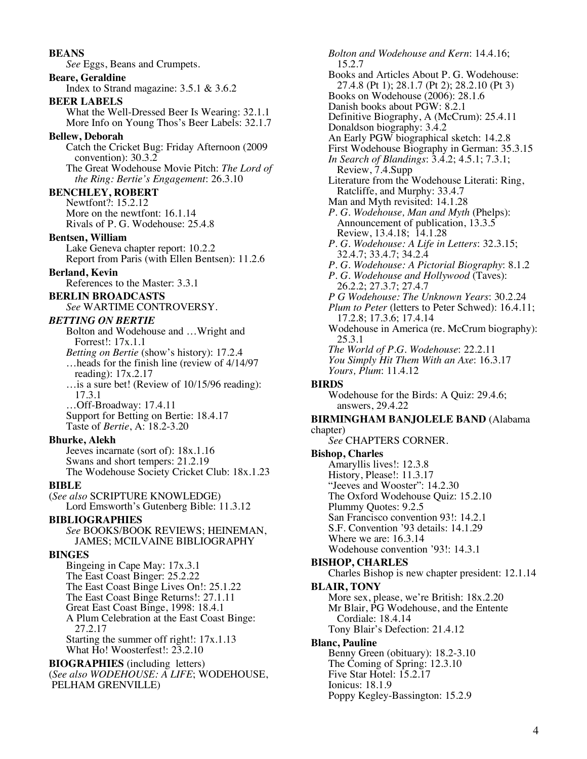**BEANS** *See* Eggs, Beans and Crumpets. **Beare, Geraldine** Index to Strand magazine: 3.5.1 & 3.6.2 **BEER LABELS** What the Well-Dressed Beer Is Wearing: 32.1.1 More Info on Young Thos's Beer Labels: 32.1.7 **Bellew, Deborah** Catch the Cricket Bug: Friday Afternoon (2009 convention): 30.3.2 The Great Wodehouse Movie Pitch: *The Lord of the Ring: Bertie's Engagement*: 26.3.10 **BENCHLEY, ROBERT** Newtfont?: 15.2.12 More on the newtfont: 16.1.14 Rivals of P. G. Wodehouse: 25.4.8 **Bentsen, William** Lake Geneva chapter report: 10.2.2 Report from Paris (with Ellen Bentsen): 11.2.6 **Berland, Kevin** References to the Master: 3.3.1 **BERLIN BROADCASTS** *See* WARTIME CONTROVERSY. *BETTING ON BERTIE* Bolton and Wodehouse and …Wright and Forrest!: 17x.1.1 *Betting on Bertie* (show's history): 17.2.4 …heads for the finish line (review of 4/14/97 reading): 17x.2.17 …is a sure bet! (Review of 10/15/96 reading): 17.3.1 …Off-Broadway: 17.4.11 Support for Betting on Bertie: 18.4.17 Taste of *Bertie*, A: 18.2-3.20 **Bhurke, Alekh** Jeeves incarnate (sort of): 18x.1.16 Swans and short tempers: 21.2.19 The Wodehouse Society Cricket Club: 18x.1.23 **BIBLE** (*See also* SCRIPTURE KNOWLEDGE) Lord Emsworth's Gutenberg Bible: 11.3.12 **BIBLIOGRAPHIES** *See* BOOKS/BOOK REVIEWS; HEINEMAN, JAMES; MCILVAINE BIBLIOGRAPHY **BINGES** Bingeing in Cape May: 17x.3.1 The East Coast Binger: 25.2.22 The East Coast Binge Lives On!: 25.1.22 The East Coast Binge Returns!: 27.1.11 Great East Coast Binge, 1998: 18.4.1 A Plum Celebration at the East Coast Binge: 27.2.17 Starting the summer off right!: 17x.1.13 What Ho! Woosterfest!: 23.2.10 **BIOGRAPHIES** (including letters) (*See also WODEHOUSE: A LIFE*; WODEHOUSE, PELHAM GRENVILLE)

*Bolton and Wodehouse and Kern*: 14.4.16; 15.2.7 Books and Articles About P. G. Wodehouse: 27.4.8 (Pt 1); 28.1.7 (Pt 2); 28.2.10 (Pt 3) Books on Wodehouse (2006): 28.1.6 Danish books about PGW: 8.2.1 Definitive Biography, A (McCrum): 25.4.11 Donaldson biography: 3.4.2 An Early PGW biographical sketch: 14.2.8 First Wodehouse Biography in German: 35.3.15 *In Search of Blandings*: 3.4.2; 4.5.1; 7.3.1; Review, 7.4.Supp Literature from the Wodehouse Literati: Ring, Ratcliffe, and Murphy: 33.4.7 Man and Myth revisited: 14.1.28 *P. G. Wodehouse, Man and Myth* (Phelps): Announcement of publication, 13.3.5 Review, 13.4.18; 14.1.28 *P. G. Wodehouse: A Life in Letters*: 32.3.15; 32.4.7; 33.4.7; 34.2.4 *P. G. Wodehouse: A Pictorial Biography*: 8.1.2 *P. G. Wodehouse and Hollywood* (Taves): 26.2.2; 27.3.7; 27.4.7 *P G Wodehouse: The Unknown Years*: 30.2.24 *Plum to Peter* (letters to Peter Schwed): 16.4.11; 17.2.8; 17.3.6; 17.4.14 Wodehouse in America (re. McCrum biography): 25.3.1 *The World of P.G. Wodehouse*: 22.2.11 *You Simply Hit Them With an Axe*: 16.3.17 *Yours, Plum*: 11.4.12 **BIRDS** Wodehouse for the Birds: A Quiz: 29.4.6; answers, 29.4.22 **BIRMINGHAM BANJOLELE BAND** (Alabama chapter) *See* CHAPTERS CORNER. **Bishop, Charles** Amaryllis lives!: 12.3.8 History, Please!: 11.3.17 "Jeeves and Wooster": 14.2.30 The Oxford Wodehouse Quiz: 15.2.10 Plummy Quotes: 9.2.5 San Francisco convention 93!: 14.2.1 S.F. Convention '93 details: 14.1.29 Where we are: 16.3.14 Wodehouse convention '93!: 14.3.1 **BISHOP, CHARLES** Charles Bishop is new chapter president: 12.1.14 **BLAIR, TONY** More sex, please, we're British: 18x.2.20 Mr Blair, PG Wodehouse, and the Entente Cordiale: 18.4.14 Tony Blair's Defection: 21.4.12 **Blanc, Pauline** Benny Green (obituary): 18.2-3.10 The Coming of Spring: 12.3.10 Five Star Hotel: 15.2.17 Ionicus: 18.1.9 Poppy Kegley-Bassington: 15.2.9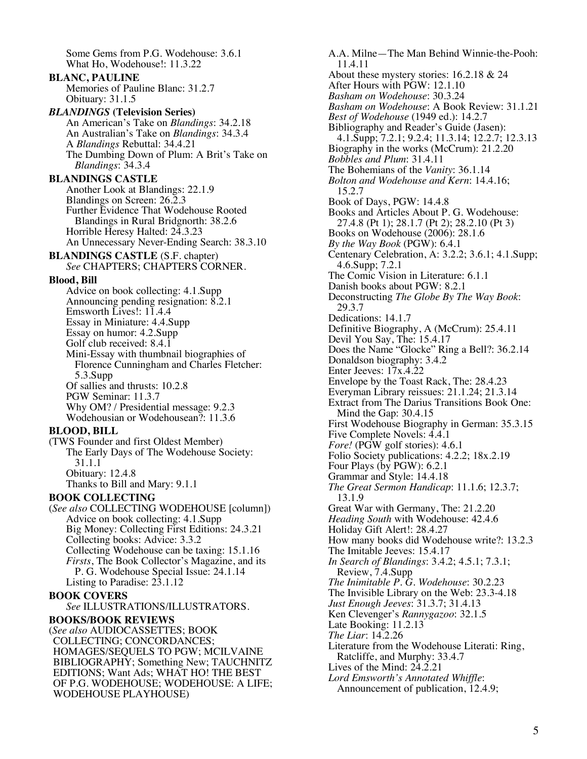Some Gems from P.G. Wodehouse: 3.6.1 What Ho, Wodehouse!: 11.3.22 **BLANC, PAULINE** Memories of Pauline Blanc: 31.2.7 Obituary: 31.1.5 *BLANDINGS* **(Television Series)** An American's Take on *Blandings*: 34.2.18 An Australian's Take on *Blandings*: 34.3.4 A *Blandings* Rebuttal: 34.4.21 The Dumbing Down of Plum: A Brit's Take on *Blandings*: 34.3.4 **BLANDINGS CASTLE** Another Look at Blandings: 22.1.9 Blandings on Screen: 26.2.3 Further Evidence That Wodehouse Rooted Blandings in Rural Bridgnorth: 38.2.6 Horrible Heresy Halted: 24.3.23 An Unnecessary Never-Ending Search: 38.3.10 **BLANDINGS CASTLE** (S.F. chapter) *See* CHAPTERS; CHAPTERS CORNER. **Blood, Bill** Advice on book collecting: 4.1.Supp Announcing pending resignation: 8.2.1 Emsworth Lives!: 11.4.4 Essay in Miniature: 4.4.Supp Essay on humor: 4.2.Supp Golf club received: 8.4.1 Mini-Essay with thumbnail biographies of Florence Cunningham and Charles Fletcher: 5.3.Supp Of sallies and thrusts: 10.2.8 PGW Seminar: 11.3.7 Why OM? / Presidential message: 9.2.3 Wodehousian or Wodehousean?: 11.3.6 **BLOOD, BILL** (TWS Founder and first Oldest Member) The Early Days of The Wodehouse Society: 31.1.1 Obituary: 12.4.8 Thanks to Bill and Mary: 9.1.1 **BOOK COLLECTING** (*See also* COLLECTING WODEHOUSE [column]) Advice on book collecting: 4.1.Supp Big Money: Collecting First Editions: 24.3.21 Collecting books: Advice: 3.3.2 Collecting Wodehouse can be taxing: 15.1.16 *Firsts*, The Book Collector's Magazine, and its P. G. Wodehouse Special Issue: 24.1.14 Listing to Paradise: 23.1.12 **BOOK COVERS** *See* ILLUSTRATIONS/ILLUSTRATORS. **BOOKS/BOOK REVIEWS** (*See also* AUDIOCASSETTES; BOOK COLLECTING; CONCORDANCES; HOMAGES/SEQUELS TO PGW; MCILVAINE BIBLIOGRAPHY; Something New; TAUCHNITZ EDITIONS; Want Ads; WHAT HO! THE BEST OF P.G. WODEHOUSE; WODEHOUSE: A LIFE; WODEHOUSE PLAYHOUSE)

A.A. Milne—The Man Behind Winnie-the-Pooh: 11.4.11 About these mystery stories: 16.2.18 & 24 After Hours with PGW: 12.1.10 *Basham on Wodehouse*: 30.3.24 *Basham on Wodehouse*: A Book Review: 31.1.21 *Best of Wodehouse* (1949 ed.): 14.2.7 Bibliography and Reader's Guide (Jasen): 4.1.Supp; 7.2.1; 9.2.4; 11.3.14; 12.2.7; 12.3.13 Biography in the works (McCrum): 21.2.20 *Bobbles and Plum*: 31.4.11 The Bohemians of the *Vanity*: 36.1.14 *Bolton and Wodehouse and Kern*: 14.4.16; 15.2.7 Book of Days, PGW: 14.4.8 Books and Articles About P. G. Wodehouse: 27.4.8 (Pt 1); 28.1.7 (Pt 2); 28.2.10 (Pt 3) Books on Wodehouse (2006): 28.1.6 *By the Way Book* (PGW): 6.4.1 Centenary Celebration, A: 3.2.2; 3.6.1; 4.1.Supp; 4.6.Supp; 7.2.1 The Comic Vision in Literature: 6.1.1 Danish books about PGW: 8.2.1 Deconstructing *The Globe By The Way Book*: 29.3.7 Dedications: 14.1.7 Definitive Biography, A (McCrum): 25.4.11 Devil You Say, The: 15.4.17 Does the Name "Glocke" Ring a Bell?: 36.2.14 Donaldson biography: 3.4.2 Enter Jeeves: 17x.4.22 Envelope by the Toast Rack, The: 28.4.23 Everyman Library reissues: 21.1.24; 21.3.14 Extract from The Darius Transitions Book One: Mind the Gap: 30.4.15 First Wodehouse Biography in German: 35.3.15 Five Complete Novels: 4.4.1 *Fore!* (PGW golf stories): 4.6.1 Folio Society publications: 4.2.2; 18x.2.19 Four Plays (by PGW): 6.2.1 Grammar and Style: 14.4.18 *The Great Sermon Handicap*: 11.1.6; 12.3.7; 13.1.9 Great War with Germany, The: 21.2.20 *Heading South* with Wodehouse: 42.4.6 Holiday Gift Alert!: 28.4.27 How many books did Wodehouse write?: 13.2.3 The Imitable Jeeves: 15.4.17 *In Search of Blandings*: 3.4.2; 4.5.1; 7.3.1; Review, 7.4.Supp *The Inimitable P. G. Wodehouse*: 30.2.23 The Invisible Library on the Web: 23.3-4.18 *Just Enough Jeeves*: 31.3.7; 31.4.13 Ken Clevenger's *Rannygazoo*: 32.1.5 Late Booking: 11.2.13 *The Liar*: 14.2.26 Literature from the Wodehouse Literati: Ring, Ratcliffe, and Murphy: 33.4.7 Lives of the Mind: 24.2.21 *Lord Emsworth's Annotated Whiffle*: Announcement of publication, 12.4.9;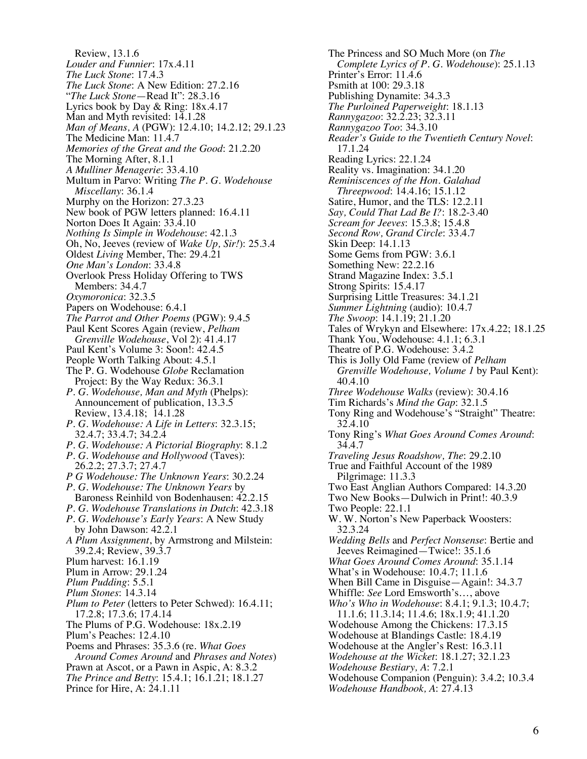Review, 13.1.6 *Louder and Funnier*: 17x.4.11 *The Luck Stone*: 17.4.3 *The Luck Stone*: A New Edition: 27.2.16 "*The Luck Stone*—Read It": 28.3.16 Lyrics book by Day & Ring: 18x.4.17 Man and Myth revisited: 14.1.28 *Man of Means, A* (PGW): 12.4.10; 14.2.12; 29.1.23 The Medicine Man: 11.4.7 *Memories of the Great and the Good*: 21.2.20 The Morning After, 8.1.1 *A Mulliner Menagerie*: 33.4.10 Multum in Parvo: Writing *The P. G. Wodehouse Miscellany*: 36.1.4 Murphy on the Horizon: 27.3.23 New book of PGW letters planned: 16.4.11 Norton Does It Again: 33.4.10 *Nothing Is Simple in Wodehouse*: 42.1.3 Oh, No, Jeeves (review of *Wake Up, Sir!*): 25.3.4 Oldest *Living* Member, The: 29.4.21 *One Man's London*: 33.4.8 Overlook Press Holiday Offering to TWS Members: 34.4.7 *Oxymoronica*: 32.3.5 Papers on Wodehouse: 6.4.1 *The Parrot and Other Poems* (PGW): 9.4.5 Paul Kent Scores Again (review, *Pelham Grenville Wodehouse*, Vol 2): 41.4.17 Paul Kent's Volume 3: Soon!: 42.4.5 People Worth Talking About: 4.5.1 The P. G. Wodehouse *Globe* Reclamation Project: By the Way Redux: 36.3.1 *P. G. Wodehouse, Man and Myth* (Phelps): Announcement of publication, 13.3.5 Review, 13.4.18; 14.1.28 *P. G. Wodehouse: A Life in Letters*: 32.3.15; 32.4.7; 33.4.7; 34.2.4 *P. G. Wodehouse: A Pictorial Biography*: 8.1.2 *P. G. Wodehouse and Hollywood* (Taves): 26.2.2; 27.3.7; 27.4.7 *P G Wodehouse: The Unknown Years*: 30.2.24 *P. G. Wodehouse: The Unknown Years* by Baroness Reinhild von Bodenhausen: 42.2.15 *P. G. Wodehouse Translations in Dutch*: 42.3.18 *P. G. Wodehouse's Early Years*: A New Study by John Dawson: 42.2.1 *A Plum Assignment*, by Armstrong and Milstein: 39.2.4; Review, 39.3.7 Plum harvest: 16.1.19 Plum in Arrow: 29.1.24 *Plum Pudding*: 5.5.1 *Plum Stones*: 14.3.14 *Plum to Peter* (letters to Peter Schwed): 16.4.11; 17.2.8; 17.3.6; 17.4.14 The Plums of P.G. Wodehouse: 18x.2.19 Plum's Peaches: 12.4.10 Poems and Phrases: 35.3.6 (re. *What Goes Around Comes Around* and *Phrases and Notes*) Prawn at Ascot, or a Pawn in Aspic, A: 8.3.2 *The Prince and Betty*: 15.4.1; 16.1.21; 18.1.27 Prince for Hire, A: 24.1.11

The Princess and SO Much More (on *The Complete Lyrics of P. G. Wodehouse*): 25.1.13 Printer's Error: 11.4.6 Psmith at 100: 29.3.18 Publishing Dynamite: 34.3.3 *The Purloined Paperweight*: 18.1.13 *Rannygazoo*: 32.2.23; 32.3.11 *Rannygazoo Too*: 34.3.10 *Reader's Guide to the Twentieth Century Novel*: 17.1.24 Reading Lyrics: 22.1.24 Reality vs. Imagination: 34.1.20 *Reminiscences of the Hon. Galahad Threepwood*: 14.4.16; 15.1.12 Satire, Humor, and the TLS: 12.2.11 *Say, Could That Lad Be I?*: 18.2-3.40 *Scream for Jeeves*: 15.3.8; 15.4.8 *Second Row, Grand Circle*: 33.4.7 Skin Deep: 14.1.13 Some Gems from PGW: 3.6.1 Something New: 22.2.16 Strand Magazine Index: 3.5.1 Strong Spirits: 15.4.17 Surprising Little Treasures: 34.1.21 *Summer Lightning* (audio): 10.4.7 *The Swoop*: 14.1.19; 21.1.20 Tales of Wrykyn and Elsewhere: 17x.4.22; 18.1.25 Thank You, Wodehouse: 4.1.1; 6.3.1 Theatre of P.G. Wodehouse: 3.4.2 This is Jolly Old Fame (review of *Pelham Grenville Wodehouse, Volume 1* by Paul Kent): 40.4.10 *Three Wodehouse Walks* (review): 30.4.16 Tim Richards's *Mind the Gap*: 32.1.5 Tony Ring and Wodehouse's "Straight" Theatre: 32.4.10 Tony Ring's *What Goes Around Comes Around*: 34.4.7 *Traveling Jesus Roadshow, The*: 29.2.10 True and Faithful Account of the 1989 Pilgrimage: 11.3.3 Two East Anglian Authors Compared: 14.3.20 Two New Books—Dulwich in Print!: 40.3.9 Two People: 22.1.1 W. W. Norton's New Paperback Woosters: 32.3.24 *Wedding Bells* and *Perfect Nonsense*: Bertie and Jeeves Reimagined—Twice!: 35.1.6 *What Goes Around Comes Around*: 35.1.14 What's in Wodehouse: 10.4.7; 11.1.6 When Bill Came in Disguise—Again!: 34.3.7 Whiffle: *See* Lord Emsworth's…, above *Who's Who in Wodehouse*: 8.4.1; 9.1.3; 10.4.7; 11.1.6; 11.3.14; 11.4.6; 18x.1.9; 41.1.20 Wodehouse Among the Chickens: 17.3.15 Wodehouse at Blandings Castle: 18.4.19 Wodehouse at the Angler's Rest: 16.3.11 *Wodehouse at the Wicket*: 18.1.27; 32.1.23 *Wodehouse Bestiary, A*: 7.2.1 Wodehouse Companion (Penguin): 3.4.2; 10.3.4 *Wodehouse Handbook, A*: 27.4.13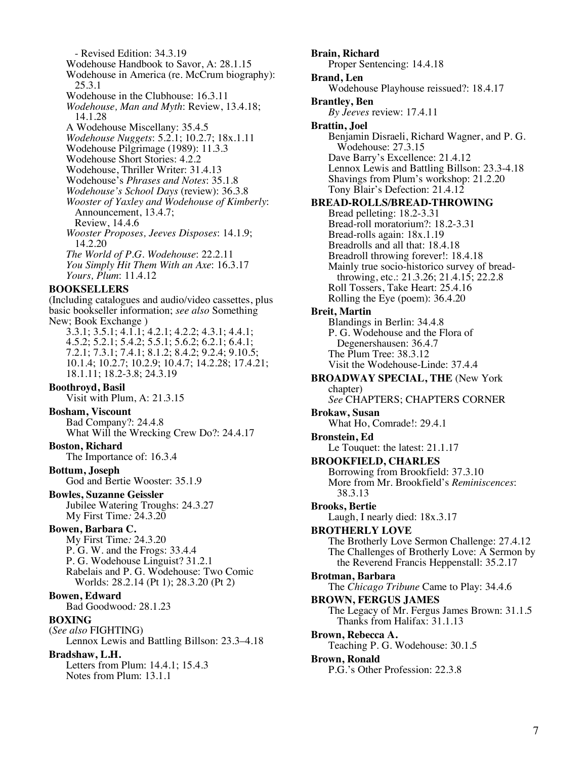- Revised Edition: 34.3.19 Wodehouse Handbook to Savor, A: 28.1.15 Wodehouse in America (re. McCrum biography): 25.3.1 Wodehouse in the Clubhouse: 16.3.11 *Wodehouse, Man and Myth*: Review, 13.4.18; 14.1.28 A Wodehouse Miscellany: 35.4.5 *Wodehouse Nuggets*: 5.2.1; 10.2.7; 18x.1.11 Wodehouse Pilgrimage (1989): 11.3.3 Wodehouse Short Stories: 4.2.2 Wodehouse, Thriller Writer: 31.4.13 Wodehouse's *Phrases and Notes*: 35.1.8 *Wodehouse's School Days* (review): 36.3.8 *Wooster of Yaxley and Wodehouse of Kimberly*: Announcement, 13.4.7; Review, 14.4.6 *Wooster Proposes, Jeeves Disposes*: 14.1.9; 14.2.20 *The World of P.G. Wodehouse*: 22.2.11 *You Simply Hit Them With an Axe*: 16.3.17 *Yours, Plum*: 11.4.12

#### **BOOKSELLERS**

(Including catalogues and audio/video cassettes, plus basic bookseller information; *see also* Something New; Book Exchange ) 3.3.1; 3.5.1; 4.1.1; 4.2.1; 4.2.2; 4.3.1; 4.4.1;

4.5.2; 5.2.1; 5.4.2; 5.5.1; 5.6.2; 6.2.1; 6.4.1; 7.2.1; 7.3.1; 7.4.1; 8.1.2; 8.4.2; 9.2.4; 9.10.5; 10.1.4; 10.2.7; 10.2.9; 10.4.7; 14.2.28; 17.4.21; 18.1.11; 18.2-3.8; 24.3.19

### **Boothroyd, Basil**

Visit with Plum, A: 21.3.15

### **Bosham, Viscount**

Bad Company?: 24.4.8 What Will the Wrecking Crew Do?: 24.4.17

### **Boston, Richard**

The Importance of: 16.3.4

#### **Bottum, Joseph**

God and Bertie Wooster: 35.1.9

# **Bowles, Suzanne Geissler**

Jubilee Watering Troughs: 24.3.27 My First Time*:* 24.3.20

### **Bowen, Barbara C.**

My First Time*:* 24.3.20 P. G. W. and the Frogs: 33.4.4 P. G. Wodehouse Linguist? 31.2.1 Rabelais and P. G. Wodehouse: Two Comic Worlds: 28.2.14 (Pt 1); 28.3.20 (Pt 2)

### **Bowen, Edward**

Bad Goodwood*:* 28.1.23

### **BOXING**

(*See also* FIGHTING) Lennox Lewis and Battling Billson: 23.3–4.18

## **Bradshaw, L.H.**

Letters from Plum: 14.4.1; 15.4.3 Notes from Plum: 13.1.1

**Brain, Richard** Proper Sentencing: 14.4.18 **Brand, Len** Wodehouse Playhouse reissued?: 18.4.17 **Brantley, Ben** *By Jeeves* review: 17.4.11 **Brattin, Joel** Benjamin Disraeli, Richard Wagner, and P. G. Wodehouse: 27.3.15 Dave Barry's Excellence: 21.4.12 Lennox Lewis and Battling Billson: 23.3-4.18 Shavings from Plum's workshop: 21.2.20 Tony Blair's Defection: 21.4.12 **BREAD-ROLLS/BREAD-THROWING** Bread pelleting: 18.2-3.31 Bread-roll moratorium?: 18.2-3.31 Bread-rolls again: 18x.1.19 Breadrolls and all that: 18.4.18 Breadroll throwing forever!: 18.4.18 Mainly true socio-historico survey of breadthrowing, etc.: 21.3.26; 21.4.15; 22.2.8 Roll Tossers, Take Heart: 25.4.16 Rolling the Eye (poem): 36.4.20 **Breit, Martin** Blandings in Berlin: 34.4.8 P. G. Wodehouse and the Flora of Degenershausen: 36.4.7 The Plum Tree: 38.3.12 Visit the Wodehouse-Linde: 37.4.4 **BROADWAY SPECIAL, THE** (New York chapter) *See* CHAPTERS; CHAPTERS CORNER **Brokaw, Susan** What Ho, Comrade!: 29.4.1 **Bronstein, Ed** Le Touquet: the latest: 21.1.17 **BROOKFIELD, CHARLES** Borrowing from Brookfield: 37.3.10 More from Mr. Brookfield's *Reminiscences*: 38.3.13 **Brooks, Bertie** Laugh, I nearly died: 18x.3.17 **BROTHERLY LOVE** The Brotherly Love Sermon Challenge: 27.4.12 The Challenges of Brotherly Love: A Sermon by the Reverend Francis Heppenstall: 35.2.17 **Brotman, Barbara** The *Chicago Tribune* Came to Play: 34.4.6 **BROWN, FERGUS JAMES** The Legacy of Mr. Fergus James Brown: 31.1.5 Thanks from Halifax: 31.1.13 **Brown, Rebecca A.** Teaching P. G. Wodehouse: 30.1.5 **Brown, Ronald** P.G.'s Other Profession: 22.3.8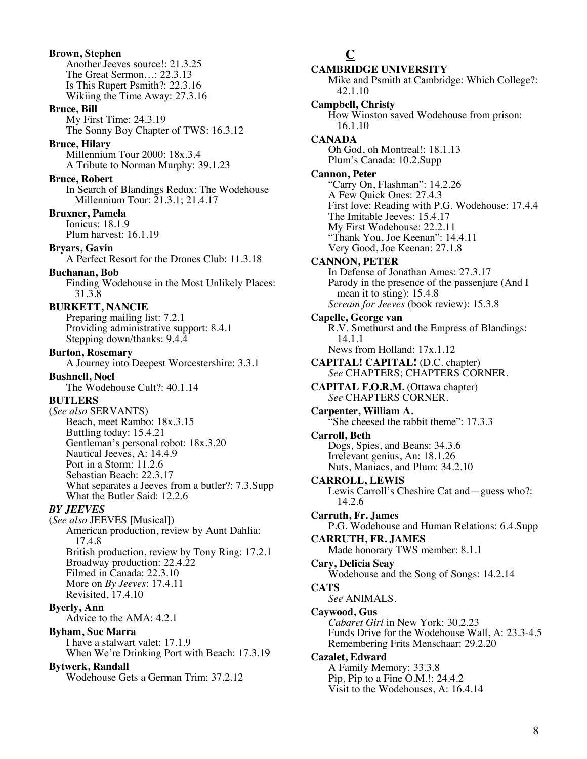**Brown, Stephen** Another Jeeves source!: 21.3.25 The Great Sermon…: 22.3.13 Is This Rupert Psmith?: 22.3.16 Wikiing the Time Away: 27.3.16 **Bruce, Bill** My First Time: 24.3.19 The Sonny Boy Chapter of TWS: 16.3.12 **Bruce, Hilary** Millennium Tour 2000: 18x.3.4 A Tribute to Norman Murphy: 39.1.23 **Bruce, Robert** In Search of Blandings Redux: The Wodehouse Millennium Tour: 21.3.1; 21.4.17 **Bruxner, Pamela** Ionicus: 18.1.9 Plum harvest: 16.1.19 **Bryars, Gavin** A Perfect Resort for the Drones Club: 11.3.18 **Buchanan, Bob** Finding Wodehouse in the Most Unlikely Places: 31.3.8 **BURKETT, NANCIE** Preparing mailing list: 7.2.1 Providing administrative support: 8.4.1 Stepping down/thanks: 9.4.4 **Burton, Rosemary** A Journey into Deepest Worcestershire: 3.3.1 **Bushnell, Noel** The Wodehouse Cult?: 40.1.14 **BUTLERS** (*See also* SERVANTS) Beach, meet Rambo: 18x.3.15 Buttling today: 15.4.21 Gentleman's personal robot: 18x.3.20 Nautical Jeeves, A: 14.4.9 Port in a Storm: 11.2.6 Sebastian Beach: 22.3.17 What separates a Jeeves from a butler?: 7.3.Supp What the Butler Said: 12.2.6 *BY JEEVES* (*See also* JEEVES [Musical]) American production, review by Aunt Dahlia: 17.4.8 British production, review by Tony Ring: 17.2.1 Broadway production: 22.4.22 Filmed in Canada: 22.3.10 More on *By Jeeves*: 17.4.11 Revisited, 17.4.10 **Byerly, Ann** Advice to the AMA: 4.2.1 **Byham, Sue Marra** I have a stalwart valet: 17.1.9 When We're Drinking Port with Beach: 17.3.19 **Bytwerk, Randall** Wodehouse Gets a German Trim: 37.2.12

## **C**

**CAMBRIDGE UNIVERSITY** Mike and Psmith at Cambridge: Which College?: 42.1.10 **Campbell, Christy** How Winston saved Wodehouse from prison: 16.1.10 **CANADA** Oh God, oh Montreal!: 18.1.13 Plum's Canada: 10.2.Supp **Cannon, Peter** "Carry On, Flashman": 14.2.26 A Few Quick Ones: 27.4.3 First love: Reading with P.G. Wodehouse: 17.4.4 The Imitable Jeeves: 15.4.17 My First Wodehouse: 22.2.11 "Thank You, Joe Keenan": 14.4.11 Very Good, Joe Keenan: 27.1.8 **CANNON, PETER** In Defense of Jonathan Ames: 27.3.17 Parody in the presence of the passenjare (And I mean it to sting): 15.4.8 *Scream for Jeeves* (book review): 15.3.8 **Capelle, George van** R.V. Smethurst and the Empress of Blandings: 14.1.1 News from Holland: 17x.1.12 **CAPITAL! CAPITAL!** (D.C. chapter) *See* CHAPTERS; CHAPTERS CORNER. **CAPITAL F.O.R.M.** (Ottawa chapter) *See* CHAPTERS CORNER. **Carpenter, William A.** She cheesed the rabbit theme": 17.3.3<sup>3</sup> **Carroll, Beth** Dogs, Spies, and Beans: 34.3.6 Irrelevant genius, An: 18.1.26 Nuts, Maniacs, and Plum: 34.2.10 **CARROLL, LEWIS** Lewis Carroll's Cheshire Cat and—guess who?: 14.2.6 **Carruth, Fr. James** P.G. Wodehouse and Human Relations: 6.4.Supp **CARRUTH, FR. JAMES** Made honorary TWS member: 8.1.1 **Cary, Delicia Seay** Wodehouse and the Song of Songs: 14.2.14 **CATS** *See* ANIMALS. **Caywood, Gus** *Cabaret Girl* in New York: 30.2.23 Funds Drive for the Wodehouse Wall, A: 23.3-4.5 Remembering Frits Menschaar: 29.2.20 **Cazalet, Edward** A Family Memory: 33.3.8 Pip, Pip to a Fine O.M.!: 24.4.2 Visit to the Wodehouses, A: 16.4.14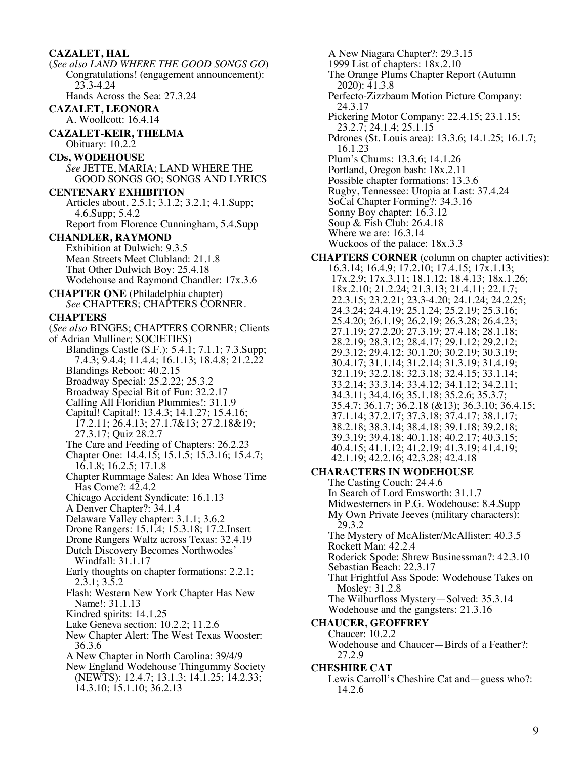**CAZALET, HAL** (*See also LAND WHERE THE GOOD SONGS GO*) Congratulations! (engagement announcement): 23.3-4.24 Hands Across the Sea: 27.3.24 **CAZALET, LEONORA** A. Woollcott: 16.4.14 **CAZALET-KEIR, THELMA** Obituary: 10.2.2 **CDs, WODEHOUSE** *See* JETTE, MARIA; LAND WHERE THE GOOD SONGS GO; SONGS AND LYRICS **CENTENARY EXHIBITION** Articles about, 2.5.1; 3.1.2; 3.2.1; 4.1.Supp; 4.6.Supp; 5.4.2 Report from Florence Cunningham, 5.4.Supp **CHANDLER, RAYMOND** Exhibition at Dulwich: 9.3.5 Mean Streets Meet Clubland: 21.1.8 That Other Dulwich Boy: 25.4.18 Wodehouse and Raymond Chandler: 17x.3.6 **CHAPTER ONE** (Philadelphia chapter) *See* CHAPTERS; CHAPTERS CORNER. **CHAPTERS** (*See also* BINGES; CHAPTERS CORNER; Clients of Adrian Mulliner; SOCIETIES) Blandings Castle (S.F.): 5.4.1; 7.1.1; 7.3.Supp; 7.4.3; 9.4.4; 11.4.4; 16.1.13; 18.4.8; 21.2.22 Blandings Reboot: 40.2.15 Broadway Special: 25.2.22; 25.3.2 Broadway Special Bit of Fun: 32.2.17 Calling All Floridian Plummies!: 31.1.9 Capital! Capital!: 13.4.3; 14.1.27; 15.4.16; 17.2.11; 26.4.13; 27.1.7&13; 27.2.18&19; 27.3.17; Quiz 28.2.7 The Care and Feeding of Chapters: 26.2.23 Chapter One: 14.4.15; 15.1.5; 15.3.16; 15.4.7; 16.1.8; 16.2.5; 17.1.8 Chapter Rummage Sales: An Idea Whose Time Has Come?: 42.4.2 Chicago Accident Syndicate: 16.1.13 A Denver Chapter?: 34.1.4 Delaware Valley chapter: 3.1.1; 3.6.2 Drone Rangers: 15.1.4; 15.3.18; 17.2.Insert Drone Rangers Waltz across Texas: 32.4.19 Dutch Discovery Becomes Northwodes' Windfall: 31.1.17 Early thoughts on chapter formations: 2.2.1; 2.3.1; 3.5.2 Flash: Western New York Chapter Has New Name!: 31.1.13 Kindred spirits: 14.1.25 Lake Geneva section: 10.2.2; 11.2.6 New Chapter Alert: The West Texas Wooster: 36.3.6 A New Chapter in North Carolina: 39/4/9 New England Wodehouse Thingummy Society (NEWTS): 12.4.7; 13.1.3; 14.1.25; 14.2.33; 14.3.10; 15.1.10; 36.2.13

A New Niagara Chapter?: 29.3.15 1999 List of chapters: 18x.2.10 The Orange Plums Chapter Report (Autumn 2020): 41.3.8 Perfecto-Zizzbaum Motion Picture Company: 24.3.17 Pickering Motor Company: 22.4.15; 23.1.15; 23.2.7; 24.1.4; 25.1.15 Pdrones (St. Louis area): 13.3.6; 14.1.25; 16.1.7; 16.1.23 Plum's Chums: 13.3.6; 14.1.26 Portland, Oregon bash: 18x.2.11 Possible chapter formations: 13.3.6 Rugby, Tennessee: Utopia at Last: 37.4.24 SoCal Chapter Forming?: 34.3.16 Sonny Boy chapter: 16.3.12 Soup & Fish Club: 26.4.18 Where we are: 16.3.14 Wuckoos of the palace: 18x.3.3 **CHAPTERS CORNER** (column on chapter activities): 16.3.14; 16.4.9; 17.2.10; 17.4.15; 17x.1.13; 17x.2.9; 17x.3.11; 18.1.12; 18.4.13; 18x.1.26; 18x.2.10; 21.2.24; 21.3.13; 21.4.11; 22.1.7; 22.3.15; 23.2.21; 23.3-4.20; 24.1.24; 24.2.25; 24.3.24; 24.4.19; 25.1.24; 25.2.19; 25.3.16; 25.4.20; 26.1.19; 26.2.19; 26.3.28; 26.4.23; 27.1.19; 27.2.20; 27.3.19; 27.4.18; 28.1.18; 28.2.19; 28.3.12; 28.4.17; 29.1.12; 29.2.12; 29.3.12; 29.4.12; 30.1.20; 30.2.19; 30.3.19; 30.4.17; 31.1.14; 31.2.14; 31.3.19; 31.4.19; 32.1.19; 32.2.18; 32.3.18; 32.4.15; 33.1.14; 33.2.14; 33.3.14; 33.4.12; 34.1.12; 34.2.11; 34.3.11; 34.4.16; 35.1.18; 35.2.6; 35.3.7; 35.4.7; 36.1.7; 36.2.18 (&13); 36.3.10; 36.4.15; 37.1.14; 37.2.17; 37.3.18; 37.4.17; 38.1.17; 38.2.18; 38.3.14; 38.4.18; 39.1.18; 39.2.18; 39.3.19; 39.4.18; 40.1.18; 40.2.17; 40.3.15; 40.4.15; 41.1.12; 41.2.19; 41.3.19; 41.4.19; 42.1.19; 42.2.16; 42.3.28; 42.4.18 **CHARACTERS IN WODEHOUSE** The Casting Couch: 24.4.6 In Search of Lord Emsworth: 31.1.7 Midwesterners in P.G. Wodehouse: 8.4.Supp My Own Private Jeeves (military characters): 29.3.2 The Mystery of McAlister/McAllister: 40.3.5 Rockett Man: 42.2.4 Roderick Spode: Shrew Businessman?: 42.3.10 Sebastian Beach: 22.3.17 That Frightful Ass Spode: Wodehouse Takes on Mosley: 31.2.8 The Wilburfloss Mystery—Solved: 35.3.14 Wodehouse and the gangsters: 21.3.16 **CHAUCER, GEOFFREY** Chaucer: 10.2.2 Wodehouse and Chaucer—Birds of a Feather?: 27.2.9 **CHESHIRE CAT**

Lewis Carroll's Cheshire Cat and—guess who?: 14.2.6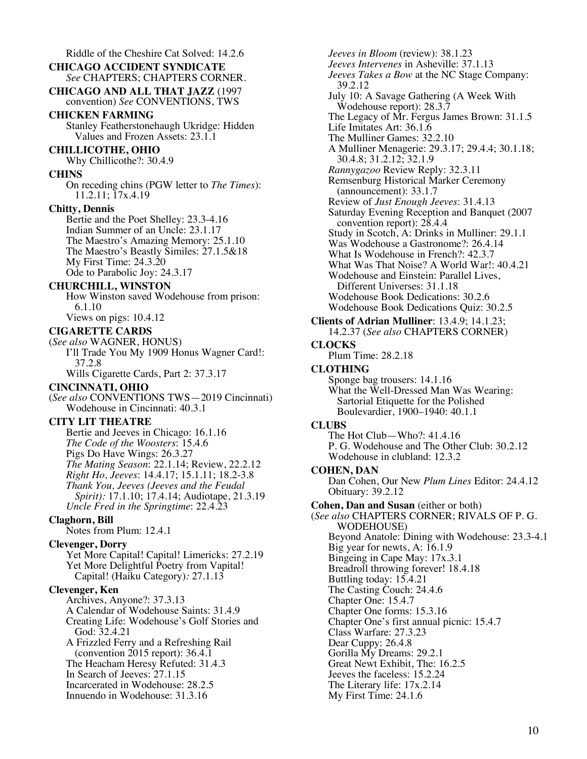Riddle of the Cheshire Cat Solved: 14.2.6 **CHICAGO ACCIDENT SYNDICATE** *See* CHAPTERS; CHAPTERS CORNER. **CHICAGO AND ALL THAT JAZZ** (1997 convention) *See* CONVENTIONS, TWS **CHICKEN FARMING** Stanley Featherstonehaugh Ukridge: Hidden Values and Frozen Assets: 23.1.1 **CHILLICOTHE, OHIO** Why Chillicothe?: 30.4.9 **CHINS** On receding chins (PGW letter to *The Times*): 11.2.11; 17x.4.19 **Chitty, Dennis** Bertie and the Poet Shelley: 23.3-4.16 Indian Summer of an Uncle: 23.1.17 The Maestro's Amazing Memory: 25.1.10 The Maestro's Beastly Similes: 27.1.5&18 My First Time: 24.3.20 Ode to Parabolic Joy: 24.3.17 **CHURCHILL, WINSTON** How Winston saved Wodehouse from prison: 6.1.10 Views on pigs: 10.4.12 **CIGARETTE CARDS** (*See also* WAGNER, HONUS) I'll Trade You My 1909 Honus Wagner Card!: 37.2.8 Wills Cigarette Cards, Part 2: 37.3.17 **CINCINNATI, OHIO** (*See also* CONVENTIONS TWS—2019 Cincinnati) Wodehouse in Cincinnati: 40.3.1 **CITY LIT THEATRE** Bertie and Jeeves in Chicago: 16.1.16 *The Code of the Woosters*: 15.4.6 Pigs Do Have Wings: 26.3.27 *The Mating Season*: 22.1.14; Review, 22.2.12 *Right Ho, Jeeves*: 14.4.17; 15.1.11; 18.2-3.8 *Thank You, Jeeves (Jeeves and the Feudal Spirit):* 17.1.10; 17.4.14; Audiotape, 21.3.19 *Uncle Fred in the Springtime*: 22.4.23 **Claghorn, Bill** Notes from Plum: 12.4.1 **Clevenger, Dorry** Yet More Capital! Capital! Limericks: 27.2.19 Yet More Delightful Poetry from Vapital! Capital! (Haiku Category)*:* 27.1.13 **Clevenger, Ken** Archives, Anyone?: 37.3.13 A Calendar of Wodehouse Saints: 31.4.9 Creating Life: Wodehouse's Golf Stories and God: 32.4.21 A Frizzled Ferry and a Refreshing Rail (convention 2015 report): 36.4.1 The Heacham Heresy Refuted: 31.4.3 In Search of Jeeves: 27.1.15 Incarcerated in Wodehouse: 28.2.5 Innuendo in Wodehouse: 31.3.16

*Jeeves in Bloom* (review): 38.1.23 *Jeeves Intervenes* in Asheville: 37.1.13 *Jeeves Takes a Bow* at the NC Stage Company: 39.2.12 July 10: A Savage Gathering (A Week With Wodehouse report): 28.3.7 The Legacy of Mr. Fergus James Brown: 31.1.5 Life Imitates Art: 36.1.6 The Mulliner Games: 32.2.10 A Mulliner Menagerie: 29.3.17; 29.4.4; 30.1.18; 30.4.8; 31.2.12; 32.1.9 *Rannygazoo* Review Reply: 32.3.11 Remsenburg Historical Marker Ceremony (announcement): 33.1.7 Review of *Just Enough Jeeves*: 31.4.13 Saturday Evening Reception and Banquet (2007 convention report): 28.4.4 Study in Scotch, A: Drinks in Mulliner: 29.1.1 Was Wodehouse a Gastronome?: 26.4.14 What Is Wodehouse in French?: 42.3.7 What Was That Noise? A World War!: 40.4.21 Wodehouse and Einstein: Parallel Lives, Different Universes: 31.1.18 Wodehouse Book Dedications: 30.2.6 Wodehouse Book Dedications Quiz: 30.2.5 **Clients of Adrian Mulliner**: 13.4.9; 14.1.23; 14.2.37 (*See also* CHAPTERS CORNER) **CLOCKS** Plum Time: 28.2.18 **CLOTHING** Sponge bag trousers: 14.1.16 What the Well-Dressed Man Was Wearing: Sartorial Etiquette for the Polished Boulevardier, 1900–1940: 40.1.1 **CLUBS** The Hot Club—Who?: 41.4.16 P. G. Wodehouse and The Other Club: 30.2.12 Wodehouse in clubland: 12.3.2 **COHEN, DAN** Dan Cohen, Our New *Plum Lines* Editor: 24.4.12 Obituary: 39.2.12 **Cohen, Dan and Susan** (either or both) (*See also* CHAPTERS CORNER; RIVALS OF P. G. WODEHOUSE) Beyond Anatole: Dining with Wodehouse: 23.3-4.1 Big year for newts, A: 16.1.9 Bingeing in Cape May: 17x.3.1 Breadroll throwing forever! 18.4.18 Buttling today: 15.4.21 The Casting Couch: 24.4.6 Chapter One: 15.4.7 Chapter One forms: 15.3.16 Chapter One's first annual picnic: 15.4.7 Class Warfare: 27.3.23 Dear Cuppy: 26.4.8 Gorilla My Dreams: 29.2.1 Great Newt Exhibit, The: 16.2.5 Jeeves the faceless: 15.2.24 The Literary life: 17x.2.14 My First Time: 24.1.6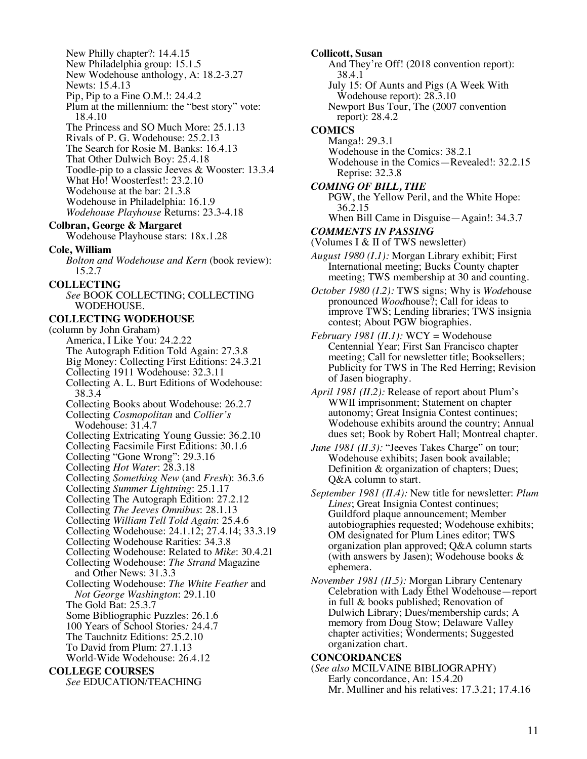New Philly chapter?: 14.4.15 New Philadelphia group: 15.1.5 New Wodehouse anthology, A: 18.2-3.27 Newts: 15.4.13 Pip, Pip to a Fine O.M.!: 24.4.2 Plum at the millennium: the "best story" vote: 18.4.10 The Princess and SO Much More: 25.1.13 Rivals of P. G. Wodehouse: 25.2.13 The Search for Rosie M. Banks: 16.4.13 That Other Dulwich Boy: 25.4.18 Toodle-pip to a classic Jeeves & Wooster: 13.3.4 What Ho! Woosterfest!: 23.2.10 Wodehouse at the bar: 21.3.8 Wodehouse in Philadelphia: 16.1.9 *Wodehouse Playhouse* Returns: 23.3-4.18 **Colbran, George & Margaret** Wodehouse Playhouse stars: 18x.1.28 **Cole, William** *Bolton and Wodehouse and Kern* (book review): 15.2.7 **COLLECTING** *See* BOOK COLLECTING; COLLECTING WODEHOUSE. **COLLECTING WODEHOUSE** (column by John Graham) America, I Like You: 24.2.22 The Autograph Edition Told Again: 27.3.8 Big Money: Collecting First Editions: 24.3.21 Collecting 1911 Wodehouse: 32.3.11 Collecting A. L. Burt Editions of Wodehouse: 38.3.4 Collecting Books about Wodehouse: 26.2.7 Collecting *Cosmopolitan* and *Collier's* Wodehouse: 31.4.7 Collecting Extricating Young Gussie: 36.2.10 Collecting Facsimile First Editions: 30.1.6 Collecting "Gone Wrong": 29.3.16 Collecting *Hot Water*: 28.3.18 Collecting *Something New* (and *Fresh*): 36.3.6 Collecting *Summer Lightning*: 25.1.17 Collecting The Autograph Edition: 27.2.12 Collecting *The Jeeves Omnibus*: 28.1.13 Collecting *William Tell Told Again*: 25.4.6 Collecting Wodehouse: 24.1.12; 27.4.14; 33.3.19 Collecting Wodehouse Rarities: 34.3.8 Collecting Wodehouse: Related to *Mike*: 30.4.21 Collecting Wodehouse: *The Strand* Magazine and Other News: 31.3.3 Collecting Wodehouse: *The White Feather* and *Not George Washington*: 29.1.10 The Gold Bat: 25.3.7 Some Bibliographic Puzzles: 26.1.6 100 Years of School Stories*:* 24.4.7 The Tauchnitz Editions: 25.2.10 To David from Plum: 27.1.13 World-Wide Wodehouse: 26.4.12 **COLLEGE COURSES** *See* EDUCATION/TEACHING

**Collicott, Susan** And They're Off! (2018 convention report): 38.4.1 July 15: Of Aunts and Pigs (A Week With Wodehouse report): 28.3.10 Newport Bus Tour, The (2007 convention report): 28.4.2 **COMICS** Manga!: 29.3.1 Wodehouse in the Comics: 38.2.1 Wodehouse in the Comics—Revealed!: 32.2.15 Reprise: 32.3.8 *COMING OF BILL, THE* PGW, the Yellow Peril, and the White Hope: 36.2.15 When Bill Came in Disguise—Again!: 34.3.7 *COMMENTS IN PASSING* (Volumes I & II of TWS newsletter) *August 1980 (I.1):* Morgan Library exhibit; First International meeting; Bucks County chapter meeting; TWS membership at 30 and counting. *October 1980 (I.2):* TWS signs; Why is *Wode*house pronounced *Wood*house?; Call for ideas to improve TWS; Lending libraries; TWS insignia contest; About PGW biographies. *February 1981 (II.1):* WCY = Wodehouse Centennial Year; First San Francisco chapter meeting; Call for newsletter title; Booksellers; Publicity for TWS in The Red Herring; Revision of Jasen biography. *April 1981 (II.2):* Release of report about Plum's WWII imprisonment; Statement on chapter autonomy; Great Insignia Contest continues; Wodehouse exhibits around the country; Annual dues set; Book by Robert Hall; Montreal chapter. *June 1981 (II.3):* "Jeeves Takes Charge" on tour; Wodehouse exhibits; Jasen book available; Definition & organization of chapters; Dues; Q&A column to start. *September 1981 (II.4):* New title for newsletter: *Plum Lines*; Great Insignia Contest continues; Guildford plaque announcement; Member autobiographies requested; Wodehouse exhibits; OM designated for Plum Lines editor; TWS organization plan approved; Q&A column starts (with answers by Jasen); Wodehouse books & ephemera. *November 1981 (II.5):* Morgan Library Centenary Celebration with Lady Ethel Wodehouse—report in full & books published; Renovation of Dulwich Library; Dues/membership cards; A memory from Doug Stow; Delaware Valley chapter activities; Wonderments; Suggested organization chart. **CONCORDANCES**

(*See also* MCILVAINE BIBLIOGRAPHY) Early concordance, An: 15.4.20 Mr. Mulliner and his relatives: 17.3.21; 17.4.16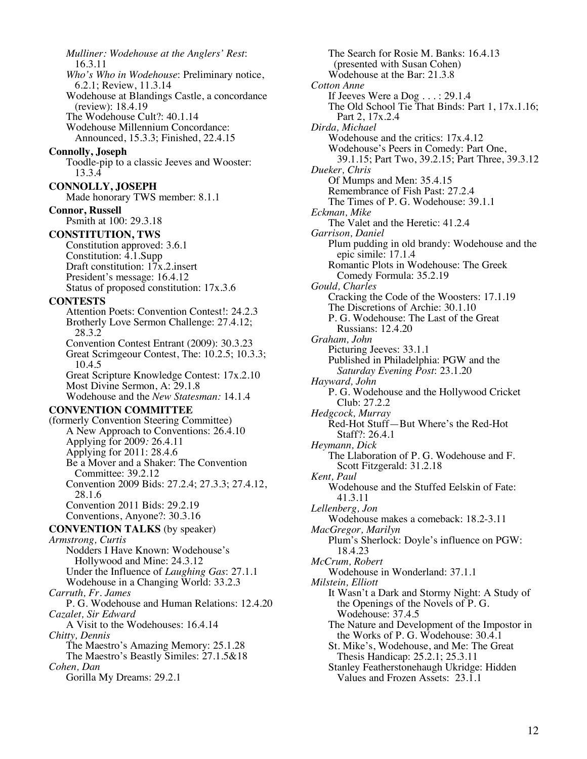*Mulliner: Wodehouse at the Anglers' Rest*: 16.3.11 *Who's Who in Wodehouse*: Preliminary notice, 6.2.1; Review, 11.3.14 Wodehouse at Blandings Castle, a concordance (review): 18.4.19 The Wodehouse Cult?: 40.1.14 Wodehouse Millennium Concordance: Announced, 15.3.3; Finished, 22.4.15 **Connolly, Joseph** Toodle-pip to a classic Jeeves and Wooster: 13.3.4 **CONNOLLY, JOSEPH** Made honorary TWS member: 8.1.1 **Connor, Russell** Psmith at 100: 29.3.18 **CONSTITUTION, TWS** Constitution approved: 3.6.1 Constitution: 4.1.Supp Draft constitution:  $17x.2$  insert President's message: 16.4.12 Status of proposed constitution: 17x.3.6 **CONTESTS** Attention Poets: Convention Contest!: 24.2.3 Brotherly Love Sermon Challenge: 27.4.12; 28.3.2 Convention Contest Entrant (2009): 30.3.23 Great Scrimgeour Contest, The: 10.2.5; 10.3.3; 10.4.5 Great Scripture Knowledge Contest: 17x.2.10 Most Divine Sermon, A: 29.1.8 Wodehouse and the *New Statesman:* 14.1.4 **CONVENTION COMMITTEE** (formerly Convention Steering Committee) A New Approach to Conventions: 26.4.10 Applying for 2009*:* 26.4.11 Applying for 2011: 28.4.6 Be a Mover and a Shaker: The Convention Committee: 39.2.12 Convention 2009 Bids: 27.2.4; 27.3.3; 27.4.12, 28.1.6 Convention 2011 Bids: 29.2.19 Conventions, Anyone?: 30.3.16 **CONVENTION TALKS** (by speaker) *Armstrong, Curtis* Nodders I Have Known: Wodehouse's Hollywood and Mine: 24.3.12 Under the Influence of *Laughing Gas*: 27.1.1 Wodehouse in a Changing World: 33.2.3 *Carruth, Fr. James* P. G. Wodehouse and Human Relations: 12.4.20 *Cazalet, Sir Edward* A Visit to the Wodehouses: 16.4.14 *Chitty, Dennis* The Maestro's Amazing Memory: 25.1.28 The Maestro's Beastly Similes: 27.1.5&18 *Cohen, Dan* Gorilla My Dreams: 29.2.1

The Search for Rosie M. Banks: 16.4.13 (presented with Susan Cohen) Wodehouse at the Bar: 21.3.8 *Cotton Anne* If Jeeves Were a Dog . . . : 29.1.4 The Old School Tie That Binds: Part 1, 17x.1.16; Part 2, 17x.2.4 *Dirda, Michael* Wodehouse and the critics: 17x.4.12 Wodehouse's Peers in Comedy: Part One, 39.1.15; Part Two, 39.2.15; Part Three, 39.3.12 *Dueker, Chris* Of Mumps and Men: 35.4.15 Remembrance of Fish Past: 27.2.4 The Times of P. G. Wodehouse: 39.1.1 *Eckman, Mike* The Valet and the Heretic: 41.2.4 *Garrison, Daniel* Plum pudding in old brandy: Wodehouse and the epic simile: 17.1.4 Romantic Plots in Wodehouse: The Greek Comedy Formula: 35.2.19 *Gould, Charles* Cracking the Code of the Woosters: 17.1.19 The Discretions of Archie: 30.1.10 P. G. Wodehouse: The Last of the Great Russians: 12.4.20 *Graham, John* Picturing Jeeves: 33.1.1 Published in Philadelphia: PGW and the *Saturday Evening Post*: 23.1.20 *Hayward, John* P. G. Wodehouse and the Hollywood Cricket Club: 27.2.2 *Hedgcock, Murray* Red-Hot Stuff—But Where's the Red-Hot Staff?: 26.4.1 *Heymann, Dick* The Llaboration of P. G. Wodehouse and F. Scott Fitzgerald: 31.2.18 *Kent, Paul* Wodehouse and the Stuffed Eelskin of Fate: 41.3.11 *Lellenberg, Jon* Wodehouse makes a comeback: 18.2-3.11 *MacGregor, Marilyn* Plum's Sherlock: Doyle's influence on PGW: 18.4.23 *McCrum, Robert* Wodehouse in Wonderland: 37.1.1 *Milstein, Elliott* It Wasn't a Dark and Stormy Night: A Study of the Openings of the Novels of P. G. Wodehouse: 37.4.5 The Nature and Development of the Impostor in the Works of P. G. Wodehouse: 30.4.1 St. Mike's, Wodehouse, and Me: The Great Thesis Handicap: 25.2.1; 25.3.11 Stanley Featherstonehaugh Ukridge: Hidden Values and Frozen Assets: 23.1.1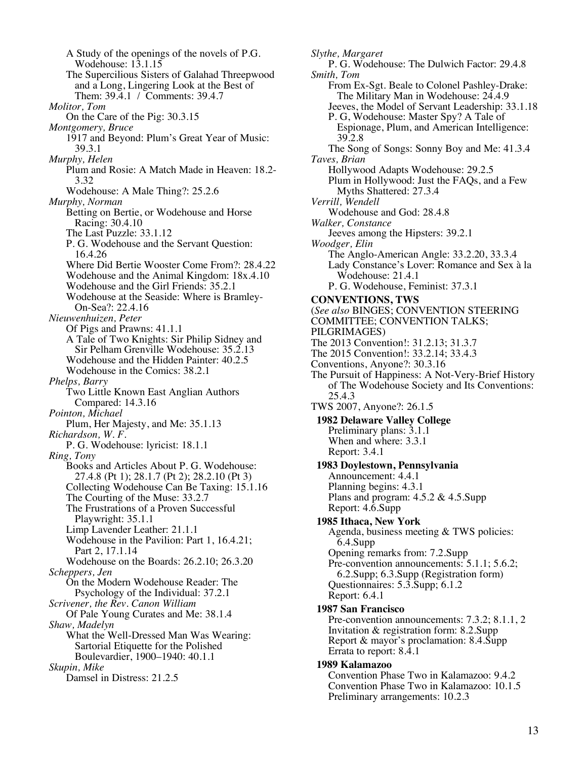A Study of the openings of the novels of P.G. Wodehouse: 13.1.15 The Supercilious Sisters of Galahad Threepwood and a Long, Lingering Look at the Best of Them: 39.4.1 / Comments: 39.4.7 *Molitor, Tom* On the Care of the Pig: 30.3.15 *Montgomery, Bruce* 1917 and Beyond: Plum's Great Year of Music: 39.3.1 *Murphy, Helen* Plum and Rosie: A Match Made in Heaven: 18.2- 3.32 Wodehouse: A Male Thing?: 25.2.6 *Murphy, Norman* Betting on Bertie, or Wodehouse and Horse Racing: 30.4.10 The Last Puzzle: 33.1.12 P. G. Wodehouse and the Servant Question: 16.4.26 Where Did Bertie Wooster Come From?: 28.4.22 Wodehouse and the Animal Kingdom: 18x.4.10 Wodehouse and the Girl Friends: 35.2.1 Wodehouse at the Seaside: Where is Bramley- On-Sea?: 22.4.16 *Nieuwenhuizen, Peter* Of Pigs and Prawns: 41.1.1 A Tale of Two Knights: Sir Philip Sidney and Sir Pelham Grenville Wodehouse: 35.2.13 Wodehouse and the Hidden Painter: 40.2.5 Wodehouse in the Comics: 38.2.1 *Phelps, Barry* Two Little Known East Anglian Authors Compared: 14.3.16 *Pointon, Michael* Plum, Her Majesty, and Me: 35.1.13 *Richardson, W. F.* P. G. Wodehouse: lyricist: 18.1.1 *Ring, Tony* Books and Articles About P. G. Wodehouse: 27.4.8 (Pt 1); 28.1.7 (Pt 2); 28.2.10 (Pt 3) Collecting Wodehouse Can Be Taxing: 15.1.16 The Courting of the Muse: 33.2.7 The Frustrations of a Proven Successful Playwright: 35.1.1 Limp Lavender Leather: 21.1.1 Wodehouse in the Pavilion: Part 1, 16.4.21; Part 2, 17.1.14 Wodehouse on the Boards: 26.2.10; 26.3.20 *Scheppers, Jen* On the Modern Wodehouse Reader: The Psychology of the Individual: 37.2.1 *Scrivener, the Rev. Canon William* Of Pale Young Curates and Me: 38.1.4 *Shaw, Madelyn* What the Well-Dressed Man Was Wearing: Sartorial Etiquette for the Polished Boulevardier, 1900–1940: 40.1.1 *Skupin, Mike* Damsel in Distress: 21.2.5

*Slythe, Margaret* P. G. Wodehouse: The Dulwich Factor: 29.4.8 *Smith, Tom* From Ex-Sgt. Beale to Colonel Pashley-Drake: The Military Man in Wodehouse: 24.4.9 Jeeves, the Model of Servant Leadership: 33.1.18 P. G, Wodehouse: Master Spy? A Tale of Espionage, Plum, and American Intelligence: 39.2.8 The Song of Songs: Sonny Boy and Me: 41.3.4 *Taves, Brian* Hollywood Adapts Wodehouse: 29.2.5 Plum in Hollywood: Just the FAQs, and a Few Myths Shattered: 27.3.4 *Verrill, Wendell* Wodehouse and God: 28.4.8 *Walker, Constance* Jeeves among the Hipsters: 39.2.1 *Woodger, Elin* The Anglo-American Angle: 33.2.20, 33.3.4 Lady Constance's Lover: Romance and Sex à la Wodehouse: 21.4.1 P. G. Wodehouse, Feminist: 37.3.1 **CONVENTIONS, TWS** (*See also* BINGES; CONVENTION STEERING COMMITTEE; CONVENTION TALKS; PILGRIMAGES) The 2013 Convention!: 31.2.13; 31.3.7 The 2015 Convention!: 33.2.14; 33.4.3 Conventions, Anyone?: 30.3.16 The Pursuit of Happiness: A Not-Very-Brief History of The Wodehouse Society and Its Conventions: 25.4.3 TWS 2007, Anyone?: 26.1.5  **1982 Delaware Valley College** Preliminary plans: 3.1.1 When and where: 3.3.1 Report: 3.4.1  **1983 Doylestown, Pennsylvania** Announcement: 4.4.1 Planning begins: 4.3.1 Plans and program: 4.5.2 & 4.5.Supp Report: 4.6.Supp  **1985 Ithaca, New York** Agenda, business meeting & TWS policies: 6.4.Supp Opening remarks from: 7.2.Supp Pre-convention announcements: 5.1.1; 5.6.2; 6.2.Supp; 6.3.Supp (Registration form) Questionnaires: 5.3.Supp; 6.1.2 Report: 6.4.1  **1987 San Francisco** Pre-convention announcements: 7.3.2; 8.1.1, 2 Invitation & registration form: 8.2.Supp Report & mayor's proclamation: 8.4.Supp Errata to report: 8.4.1  **1989 Kalamazoo** Convention Phase Two in Kalamazoo: 9.4.2 Convention Phase Two in Kalamazoo: 10.1.5

Preliminary arrangements: 10.2.3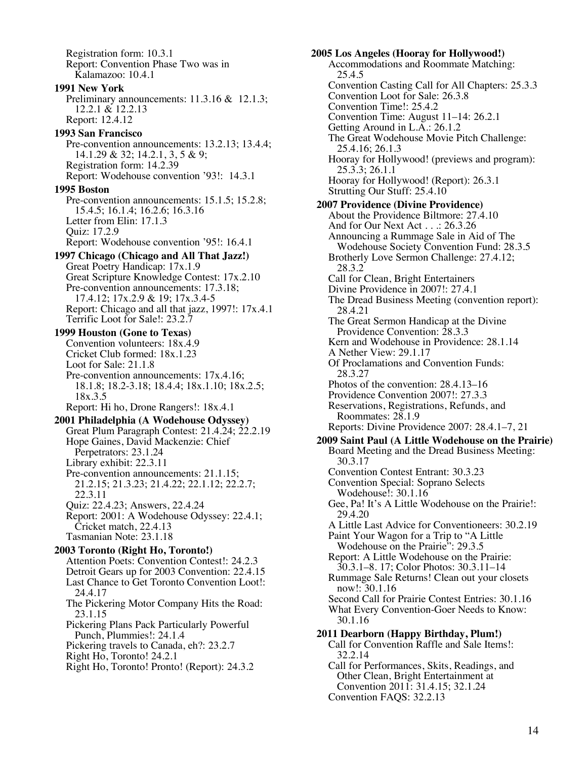Registration form: 10.3.1 Report: Convention Phase Two was in Kalamazoo: 10.4.1  **1991 New York** Preliminary announcements: 11.3.16 & 12.1.3; 12.2.1 & 12.2.13 Report: 12.4.12  **1993 San Francisco** Pre-convention announcements: 13.2.13; 13.4.4; 14.1.29 & 32; 14.2.1, 3, 5 & 9; Registration form: 14.2.39 Report: Wodehouse convention '93!: 14.3.1  **1995 Boston** Pre-convention announcements: 15.1.5; 15.2.8; 15.4.5; 16.1.4; 16.2.6; 16.3.16 Letter from Elin: 17.1.3 Quiz: 17.2.9 Report: Wodehouse convention '95!: 16.4.1  **1997 Chicago (Chicago and All That Jazz!)** Great Poetry Handicap: 17x.1.9 Great Scripture Knowledge Contest: 17x.2.10 Pre-convention announcements: 17.3.18; 17.4.12; 17x.2.9 & 19; 17x.3.4-5 Report: Chicago and all that jazz, 1997!: 17x.4.1 Terrific Loot for Sale!: 23.2.7  **1999 Houston (Gone to Texas)** Convention volunteers: 18x.4.9 Cricket Club formed: 18x.1.23 Loot for Sale: 21.1.8 Pre-convention announcements: 17x.4.16; 18.1.8; 18.2-3.18; 18.4.4; 18x.1.10; 18x.2.5; 18x.3.5 Report: Hi ho, Drone Rangers!: 18x.4.1  **2001 Philadelphia (A Wodehouse Odyssey)** Great Plum Paragraph Contest: 21.4.24; 22.2.19 Hope Gaines, David Mackenzie: Chief Perpetrators: 23.1.24 Library exhibit: 22.3.11 Pre-convention announcements: 21.1.15; 21.2.15; 21.3.23; 21.4.22; 22.1.12; 22.2.7; 22.3.11 Quiz: 22.4.23; Answers, 22.4.24 Report: 2001: A Wodehouse Odyssey: 22.4.1; Cricket match, 22.4.13 Tasmanian Note: 23.1.18  **2003 Toronto (Right Ho, Toronto!)** Attention Poets: Convention Contest!: 24.2.3 Detroit Gears up for 2003 Convention: 22.4.15 Last Chance to Get Toronto Convention Loot!: 24.4.17 The Pickering Motor Company Hits the Road: 23.1.15 Pickering Plans Pack Particularly Powerful Punch, Plummies!: 24.1.4 Pickering travels to Canada, eh?: 23.2.7 Right Ho, Toronto! 24.2.1 Right Ho, Toronto! Pronto! (Report): 24.3.2

**2005 Los Angeles (Hooray for Hollywood!)** Accommodations and Roommate Matching: 25.4.5 Convention Casting Call for All Chapters: 25.3.3 Convention Loot for Sale: 26.3.8 Convention Time!: 25.4.2 Convention Time: August 11–14: 26.2.1 Getting Around in L.A.: 26.1.2 The Great Wodehouse Movie Pitch Challenge: 25.4.16; 26.1.3 Hooray for Hollywood! (previews and program): 25.3.3; 26.1.1 Hooray for Hollywood! (Report): 26.3.1 Strutting Our Stuff: 25.4.10  **2007 Providence (Divine Providence)** About the Providence Biltmore: 27.4.10 And for Our Next Act . . .: 26.3.26 Announcing a Rummage Sale in Aid of The Wodehouse Society Convention Fund: 28.3.5 Brotherly Love Sermon Challenge: 27.4.12; 28.3.2 Call for Clean, Bright Entertainers Divine Providence in 2007!: 27.4.1 The Dread Business Meeting (convention report): 28.4.21 The Great Sermon Handicap at the Divine Providence Convention: 28.3.3 Kern and Wodehouse in Providence: 28.1.14 A Nether View: 29.1.17 Of Proclamations and Convention Funds: 28.3.27 Photos of the convention: 28.4.13–16 Providence Convention 2007!: 27.3.3 Reservations, Registrations, Refunds, and Roommates: 28.1.9 Reports: Divine Providence 2007: 28.4.1–7, 21  **2009 Saint Paul (A Little Wodehouse on the Prairie)** Board Meeting and the Dread Business Meeting: 30.3.17 Convention Contest Entrant: 30.3.23 Convention Special: Soprano Selects Wodehouse!: 30.1.16 Gee, Pa! It's A Little Wodehouse on the Prairie!: 29.4.20 A Little Last Advice for Conventioneers: 30.2.19 Paint Your Wagon for a Trip to "A Little Wodehouse on the Prairie": 29.3.5 Report: A Little Wodehouse on the Prairie: 30.3.1–8. 17; Color Photos: 30.3.11–14 Rummage Sale Returns! Clean out your closets now!: 30.1.16 Second Call for Prairie Contest Entries: 30.1.16 What Every Convention-Goer Needs to Know: 30.1.16  **2011 Dearborn (Happy Birthday, Plum!)** Call for Convention Raffle and Sale Items!: 32.2.14 Call for Performances, Skits, Readings, and Other Clean, Bright Entertainment at

Convention 2011: 31.4.15; 32.1.24

Convention FAQS: 32.2.13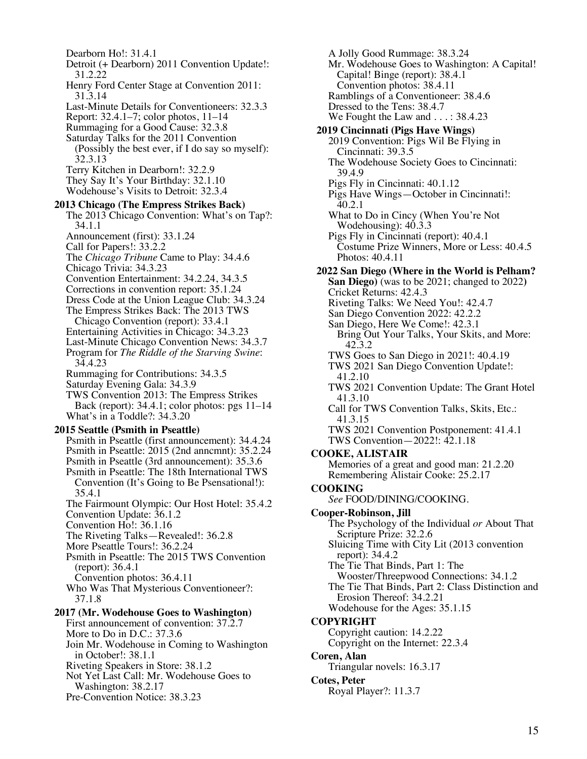Dearborn Ho!: 31.4.1 Detroit (+ Dearborn) 2011 Convention Update!: 31.2.22 Henry Ford Center Stage at Convention 2011: 31.3.14 Last-Minute Details for Conventioneers: 32.3.3 Report: 32.4.1–7; color photos, 11–14 Rummaging for a Good Cause: 32.3.8 Saturday Talks for the 2011 Convention (Possibly the best ever, if I do say so myself): 32.3.13 Terry Kitchen in Dearborn!: 32.2.9 They Say It's Your Birthday: 32.1.10 Wodehouse's Visits to Detroit: 32.3.4  **2013 Chicago (The Empress Strikes Back)** The 2013 Chicago Convention: What's on Tap?: 34.1.1 Announcement (first): 33.1.24 Call for Papers!: 33.2.2 The *Chicago Tribune* Came to Play: 34.4.6 Chicago Trivia: 34.3.23 Convention Entertainment: 34.2.24, 34.3.5 Corrections in convention report: 35.1.24 Dress Code at the Union League Club: 34.3.24 The Empress Strikes Back: The 2013 TWS Chicago Convention (report): 33.4.1 Entertaining Activities in Chicago: 34.3.23 Last-Minute Chicago Convention News: 34.3.7 Program for *The Riddle of the Starving Swine*: 34.4.23 Rummaging for Contributions: 34.3.5 Saturday Evening Gala: 34.3.9 TWS Convention 2013: The Empress Strikes Back (report): 34.4.1; color photos: pgs 11–14 What's in a Toddle?: 34.3.20  **2015 Seattle (Psmith in Pseattle)** Psmith in Pseattle (first announcement): 34.4.24 Psmith in Pseattle: 2015 (2nd anncmnt): 35.2.24 Psmith in Pseattle (3rd announcement): 35.3.6 Psmith in Pseattle: The 18th International TWS Convention (It's Going to Be Psensational!): 35.4.1 The Fairmount Olympic: Our Host Hotel: 35.4.2 Convention Update: 36.1.2 Convention Ho!: 36.1.16 The Riveting Talks—Revealed!: 36.2.8 More Pseattle Tours!: 36.2.24 Psmith in Pseattle: The 2015 TWS Convention (report): 36.4.1 Convention photos: 36.4.11 Who Was That Mysterious Conventioneer?: 37.1.8  **2017 (Mr. Wodehouse Goes to Washington)** First announcement of convention: 37.2.7 More to Do in D.C.: 37.3.6 Join Mr. Wodehouse in Coming to Washington in October!: 38.1.1 Riveting Speakers in Store: 38.1.2 Not Yet Last Call: Mr. Wodehouse Goes to Washington: 38.2.17 Pre-Convention Notice: 38.3.23

A Jolly Good Rummage: 38.3.24 Mr. Wodehouse Goes to Washington: A Capital! Capital! Binge (report): 38.4.1 Convention photos: 38.4.11 Ramblings of a Conventioneer: 38.4.6 Dressed to the Tens: 38.4.7 We Fought the Law and . . . : 38.4.23  **2019 Cincinnati (Pigs Have Wings)** 2019 Convention: Pigs Wil Be Flying in Cincinnati: 39.3.5 The Wodehouse Society Goes to Cincinnati: 39.4.9 Pigs Fly in Cincinnati: 40.1.12 Pigs Have Wings—October in Cincinnati!: 40.2.1 What to Do in Cincy (When You're Not Wodehousing): 40.3.3 Pigs Fly in Cincinnati (report): 40.4.1 Costume Prize Winners, More or Less: 40.4.5 Photos: 40.4.11  **2022 San Diego (Where in the World is Pelham? San Diego)** (was to be 2021; changed to 2022**)** Cricket Returns: 42.4.3 Riveting Talks: We Need You!: 42.4.7 San Diego Convention 2022: 42.2.2 San Diego, Here We Come!: 42.3.1 Bring Out Your Talks, Your Skits, and More: 42.3.2 TWS Goes to San Diego in 2021!: 40.4.19 TWS 2021 San Diego Convention Update!: 41.2.10 TWS 2021 Convention Update: The Grant Hotel 41.3.10 Call for TWS Convention Talks, Skits, Etc.: 41.3.15 TWS 2021 Convention Postponement: 41.4.1 TWS Convention—2022!: 42.1.18 **COOKE, ALISTAIR** Memories of a great and good man: 21.2.20 Remembering Alistair Cooke: 25.2.17 **COOKING** *See* FOOD/DINING/COOKING. **Cooper-Robinson, Jill** The Psychology of the Individual *or* About That Scripture Prize: 32.2.6 Sluicing Time with City Lit (2013 convention report): 34.4.2 The Tie That Binds, Part 1: The Wooster/Threepwood Connections: 34.1.2 The Tie That Binds, Part 2: Class Distinction and Erosion Thereof: 34.2.21 Wodehouse for the Ages: 35.1.15 **COPYRIGHT** Copyright caution: 14.2.22 Copyright on the Internet: 22.3.4 **Coren, Alan** Triangular novels: 16.3.17 **Cotes, Peter** Royal Player?: 11.3.7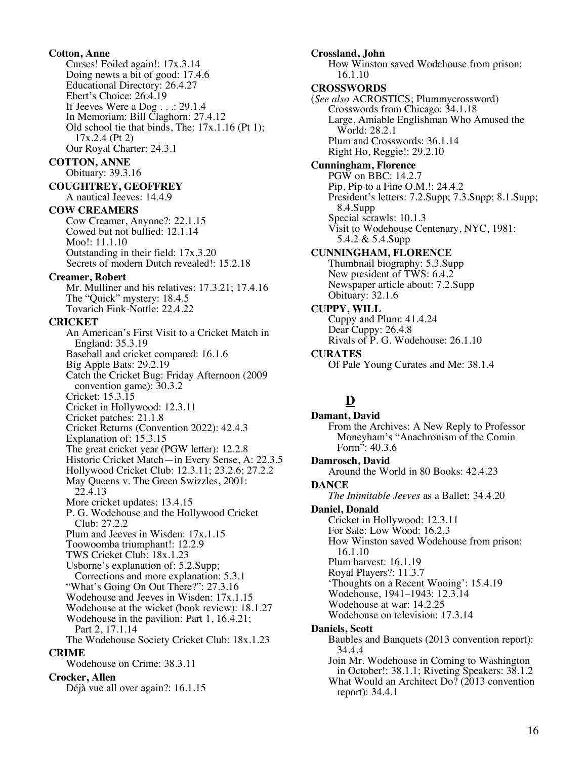**Cotton, Anne** Curses! Foiled again!: 17x.3.14 Doing newts a bit of good: 17.4.6 Educational Directory: 26.4.27 Ebert's Choice: 26.4.19 If Jeeves Were a Dog . . .: 29.1.4 In Memoriam: Bill Claghorn: 27.4.12 Old school tie that binds, The: 17x.1.16 (Pt 1); 17x.2.4 (Pt 2) Our Royal Charter: 24.3.1 **COTTON, ANNE** Obituary: 39.3.16 **COUGHTREY, GEOFFREY** A nautical Jeeves: 14.4.9 **COW CREAMERS** Cow Creamer, Anyone?: 22.1.15 Cowed but not bullied: 12.1.14 Moo!: 11.1.10 Outstanding in their field: 17x.3.20 Secrets of modern Dutch revealed!: 15.2.18 **Creamer, Robert** Mr. Mulliner and his relatives: 17.3.21; 17.4.16 The "Quick" mystery: 18.4.5 Tovarich Fink-Nottle: 22.4.22 **CRICKET** An American's First Visit to a Cricket Match in England: 35.3.19 Baseball and cricket compared: 16.1.6 Big Apple Bats: 29.2.19 Catch the Cricket Bug: Friday Afternoon (2009 convention game): 30.3.2 Cricket: 15.3.15 Cricket in Hollywood: 12.3.11 Cricket patches: 21.1.8 Cricket Returns (Convention 2022): 42.4.3 Explanation of: 15.3.15 The great cricket year (PGW letter): 12.2.8 Historic Cricket Match—in Every Sense, A: 22.3.5 Hollywood Cricket Club: 12.3.11; 23.2.6; 27.2.2 May Queens v. The Green Swizzles, 2001: 22.4.13 More cricket updates: 13.4.15 P. G. Wodehouse and the Hollywood Cricket Club: 27.2.2 Plum and Jeeves in Wisden: 17x.1.15 Toowoomba triumphant!: 12.2.9 TWS Cricket Club: 18x.1.23 Usborne's explanation of: 5.2.Supp; Corrections and more explanation: 5.3.1 "What's Going On Out There?": 27.3.16 Wodehouse and Jeeves in Wisden: 17x.1.15 Wodehouse at the wicket (book review): 18.1.27 Wodehouse in the pavilion: Part 1, 16.4.21; Part 2, 17.1.14 The Wodehouse Society Cricket Club: 18x.1.23 **CRIME** Wodehouse on Crime: 38.3.11 **Crocker, Allen** Déjà vue all over again?: 16.1.15

**Crossland, John** How Winston saved Wodehouse from prison: 16.1.10 **CROSSWORDS** (*See also* ACROSTICS; Plummycrossword) Crosswords from Chicago: 34.1.18 Large, Amiable Englishman Who Amused the World: 28.2.1 Plum and Crosswords: 36.1.14 Right Ho, Reggie!: 29.2.10 **Cunningham, Florence** PGW on BBC: 14.2.7 Pip, Pip to a Fine O.M.!: 24.4.2 President's letters: 7.2.Supp; 7.3.Supp; 8.1.Supp; 8.4.Supp Special scrawls: 10.1.3 Visit to Wodehouse Centenary, NYC, 1981: 5.4.2 & 5.4.Supp **CUNNINGHAM, FLORENCE** Thumbnail biography: 5.3.Supp New president of TWS: 6.4.2 Newspaper article about: 7.2.Supp Obituary: 32.1.6 **CUPPY, WILL** Cuppy and Plum: 41.4.24 Dear Cuppy: 26.4.8 Rivals of P. G. Wodehouse: 26.1.10 **CURATES** Of Pale Young Curates and Me: 38.1.4 **D Damant, David** From the Archives: A New Reply to Professor Moneyham's "Anachronism of the Comin Form": 40.3.6 **Damrosch, David** Around the World in 80 Books: 42.4.23 **DANCE** *The Inimitable Jeeves* as a Ballet: 34.4.20 **Daniel, Donald** Cricket in Hollywood: 12.3.11 For Sale: Low Wood: 16.2.3 How Winston saved Wodehouse from prison: 16.1.10 Plum harvest: 16.1.19 Royal Players?: 11.3.7 'Thoughts on a Recent Wooing': 15.4.19 Wodehouse, 1941–1943: 12.3.14 Wodehouse at war: 14.2.25 Wodehouse on television: 17.3.14 **Daniels, Scott** Baubles and Banquets (2013 convention report): 34.4.4 Join Mr. Wodehouse in Coming to Washington in October!: 38.1.1; Riveting Speakers: 38.1.2 What Would an Architect Do? (2013 convention

report): 34.4.1

16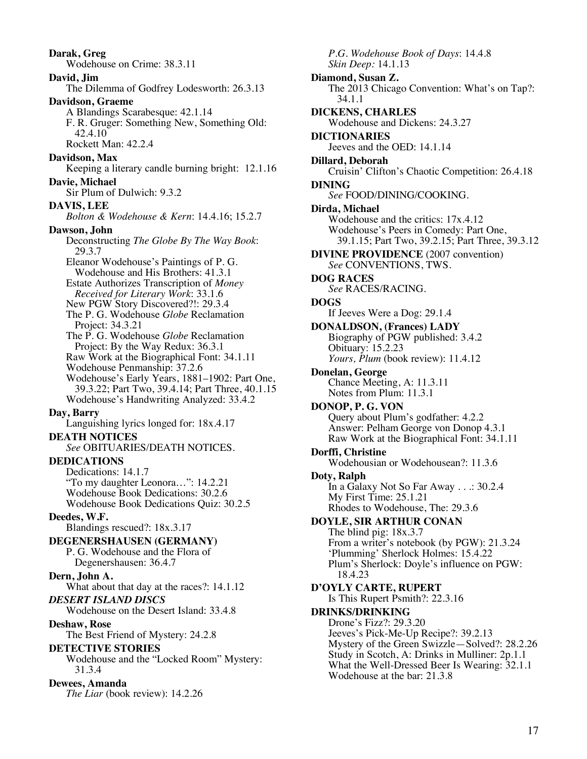**Darak, Greg** Wodehouse on Crime: 38.3.11 **David, Jim** The Dilemma of Godfrey Lodesworth: 26.3.13 **Davidson, Graeme** A Blandings Scarabesque: 42.1.14 F. R. Gruger: Something New, Something Old: 42.4.10 Rockett Man: 42.2.4 **Davidson, Max** Keeping a literary candle burning bright: 12.1.16 **Davie, Michael** Sir Plum of Dulwich: 9.3.2 **DAVIS, LEE** *Bolton & Wodehouse & Kern*: 14.4.16; 15.2.7 **Dawson, John** Deconstructing *The Globe By The Way Book*: 29.3.7 Eleanor Wodehouse's Paintings of P. G. Wodehouse and His Brothers: 41.3.1 Estate Authorizes Transcription of *Money Received for Literary Work*: 33.1.6 New PGW Story Discovered?!: 29.3.4 The P. G. Wodehouse *Globe* Reclamation Project: 34.3.21 The P. G. Wodehouse *Globe* Reclamation Project: By the Way Redux: 36.3.1 Raw Work at the Biographical Font: 34.1.11 Wodehouse Penmanship: 37.2.6 Wodehouse's Early Years, 1881–1902: Part One, 39.3.22; Part Two, 39.4.14; Part Three, 40.1.15 Wodehouse's Handwriting Analyzed: 33.4.2 **Day, Barry** Languishing lyrics longed for: 18x.4.17 **DEATH NOTICES** *See* OBITUARIES/DEATH NOTICES. **DEDICATIONS** Dedications: 14.1.7 "To my daughter Leonora…": 14.2.21 Wodehouse Book Dedications: 30.2.6 Wodehouse Book Dedications Quiz: 30.2.5 **Deedes, W.F.** Blandings rescued?: 18x.3.17 **DEGENERSHAUSEN (GERMANY)** P. G. Wodehouse and the Flora of Degenershausen: 36.4.7 **Dern, John A.** What about that day at the races?: 14.1.12 *DESERT ISLAND DISCS* Wodehouse on the Desert Island: 33.4.8 **Deshaw, Rose** The Best Friend of Mystery: 24.2.8 **DETECTIVE STORIES** Wodehouse and the "Locked Room" Mystery: 31.3.4 **Dewees, Amanda** *The Liar* (book review): 14.2.26

*P.G. Wodehouse Book of Days*: 14.4.8 *Skin Deep:* 14.1.13 **Diamond, Susan Z.** The 2013 Chicago Convention: What's on Tap?: 34.1.1 **DICKENS, CHARLES** Wodehouse and Dickens: 24.3.27 **DICTIONARIES** Jeeves and the OED: 14.1.14 **Dillard, Deborah** Cruisin' Clifton's Chaotic Competition: 26.4.18 **DINING** *See* FOOD/DINING/COOKING. **Dirda, Michael** Wodehouse and the critics: 17x.4.12 Wodehouse's Peers in Comedy: Part One, 39.1.15; Part Two, 39.2.15; Part Three, 39.3.12 **DIVINE PROVIDENCE** (2007 convention) *See* CONVENTIONS, TWS. **DOG RACES** *See* RACES/RACING. **DOGS** If Jeeves Were a Dog: 29.1.4 **DONALDSON, (Frances) LADY** Biography of PGW published: 3.4.2 Obituary: 15.2.23 *Yours, Plum* (book review): 11.4.12 **Donelan, George** Chance Meeting, A: 11.3.11 Notes from Plum: 11.3.1 **DONOP, P. G. VON** Query about Plum's godfather: 4.2.2 Answer: Pelham George von Donop 4.3.1 Raw Work at the Biographical Font: 34.1.11 **Dorffi, Christine** Wodehousian or Wodehousean?: 11.3.6 **Doty, Ralph** In a Galaxy Not So Far Away . . .: 30.2.4 My First Time: 25.1.21 Rhodes to Wodehouse, The: 29.3.6 **DOYLE, SIR ARTHUR CONAN** The blind pig: 18x.3.7 From a writer's notebook (by PGW): 21.3.24 'Plumming' Sherlock Holmes: 15.4.22 Plum's Sherlock: Doyle's influence on PGW: 18.4.23 **D'OYLY CARTE, RUPERT** Is This Rupert Psmith?: 22.3.16 **DRINKS/DRINKING** Drone's Fizz?: 29.3.20 Jeeves's Pick-Me-Up Recipe?: 39.2.13 Mystery of the Green Swizzle—Solved?: 28.2.26 Study in Scotch, A: Drinks in Mulliner: 2p.1.1 What the Well-Dressed Beer Is Wearing: 32.1.1 Wodehouse at the bar: 21.3.8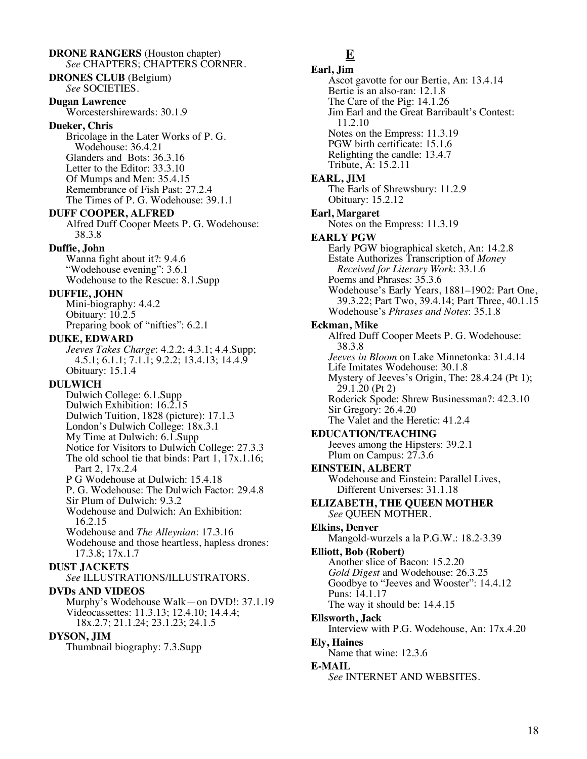**DRONE RANGERS** (Houston chapter) *See* CHAPTERS; CHAPTERS CORNER. **DRONES CLUB** (Belgium) *See* SOCIETIES. **Dugan Lawrence** Worcestershirewards: 30.1.9 **Dueker, Chris** Bricolage in the Later Works of P. G. Wodehouse: 36.4.21 Glanders and Bots: 36.3.16 Letter to the Editor: 33.3.10 Of Mumps and Men: 35.4.15 Remembrance of Fish Past: 27.2.4 The Times of P. G. Wodehouse: 39.1.1 **DUFF COOPER, ALFRED** Alfred Duff Cooper Meets P. G. Wodehouse: 38.3.8 **Duffie, John** Wanna fight about it?: 9.4.6 "Wodehouse evening": 3.6.1 Wodehouse to the Rescue: 8.1.Supp **DUFFIE, JOHN** Mini-biography: 4.4.2 Obituary: 10.2.5 Preparing book of "nifties": 6.2.1 **DUKE, EDWARD** *Jeeves Takes Charge*: 4.2.2; 4.3.1; 4.4.Supp; 4.5.1; 6.1.1; 7.1.1; 9.2.2; 13.4.13; 14.4.9 Obituary: 15.1.4 **DULWICH** Dulwich College: 6.1.Supp Dulwich Exhibition: 16.2.15 Dulwich Tuition, 1828 (picture): 17.1.3 London's Dulwich College: 18x.3.1 My Time at Dulwich: 6.1.Supp Notice for Visitors to Dulwich College: 27.3.3 The old school tie that binds: Part 1, 17x.1.16; Part 2, 17x.2.4 P G Wodehouse at Dulwich: 15.4.18 P. G. Wodehouse: The Dulwich Factor: 29.4.8 Sir Plum of Dulwich: 9.3.2 Wodehouse and Dulwich: An Exhibition: 16.2.15 Wodehouse and *The Alleynian*: 17.3.16 Wodehouse and those heartless, hapless drones: 17.3.8; 17x.1.7 **DUST JACKETS** *See* ILLUSTRATIONS/ILLUSTRATORS. **DVDs AND VIDEOS** Murphy's Wodehouse Walk—on DVD!: 37.1.19 Videocassettes: 11.3.13; 12.4.10; 14.4.4; 18x.2.7; 21.1.24; 23.1.23; 24.1.5 **DYSON, JIM**

Thumbnail biography: 7.3.Supp

## **E**

**Earl, Jim** Ascot gavotte for our Bertie, An: 13.4.14 Bertie is an also-ran: 12.1.8 The Care of the Pig: 14.1.26 Jim Earl and the Great Barribault's Contest: 11.2.10 Notes on the Empress: 11.3.19 PGW birth certificate: 15.1.6 Relighting the candle: 13.4.7 Tribute, A: 15.2.11 **EARL, JIM** The Earls of Shrewsbury: 11.2.9 Obituary: 15.2.12 **Earl, Margaret** Notes on the Empress: 11.3.19 **EARLY PGW** Early PGW biographical sketch, An: 14.2.8 Estate Authorizes Transcription of *Money Received for Literary Work*: 33.1.6 Poems and Phrases: 35.3.6 Wodehouse's Early Years, 1881–1902: Part One, 39.3.22; Part Two, 39.4.14; Part Three, 40.1.15 Wodehouse's *Phrases and Notes*: 35.1.8 **Eckman, Mike** Alfred Duff Cooper Meets P. G. Wodehouse: 38.3.8 *Jeeves in Bloom* on Lake Minnetonka: 31.4.14 Life Imitates Wodehouse: 30.1.8 Mystery of Jeeves's Origin, The: 28.4.24 (Pt 1); 29.1.20 (Pt 2) Roderick Spode: Shrew Businessman?: 42.3.10 Sir Gregory: 26.4.20 The Valet and the Heretic: 41.2.4 **EDUCATION/TEACHING** Jeeves among the Hipsters: 39.2.1 Plum on Campus: 27.3.6 **EINSTEIN, ALBERT** Wodehouse and Einstein: Parallel Lives, Different Universes: 31.1.18 **ELIZABETH, THE QUEEN MOTHER** *See* QUEEN MOTHER. **Elkins, Denver** Mangold-wurzels a la P.G.W.: 18.2-3.39 **Elliott, Bob (Robert)** Another slice of Bacon: 15.2.20 *Gold Digest* and Wodehouse: 26.3.25 Goodbye to "Jeeves and Wooster": 14.4.12 Puns: 14.1.17 The way it should be: 14.4.15 **Ellsworth, Jack** Interview with P.G. Wodehouse, An: 17x.4.20 **Ely, Haines** Name that wine: 12.3.6 **E-MAIL** *See* INTERNET AND WEBSITES.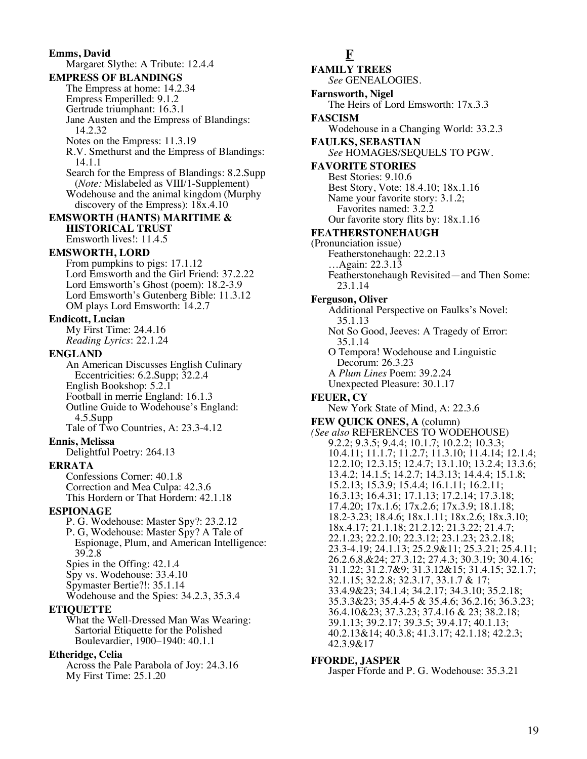**Emms, David** Margaret Slythe: A Tribute: 12.4.4 **EMPRESS OF BLANDINGS** The Empress at home: 14.2.34 Empress Emperilled: 9.1.2 Gertrude triumphant: 16.3.1 Jane Austen and the Empress of Blandings: 14.2.32 Notes on the Empress: 11.3.19 R.V. Smethurst and the Empress of Blandings: 14.1.1 Search for the Empress of Blandings: 8.2.Supp (*Note:* Mislabeled as VIII/1-Supplement) Wodehouse and the animal kingdom (Murphy discovery of the Empress): 18x.4.10 **EMSWORTH (HANTS) MARITIME & HISTORICAL TRUST** Emsworth lives!: 11.4.5 **EMSWORTH, LORD** From pumpkins to pigs: 17.1.12 Lord Emsworth and the Girl Friend: 37.2.22 Lord Emsworth's Ghost (poem): 18.2-3.9 Lord Emsworth's Gutenberg Bible: 11.3.12 OM plays Lord Emsworth: 14.2.7 **Endicott, Lucian** My First Time: 24.4.16 *Reading Lyrics*: 22.1.24 **ENGLAND** An American Discusses English Culinary Eccentricities: 6.2.Supp; 32.2.4 English Bookshop: 5.2.1 Football in merrie England: 16.1.3 Outline Guide to Wodehouse's England: 4.5.Supp Tale of Two Countries, A: 23.3-4.12 **Ennis, Melissa** Delightful Poetry: 264.13 **ERRATA** Confessions Corner: 40.1.8 Correction and Mea Culpa: 42.3.6 This Hordern or That Hordern: 42.1.18 **ESPIONAGE** P. G. Wodehouse: Master Spy?: 23.2.12 P. G, Wodehouse: Master Spy? A Tale of Espionage, Plum, and American Intelligence: 39.2.8 Spies in the Offing: 42.1.4 Spy vs. Wodehouse: 33.4.10 Spymaster Bertie?!: 35.1.14 Wodehouse and the Spies: 34.2.3, 35.3.4 **ETIQUETTE** What the Well-Dressed Man Was Wearing: Sartorial Etiquette for the Polished Boulevardier, 1900–1940: 40.1.1 **Etheridge, Celia** Across the Pale Parabola of Joy: 24.3.16 My First Time: 25.1.20

**F**

**FAMILY TREES** *See* GENEALOGIES. **Farnsworth, Nigel** The Heirs of Lord Emsworth: 17x.3.3 **FASCISM** Wodehouse in a Changing World: 33.2.3 **FAULKS, SEBASTIAN** *See* HOMAGES/SEQUELS TO PGW. **FAVORITE STORIES** Best Stories: 9.10.6 Best Story, Vote: 18.4.10; 18x.1.16 Name your favorite story: 3.1.2; Favorites named: 3.2.2 Our favorite story flits by: 18x.1.16 **FEATHERSTONEHAUGH** (Pronunciation issue) Featherstonehaugh: 22.2.13 …Again: 22.3.13 Featherstonehaugh Revisited—and Then Some: 23.1.14 **Ferguson, Oliver** Additional Perspective on Faulks's Novel: 35.1.13 Not So Good, Jeeves: A Tragedy of Error: 35.1.14 O Tempora! Wodehouse and Linguistic Decorum: 26.3.23 A *Plum Lines* Poem: 39.2.24 Unexpected Pleasure: 30.1.17 **FEUER, CY** New York State of Mind, A: 22.3.6 **FEW QUICK ONES, A** (column) *(See also* REFERENCES TO WODEHOUSE) 9.2.2; 9.3.5; 9.4.4; 10.1.7; 10.2.2; 10.3.3; 10.4.11; 11.1.7; 11.2.7; 11.3.10; 11.4.14; 12.1.4; 12.2.10; 12.3.15; 12.4.7; 13.1.10; 13.2.4; 13.3.6; 13.4.2; 14.1.5; 14.2.7; 14.3.13; 14.4.4; 15.1.8; 15.2.13; 15.3.9; 15.4.4; 16.1.11; 16.2.11; 16.3.13; 16.4.31; 17.1.13; 17.2.14; 17.3.18; 17.4.20; 17x.1.6; 17x.2.6; 17x.3.9; 18.1.18; 18.2-3.23; 18.4.6; 18x.1.11; 18x.2.6; 18x.3.10; 18x.4.17; 21.1.18; 21.2.12; 21.3.22; 21.4.7; 22.1.23; 22.2.10; 22.3.12; 23.1.23; 23.2.18; 23.3-4.19; 24.1.13; 25.2.9&11; 25.3.21; 25.4.11; 26.2.6,8,&24; 27.3.12; 27.4.3; 30.3.19; 30.4.16; 31.1.22; 31.2.7&9; 31.3.12&15; 31.4.15; 32.1.7; 32.1.15; 32.2.8; 32.3.17, 33.1.7 & 17; 33.4.9&23; 34.1.4; 34.2.17; 34.3.10; 35.2.18; 35.3.3&23; 35.4.4-5 & 35.4.6; 36.2.16; 36.3.23; 36.4.10&23; 37.3.23; 37.4.16 & 23; 38.2.18; 39.1.13; 39.2.17; 39.3.5; 39.4.17; 40.1.13; 40.2.13&14; 40.3.8; 41.3.17; 42.1.18; 42.2.3; 42.3.9&17

#### **FFORDE, JASPER**

Jasper Fforde and P. G. Wodehouse: 35.3.21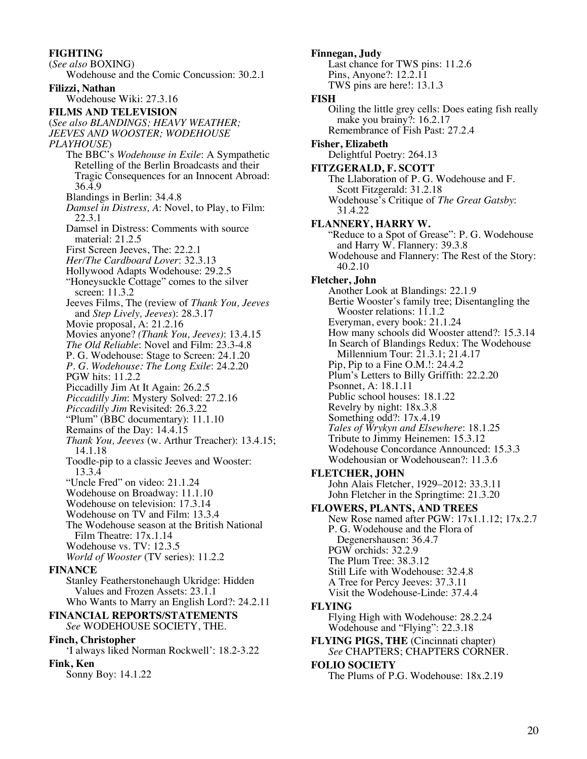**FIGHTING** (*See also* BOXING) Wodehouse and the Comic Concussion: 30.2.1 **Filizzi, Nathan** Wodehouse Wiki: 27.3.16 **FILMS AND TELEVISION** (*See also BLANDINGS; HEAVY WEATHER; JEEVES AND WOOSTER; WODEHOUSE PLAYHOUSE*) The BBC's *Wodehouse in Exile*: A Sympathetic Retelling of the Berlin Broadcasts and their Tragic Consequences for an Innocent Abroad: 36.4.9 Blandings in Berlin: 34.4.8 *Damsel in Distress, A*: Novel, to Play, to Film: 22.3.1 Damsel in Distress: Comments with source material: 21.2.5 First Screen Jeeves, The: 22.2.1 *Her/The Cardboard Lover*: 32.3.13 Hollywood Adapts Wodehouse: 29.2.5 "Honeysuckle Cottage" comes to the silver screen: 11.3.2 Jeeves Films, The (review of *Thank You, Jeeves* and *Step Lively, Jeeves*): 28.3.17 Movie proposal, A: 21.2.16 Movies anyone? *(Thank You, Jeeves)*: 13.4.15 *The Old Reliable*: Novel and Film: 23.3-4.8 P. G. Wodehouse: Stage to Screen: 24.1.20 *P. G. Wodehouse: The Long Exile*: 24.2.20 PGW hits: 11.2.2 Piccadilly Jim At It Again: 26.2.5 *Piccadilly Jim*: Mystery Solved: 27.2.16 *Piccadilly Jim* Revisited: 26.3.22 "Plum" (BBC documentary): 11.1.10 Remains of the Day: 14.4.15 *Thank You, Jeeves* (w. Arthur Treacher): 13.4.15; 14.1.18 Toodle-pip to a classic Jeeves and Wooster: 13.3.4

- "Uncle Fred" on video: 21.1.24
- Wodehouse on Broadway: 11.1.10 Wodehouse on television: 17.3.14
- Wodehouse on TV and Film: 13.3.4
- The Wodehouse season at the British National
- Film Theatre: 17x.1.14
- Wodehouse vs. TV: 12.3.5 *World of Wooster* (TV series): 11.2.2

## **FINANCE**

Stanley Featherstonehaugh Ukridge: Hidden Values and Frozen Assets: 23.1.1 Who Wants to Marry an English Lord?: 24.2.11

### **FINANCIAL REPORTS/STATEMENTS** *See* WODEHOUSE SOCIETY, THE.

## **Finch, Christopher**

'I always liked Norman Rockwell': 18.2-3.22

## **Fink, Ken**

Sonny Boy: 14.1.22

#### **Finnegan, Judy** Last chance for TWS pins: 11.2.6 Pins, Anyone?: 12.2.11 TWS pins are here!: 13.1.3 **FISH** Oiling the little grey cells: Does eating fish really make you brainy?: 16.2.17 Remembrance of Fish Past: 27.2.4 **Fisher, Elizabeth** Delightful Poetry: 264.13 **FITZGERALD, F. SCOTT** The Llaboration of P. G. Wodehouse and F. Scott Fitzgerald: 31.2.18 Wodehouse's Critique of *The Great Gatsby*: 31.4.22 **FLANNERY, HARRY W.** "Reduce to a Spot of Grease": P. G. Wodehouse and Harry W. Flannery: 39.3.8 Wodehouse and Flannery: The Rest of the Story: 40.2.10 **Fletcher, John** Another Look at Blandings: 22.1.9 Bertie Wooster's family tree; Disentangling the Wooster relations: 11.1.2 Everyman, every book: 21.1.24 How many schools did Wooster attend?: 15.3.14 In Search of Blandings Redux: The Wodehouse Millennium Tour: 21.3.1; 21.4.17 Pip, Pip to a Fine O.M.!: 24.4.2 Plum's Letters to Billy Griffith: 22.2.20 Psonnet, A: 18.1.11 Public school houses: 18.1.22 Revelry by night: 18x.3.8 Something odd?: 17x.4.19 *Tales of Wrykyn and Elsewhere*: 18.1.25 Tribute to Jimmy Heinemen: 15.3.12 Wodehouse Concordance Announced: 15.3.3 Wodehousian or Wodehousean?: 11.3.6 **FLETCHER, JOHN** John Alais Fletcher, 1929–2012: 33.3.11 John Fletcher in the Springtime: 21.3.20 **FLOWERS, PLANTS, AND TREES** New Rose named after PGW: 17x1.1.12; 17x.2.7 P. G. Wodehouse and the Flora of Degenershausen: 36.4.7 PGW orchids: 32.2.9 The Plum Tree: 38.3.12 Still Life with Wodehouse: 32.4.8 A Tree for Percy Jeeves: 37.3.11 Visit the Wodehouse-Linde: 37.4.4 **FLYING** Flying High with Wodehouse: 28.2.24 Wodehouse and "Flying": 22.3.18 **FLYING PIGS, THE** (Cincinnati chapter) *See* CHAPTERS; CHAPTERS CORNER. **FOLIO SOCIETY**

The Plums of P.G. Wodehouse: 18x.2.19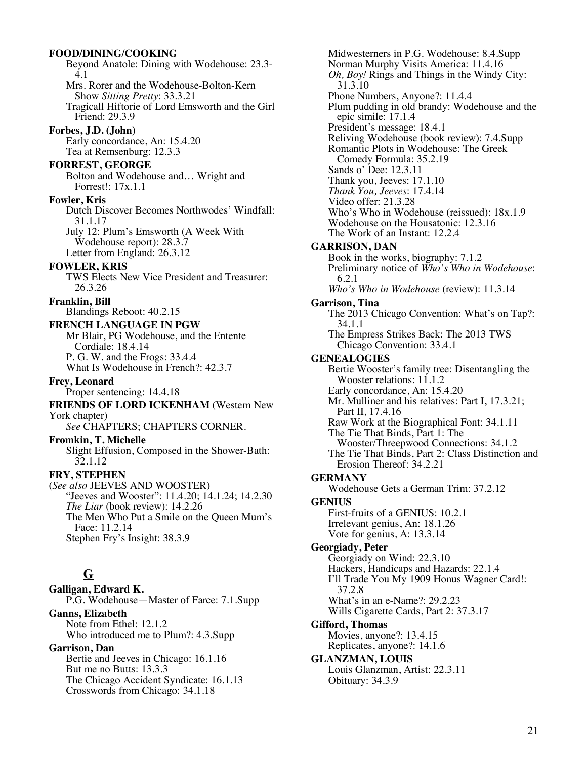#### **FOOD/DINING/COOKING**

Beyond Anatole: Dining with Wodehouse: 23.3- 4.1 Mrs. Rorer and the Wodehouse-Bolton-Kern Show *Sitting Pretty*: 33.3.21 Tragicall Hiftorie of Lord Emsworth and the Girl Friend: 29.3.9 **Forbes, J.D. (John)** Early concordance, An: 15.4.20 Tea at Remsenburg: 12.3.3 **FORREST, GEORGE** Bolton and Wodehouse and… Wright and Forrest!: 17x.1.1 **Fowler, Kris** Dutch Discover Becomes Northwodes' Windfall: 31.1.17 July 12: Plum's Emsworth (A Week With Wodehouse report): 28.3.7 Letter from England: 26.3.12 **FOWLER, KRIS** TWS Elects New Vice President and Treasurer: 26.3.26 **Franklin, Bill** Blandings Reboot: 40.2.15 **FRENCH LANGUAGE IN PGW** Mr Blair, PG Wodehouse, and the Entente Cordiale: 18.4.14 P. G. W. and the Frogs: 33.4.4 What Is Wodehouse in French?: 42.3.7 **Frey, Leonard** Proper sentencing: 14.4.18 **FRIENDS OF LORD ICKENHAM** (Western New York chapter) *See* CHAPTERS; CHAPTERS CORNER. **Fromkin, T. Michelle** Slight Effusion, Composed in the Shower-Bath: 32.1.12 **FRY, STEPHEN** (*See also* JEEVES AND WOOSTER) "Jeeves and Wooster": 11.4.20; 14.1.24; 14.2.30 *The Liar* (book review): 14.2.26 The Men Who Put a Smile on the Queen Mum's Face: 11.2.14 Stephen Fry's Insight: 38.3.9 **G Galligan, Edward K.**

P.G. Wodehouse—Master of Farce: 7.1.Supp **Ganns, Elizabeth** Note from Ethel: 12.1.2 Who introduced me to Plum?: 4.3.Supp

**Garrison, Dan** Bertie and Jeeves in Chicago: 16.1.16 But me no Butts: 13.3.3 The Chicago Accident Syndicate: 16.1.13 Crosswords from Chicago: 34.1.18

Midwesterners in P.G. Wodehouse: 8.4.Supp Norman Murphy Visits America: 11.4.16 *Oh, Boy!* Rings and Things in the Windy City: 31.3.10 Phone Numbers, Anyone?: 11.4.4 Plum pudding in old brandy: Wodehouse and the epic simile: 17.1.4 President's message: 18.4.1 Reliving Wodehouse (book review): 7.4.Supp Romantic Plots in Wodehouse: The Greek Comedy Formula: 35.2.19 Sands o' Dee: 12.3.11 Thank you, Jeeves: 17.1.10 *Thank You, Jeeves*: 17.4.14 Video offer: 21.3.28 Who's Who in Wodehouse (reissued): 18x.1.9 Wodehouse on the Housatonic: 12.3.16 The Work of an Instant: 12.2.4 **GARRISON, DAN** Book in the works, biography: 7.1.2 Preliminary notice of *Who's Who in Wodehouse*: 6.2.1 *Who's Who in Wodehouse* (review): 11.3.14 **Garrison, Tina** The 2013 Chicago Convention: What's on Tap?: 34.1.1 The Empress Strikes Back: The 2013 TWS Chicago Convention: 33.4.1 **GENEALOGIES** Bertie Wooster's family tree: Disentangling the Wooster relations: 11.1.2 Early concordance, An: 15.4.20 Mr. Mulliner and his relatives: Part I, 17.3.21; Part II, 17.4.16 Raw Work at the Biographical Font: 34.1.11 The Tie That Binds, Part 1: The Wooster/Threepwood Connections: 34.1.2 The Tie That Binds, Part 2: Class Distinction and Erosion Thereof: 34.2.21 **GERMANY** Wodehouse Gets a German Trim: 37.2.12 **GENIUS** First-fruits of a GENIUS: 10.2.1 Irrelevant genius, An: 18.1.26 Vote for genius, A: 13.3.14 **Georgiady, Peter** Georgiady on Wind: 22.3.10 Hackers, Handicaps and Hazards: 22.1.4 I'll Trade You My 1909 Honus Wagner Card!: 37.2.8 What's in an e-Name?: 29.2.23 Wills Cigarette Cards, Part 2: 37.3.17 **Gifford, Thomas** Movies, anyone?: 13.4.15 Replicates, anyone?: 14.1.6 **GLANZMAN, LOUIS** Louis Glanzman, Artist: 22.3.11 Obituary: 34.3.9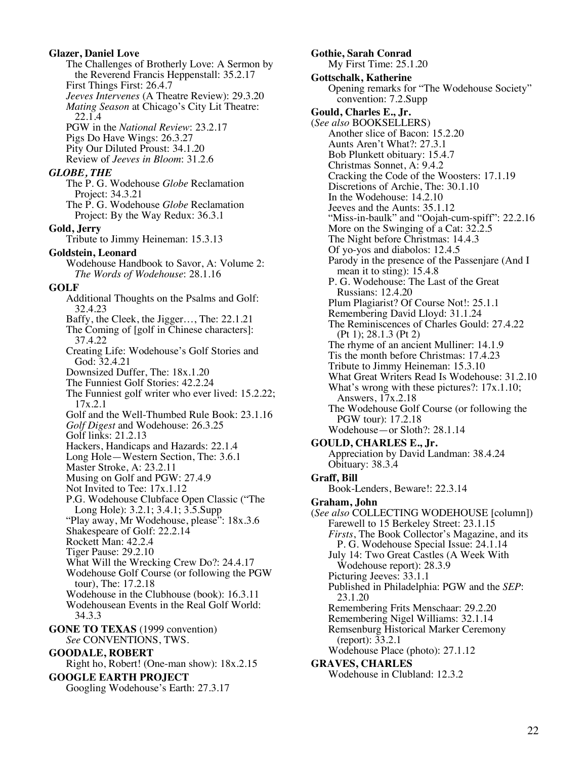#### **Glazer, Daniel Love** The Challenges of Brotherly Love: A Sermon by the Reverend Francis Heppenstall: 35.2.17 First Things First: 26.4.7 *Jeeves Intervenes* (A Theatre Review): 29.3.20 *Mating Season* at Chicago's City Lit Theatre: 22.1.4 PGW in the *National Review*: 23.2.17 Pigs Do Have Wings: 26.3.27 Pity Our Diluted Proust: 34.1.20 Review of *Jeeves in Bloom*: 31.2.6 *GLOBE, THE* The P. G. Wodehouse *Globe* Reclamation Project: 34.3.21 The P. G. Wodehouse *Globe* Reclamation Project: By the Way Redux: 36.3.1 **Gold, Jerry** Tribute to Jimmy Heineman: 15.3.13 **Goldstein, Leonard** Wodehouse Handbook to Savor, A: Volume 2: *The Words of Wodehouse*: 28.1.16 **GOLF** Additional Thoughts on the Psalms and Golf: 32.4.23 Baffy, the Cleek, the Jigger…, The: 22.1.21 The Coming of [golf in Chinese characters]: 37.4.22 Creating Life: Wodehouse's Golf Stories and God: 32.4.21 Downsized Duffer, The: 18x.1.20 The Funniest Golf Stories: 42.2.24 The Funniest golf writer who ever lived: 15.2.22; 17x.2.1 Golf and the Well-Thumbed Rule Book: 23.1.16 *Golf Digest* and Wodehouse: 26.3.25 Golf links: 21.2.13 Hackers, Handicaps and Hazards: 22.1.4 Long Hole—Western Section, The: 3.6.1 Master Stroke, A: 23.2.11 Musing on Golf and PGW: 27.4.9 Not Invited to Tee: 17x.1.12 P.G. Wodehouse Clubface Open Classic ("The Long Hole): 3.2.1; 3.4.1; 3.5.Supp "Play away, Mr Wodehouse, please": 18x.3.6 Shakespeare of Golf: 22.2.14 Rockett Man: 42.2.4 Tiger Pause: 29.2.10 What Will the Wrecking Crew Do?: 24.4.17 Wodehouse Golf Course (or following the PGW tour), The: 17.2.18 Wodehouse in the Clubhouse (book): 16.3.11 Wodehousean Events in the Real Golf World: 34.3.3 **GONE TO TEXAS** (1999 convention) *See* CONVENTIONS, TWS. **GOODALE, ROBERT** Right ho, Robert! (One-man show): 18x.2.15 **GOOGLE EARTH PROJECT** Googling Wodehouse's Earth: 27.3.17

**Gothie, Sarah Conrad** My First Time: 25.1.20 **Gottschalk, Katherine** Opening remarks for "The Wodehouse Society" convention: 7.2.Supp **Gould, Charles E., Jr.** (*See also* BOOKSELLERS) Another slice of Bacon: 15.2.20 Aunts Aren't What?: 27.3.1 Bob Plunkett obituary: 15.4.7 Christmas Sonnet, A: 9.4.2 Cracking the Code of the Woosters: 17.1.19 Discretions of Archie, The: 30.1.10 In the Wodehouse: 14.2.10 Jeeves and the Aunts: 35.1.12 "Miss-in-baulk" and "Oojah-cum-spiff": 22.2.16 More on the Swinging of a Cat: 32.2.5 The Night before Christmas: 14.4.3 Of yo-yos and diabolos: 12.4.5 Parody in the presence of the Passenjare (And I mean it to sting): 15.4.8 P. G. Wodehouse: The Last of the Great Russians: 12.4.20 Plum Plagiarist? Of Course Not!: 25.1.1 Remembering David Lloyd: 31.1.24 The Reminiscences of Charles Gould: 27.4.22 (Pt 1); 28.1.3 (Pt 2) The rhyme of an ancient Mulliner: 14.1.9 Tis the month before Christmas: 17.4.23 Tribute to Jimmy Heineman: 15.3.10 What Great Writers Read Is Wodehouse: 31.2.10 What's wrong with these pictures?: 17x.1.10; Answers, 17x.2.18 The Wodehouse Golf Course (or following the PGW tour): 17.2.18 Wodehouse—or Sloth?: 28.1.14 **GOULD, CHARLES E., Jr.** Appreciation by David Landman: 38.4.24 Obituary: 38.3.4 **Graff, Bill** Book-Lenders, Beware!: 22.3.14 **Graham, John** (*See also* COLLECTING WODEHOUSE [column]) Farewell to 15 Berkeley Street: 23.1.15 *Firsts*, The Book Collector's Magazine, and its P. G. Wodehouse Special Issue: 24.1.14 July 14: Two Great Castles (A Week With Wodehouse report): 28.3.9 Picturing Jeeves: 33.1.1 Published in Philadelphia: PGW and the *SEP*: 23.1.20 Remembering Frits Menschaar: 29.2.20 Remembering Nigel Williams: 32.1.14 Remsenburg Historical Marker Ceremony (report): 33.2.1 Wodehouse Place (photo): 27.1.12 **GRAVES, CHARLES** Wodehouse in Clubland: 12.3.2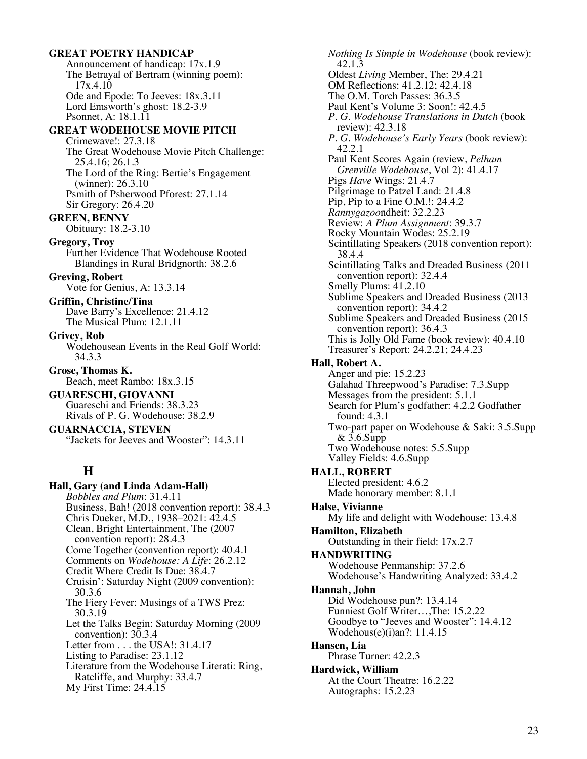### **GREAT POETRY HANDICAP**

Announcement of handicap: 17x.1.9 The Betrayal of Bertram (winning poem): 17x.4.10 Ode and Epode: To Jeeves: 18x.3.11 Lord Emsworth's ghost: 18.2-3.9 Psonnet, A: 18.1.11

#### **GREAT WODEHOUSE MOVIE PITCH**

Crimewave!: 27.3.18 The Great Wodehouse Movie Pitch Challenge: 25.4.16; 26.1.3 The Lord of the Ring: Bertie's Engagement (winner): 26.3.10 Psmith of Psherwood Pforest: 27.1.14 Sir Gregory: 26.4.20

#### **GREEN, BENNY**

Obituary: 18.2-3.10

#### **Gregory, Troy**

Further Evidence That Wodehouse Rooted Blandings in Rural Bridgnorth: 38.2.6

**Greving, Robert** Vote for Genius, A: 13.3.14

**Griffin, Christine/Tina** Dave Barry's Excellence: 21.4.12 The Musical Plum: 12.1.11

**Grivey, Rob**

Wodehousean Events in the Real Golf World: 34.3.3

**Grose, Thomas K.** Beach, meet Rambo: 18x.3.15

**GUARESCHI, GIOVANNI** Guareschi and Friends: 38.3.23 Rivals of P. G. Wodehouse: 38.2.9

**GUARNACCIA, STEVEN** "Jackets for Jeeves and Wooster": 14.3.11

# **H**

**Hall, Gary (and Linda Adam-Hall)** *Bobbles and Plum*: 31.4.11 Business, Bah! (2018 convention report): 38.4.3 Chris Dueker, M.D., 1938–2021: 42.4.5 Clean, Bright Entertainment, The (2007 convention report): 28.4.3 Come Together (convention report): 40.4.1 Comments on *Wodehouse: A Life*: 26.2.12 Credit Where Credit Is Due: 38.4.7 Cruisin': Saturday Night (2009 convention): 30.3.6 The Fiery Fever: Musings of a TWS Prez: 30.3.19 Let the Talks Begin: Saturday Morning (2009 convention): 30.3.4 Letter from . . . the USA!: 31.4.17 Listing to Paradise: 23.1.12 Literature from the Wodehouse Literati: Ring, Ratcliffe, and Murphy: 33.4.7 My First Time: 24.4.15

*Nothing Is Simple in Wodehouse* (book review): 42.1.3 Oldest *Living* Member, The: 29.4.21 OM Reflections: 41.2.12; 42.4.18 The O.M. Torch Passes: 36.3.5 Paul Kent's Volume 3: Soon!: 42.4.5 *P. G. Wodehouse Translations in Dutch* (book review): 42.3.18 *P. G. Wodehouse's Early Years* (book review): 42.2.1 Paul Kent Scores Again (review, *Pelham Grenville Wodehouse*, Vol 2): 41.4.17 Pigs *Have* Wings: 21.4.7 Pilgrimage to Patzel Land: 21.4.8 Pip, Pip to a Fine O.M.!: 24.4.2 *Rannygazoo*ndheit: 32.2.23 Review: *A Plum Assignment*: 39.3.7 Rocky Mountain Wodes: 25.2.19 Scintillating Speakers (2018 convention report): 38.4.4 Scintillating Talks and Dreaded Business (2011 convention report): 32.4.4 Smelly Plums: 41.2.10 Sublime Speakers and Dreaded Business (2013 convention report): 34.4.2 Sublime Speakers and Dreaded Business (2015 convention report): 36.4.3 This is Jolly Old Fame (book review): 40.4.10 Treasurer's Report: 24.2.21; 24.4.23 **Hall, Robert A.** Anger and pie: 15.2.23 Galahad Threepwood's Paradise: 7.3.Supp Messages from the president: 5.1.1 Search for Plum's godfather: 4.2.2 Godfather found: 4.3.1 Two-part paper on Wodehouse & Saki: 3.5.Supp & 3.6.Supp Two Wodehouse notes: 5.5.Supp Valley Fields: 4.6.Supp **HALL, ROBERT** Elected president: 4.6.2 Made honorary member: 8.1.1 **Halse, Vivianne** My life and delight with Wodehouse: 13.4.8 **Hamilton, Elizabeth** Outstanding in their field: 17x.2.7 **HANDWRITING** Wodehouse Penmanship: 37.2.6 Wodehouse's Handwriting Analyzed: 33.4.2 **Hannah, John** Did Wodehouse pun?: 13.4.14 Funniest Golf Writer…,The: 15.2.22 Goodbye to "Jeeves and Wooster": 14.4.12 Wodehous(e)(i)an?: 11.4.15 **Hansen, Lia** Phrase Turner: 42.2.3 **Hardwick, William** At the Court Theatre: 16.2.22 Autographs: 15.2.23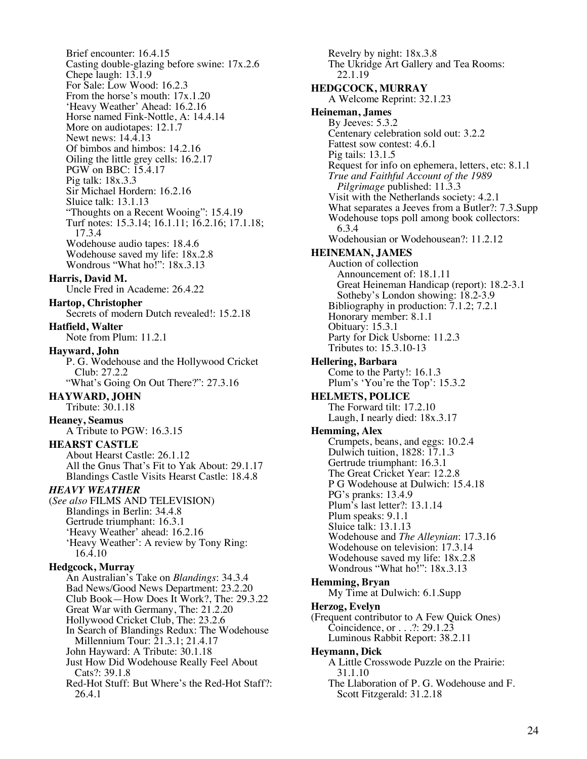Brief encounter: 16.4.15 Casting double-glazing before swine: 17x.2.6 Chepe laugh: 13.1.9 For Sale: Low Wood: 16.2.3 From the horse's mouth: 17x.1.20 'Heavy Weather' Ahead: 16.2.16 Horse named Fink-Nottle, A: 14.4.14 More on audiotapes: 12.1.7 Newt news: 14.4.13 Of bimbos and himbos: 14.2.16 Oiling the little grey cells: 16.2.17 PGW on BBC: 15.4.17 Pig talk: 18x.3.3 Sir Michael Hordern: 16.2.16 Sluice talk: 13.1.13 "Thoughts on a Recent Wooing": 15.4.19 Turf notes: 15.3.14; 16.1.11; 16.2.16; 17.1.18; 17.3.4 Wodehouse audio tapes: 18.4.6 Wodehouse saved my life: 18x.2.8 Wondrous "What ho!": 18x.3.13 **Harris, David M.** Uncle Fred in Academe: 26.4.22 **Hartop, Christopher** Secrets of modern Dutch revealed!: 15.2.18 **Hatfield, Walter** Note from Plum: 11.2.1 **Hayward, John** P. G. Wodehouse and the Hollywood Cricket Club: 27.2.2 "What's Going On Out There?": 27.3.16 **HAYWARD, JOHN** Tribute: 30.1.18 **Heaney, Seamus** A Tribute to PGW: 16.3.15 **HEARST CASTLE** About Hearst Castle: 26.1.12 All the Gnus That's Fit to Yak About: 29.1.17 Blandings Castle Visits Hearst Castle: 18.4.8 *HEAVY WEATHER* (*See also* FILMS AND TELEVISION) Blandings in Berlin: 34.4.8 Gertrude triumphant: 16.3.1 'Heavy Weather' ahead: 16.2.16 'Heavy Weather': A review by Tony Ring: 16.4.10 **Hedgcock, Murray** An Australian's Take on *Blandings*: 34.3.4 Bad News/Good News Department: 23.2.20 Club Book—How Does It Work?, The: 29.3.22 Great War with Germany, The: 21.2.20 Hollywood Cricket Club, The: 23.2.6 In Search of Blandings Redux: The Wodehouse Millennium Tour: 21.3.1; 21.4.17 John Hayward: A Tribute: 30.1.18 Just How Did Wodehouse Really Feel About Cats?: 39.1.8 Red-Hot Stuff: But Where's the Red-Hot Staff?: 26.4.1

Revelry by night: 18x.3.8 The Ukridge Art Gallery and Tea Rooms: 22.1.19 **HEDGCOCK, MURRAY** A Welcome Reprint: 32.1.23 **Heineman, James** By Jeeves: 5.3.2 Centenary celebration sold out: 3.2.2 Fattest sow contest: 4.6.1 Pig tails: 13.1.5 Request for info on ephemera, letters, etc: 8.1.1 *True and Faithful Account of the 1989 Pilgrimage* published: 11.3.3 Visit with the Netherlands society: 4.2.1 What separates a Jeeves from a Butler?: 7.3.Supp Wodehouse tops poll among book collectors: 6.3.4 Wodehousian or Wodehousean?: 11.2.12 **HEINEMAN, JAMES** Auction of collection Announcement of: 18.1.11 Great Heineman Handicap (report): 18.2-3.1 Sotheby's London showing: 18.2-3.9 Bibliography in production: 7.1.2; 7.2.1 Honorary member: 8.1.1 Obituary: 15.3.1 Party for Dick Usborne: 11.2.3 Tributes to: 15.3.10-13 **Hellering, Barbara** Come to the Party!: 16.1.3 Plum's 'You're the Top': 15.3.2 **HELMETS, POLICE** The Forward tilt: 17.2.10 Laugh, I nearly died: 18x.3.17 **Hemming, Alex** Crumpets, beans, and eggs: 10.2.4 Dulwich tuition, 1828: 17.1.3 Gertrude triumphant: 16.3.1 The Great Cricket Year: 12.2.8 P G Wodehouse at Dulwich: 15.4.18 PG's pranks: 13.4.9 Plum's last letter?: 13.1.14 Plum speaks: 9.1.1 Sluice talk: 13.1.13 Wodehouse and *The Alleynian*: 17.3.16 Wodehouse on television: 17.3.14 Wodehouse saved my life: 18x.2.8 Wondrous "What ho!": 18x.3.13 **Hemming, Bryan** My Time at Dulwich: 6.1.Supp **Herzog, Evelyn** (Frequent contributor to A Few Quick Ones) Coincidence, or . . .?: 29.1.23 Luminous Rabbit Report: 38.2.11 **Heymann, Dick** A Little Crosswode Puzzle on the Prairie: 31.1.10 The Llaboration of P. G. Wodehouse and F. Scott Fitzgerald: 31.2.18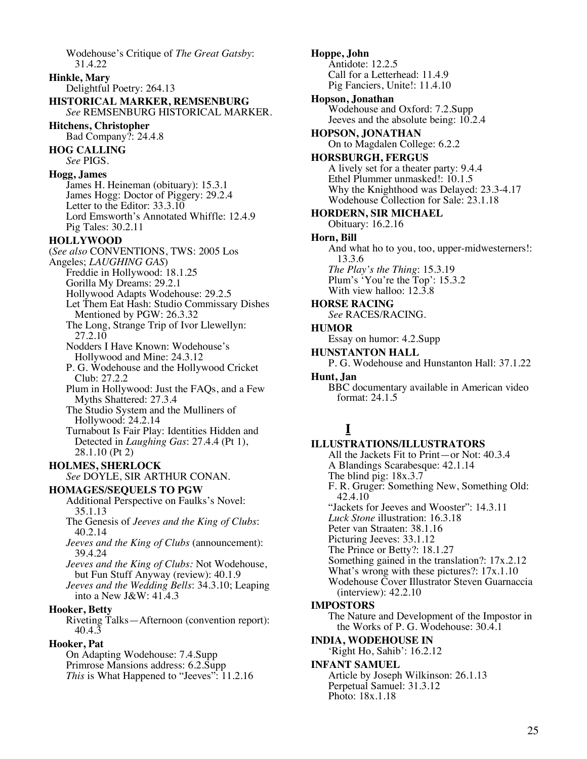Wodehouse's Critique of *The Great Gatsby*: 31.4.22

**Hinkle, Mary** Delightful Poetry: 264.13 **HISTORICAL MARKER, REMSENBURG**

*See* REMSENBURG HISTORICAL MARKER.

**Hitchens, Christopher** Bad Company?: 24.4.8

**HOG CALLING** *See* PIGS.

### **Hogg, James**

James H. Heineman (obituary): 15.3.1 James Hogg: Doctor of Piggery: 29.2.4 Letter to the Editor: 33.3.10 Lord Emsworth's Annotated Whiffle: 12.4.9 Pig Tales: 30.2.11

#### **HOLLYWOOD**

(*See also* CONVENTIONS, TWS: 2005 Los Angeles; *LAUGHING GAS*) Freddie in Hollywood: 18.1.25 Gorilla My Dreams: 29.2.1

Hollywood Adapts Wodehouse: 29.2.5

- Let Them Eat Hash: Studio Commissary Dishes Mentioned by PGW: 26.3.32
- The Long, Strange Trip of Ivor Llewellyn: 27.2.10

Nodders I Have Known: Wodehouse's Hollywood and Mine: 24.3.12

P. G. Wodehouse and the Hollywood Cricket Club: 27.2.2

Plum in Hollywood: Just the FAQs, and a Few Myths Shattered: 27.3.4

The Studio System and the Mulliners of Hollywood: 24.2.14

Turnabout Is Fair Play: Identities Hidden and Detected in *Laughing Gas*: 27.4.4 (Pt 1), 28.1.10 (Pt 2)

**HOLMES, SHERLOCK** *See* DOYLE, SIR ARTHUR CONAN.

## **HOMAGES/SEQUELS TO PGW**

Additional Perspective on Faulks's Novel: 35.1.13

The Genesis of *Jeeves and the King of Clubs*: 40.2.14

*Jeeves and the King of Clubs* (announcement): 39.4.24

*Jeeves and the King of Clubs:* Not Wodehouse, but Fun Stuff Anyway (review): 40.1.9

*Jeeves and the Wedding Bells*: 34.3.10; Leaping into a New J&W: 41.4.3

### **Hooker, Betty**

Riveting Talks—Afternoon (convention report): 40.4.3

### **Hooker, Pat**

On Adapting Wodehouse: 7.4.Supp Primrose Mansions address: 6.2.Supp *This* is What Happened to "Jeeves": 11.2.16 **Hoppe, John** Antidote: 12.2.5 Call for a Letterhead: 11.4.9 Pig Fanciers, Unite!: 11.4.10 **Hopson, Jonathan** Wodehouse and Oxford: 7.2.Supp Jeeves and the absolute being: 10.2.4 **HOPSON, JONATHAN** On to Magdalen College: 6.2.2 **HORSBURGH, FERGUS** A lively set for a theater party: 9.4.4 Ethel Plummer unmasked!: 10.1.5 Why the Knighthood was Delayed: 23.3-4.17 Wodehouse Collection for Sale: 23.1.18 **HORDERN, SIR MICHAEL** Obituary: 16.2.16 **Horn, Bill** And what ho to you, too, upper-midwesterners!: 13.3.6 *The Play's the Thing*: 15.3.19 Plum's 'You're the Top': 15.3.2 With view halloo: 12.3.8 **HORSE RACING** *See* RACES/RACING. **HUMOR** Essay on humor: 4.2.Supp **HUNSTANTON HALL** P. G. Wodehouse and Hunstanton Hall: 37.1.22 **Hunt, Jan** BBC documentary available in American video format: 24.1.5 **I ILLUSTRATIONS/ILLUSTRATORS** All the Jackets Fit to Print—or Not: 40.3.4 A Blandings Scarabesque: 42.1.14 The blind pig: 18x.3.7

F. R. Gruger: Something New, Something Old: 42.4.10

"Jackets for Jeeves and Wooster": 14.3.11

*Luck Stone* illustration: 16.3.18

Peter van Straaten: 38.1.16

Picturing Jeeves: 33.1.12

The Prince or Betty?: 18.1.27

Something gained in the translation?: 17x.2.12

What's wrong with these pictures?: 17x.1.10

Wodehouse Cover Illustrator Steven Guarnaccia (interview): 42.2.10

### **IMPOSTORS**

The Nature and Development of the Impostor in the Works of P. G. Wodehouse: 30.4.1

### **INDIA, WODEHOUSE IN**

'Right Ho, Sahib': 16.2.12

#### **INFANT SAMUEL**

Article by Joseph Wilkinson: 26.1.13 Perpetual Samuel: 31.3.12 Photo: 18x.1.18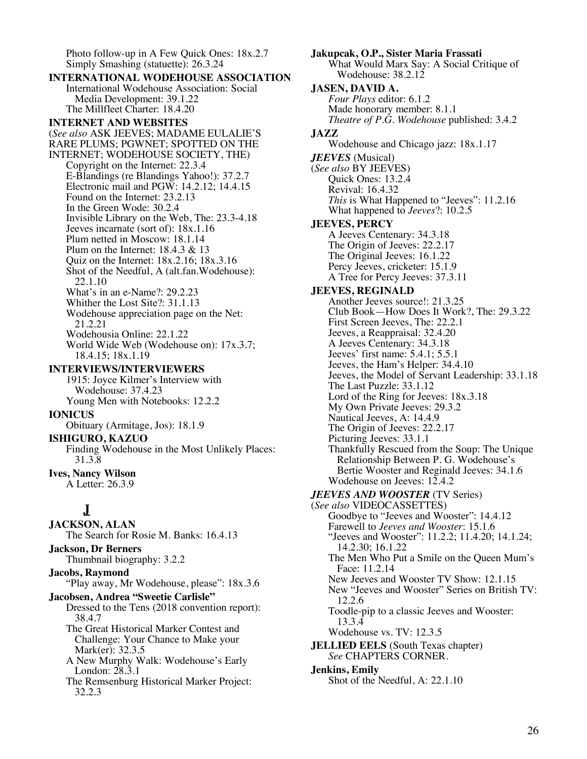Photo follow-up in A Few Quick Ones: 18x.2.7 Simply Smashing (statuette): 26.3.24

**INTERNATIONAL WODEHOUSE ASSOCIATION** International Wodehouse Association: Social Media Development: 39.1.22 The Millfleet Charter: 18.4.20 **INTERNET AND WEBSITES** (*See also* ASK JEEVES; MADAME EULALIE'S RARE PLUMS; PGWNET; SPOTTED ON THE INTERNET; WODEHOUSE SOCIETY, THE) Copyright on the Internet: 22.3.4 E-Blandings (re Blandings Yahoo!): 37.2.7 Electronic mail and PGW: 14.2.12; 14.4.15 Found on the Internet: 23.2.13 In the Green Wode: 30.2.4 Invisible Library on the Web, The: 23.3-4.18 Jeeves incarnate (sort of): 18x.1.16 Plum netted in Moscow: 18.1.14 Plum on the Internet: 18.4.3 & 13 Quiz on the Internet: 18x.2.16; 18x.3.16 Shot of the Needful, A (alt.fan.Wodehouse): 22.1.10 What's in an e-Name?: 29.2.23 Whither the Lost Site?: 31.1.13 Wodehouse appreciation page on the Net: 21.2.21 Wodehousia Online: 22.1.22 World Wide Web (Wodehouse on): 17x.3.7; 18.4.15; 18x.1.19 **INTERVIEWS/INTERVIEWERS** 1915: Joyce Kilmer's Interview with Wodehouse: 37.4.23 Young Men with Notebooks: 12.2.2 **IONICUS** Obituary (Armitage, Jos): 18.1.9 **ISHIGURO, KAZUO** Finding Wodehouse in the Most Unlikely Places: 31.3.8 **Ives, Nancy Wilson** A Letter: 26.3.9 **J JACKSON, ALAN** The Search for Rosie M. Banks: 16.4.13

**Jackson, Dr Berners** Thumbnail biography: 3.2.2 **Jacobs, Raymond**

"Play away, Mr Wodehouse, please": 18x.3.6

**Jacobsen, Andrea "Sweetie Carlisle"** Dressed to the Tens (2018 convention report): 38.4.7

The Great Historical Marker Contest and Challenge: Your Chance to Make your Mark(er): 32.3.5

A New Murphy Walk: Wodehouse's Early London: 28.3.1

The Remsenburg Historical Marker Project: 32.2.3

**Jakupcak, O.P., Sister Maria Frassati** What Would Marx Say: A Social Critique of Wodehouse: 38.2.12 **JASEN, DAVID A.** *Four Plays* editor: 6.1.2 Made honorary member: 8.1.1 *Theatre of P.G. Wodehouse* published: 3.4.2 **JAZZ** Wodehouse and Chicago jazz: 18x.1.17 *JEEVES* (Musical) (*See also* BY JEEVES) Quick Ones: 13.2.4 Revival: 16.4.32 *This* is What Happened to "Jeeves": 11.2.16 What happened to *Jeeves*?: 10.2.5 **JEEVES, PERCY** A Jeeves Centenary: 34.3.18 The Origin of Jeeves: 22.2.17 The Original Jeeves: 16.1.22 Percy Jeeves, cricketer: 15.1.9 A Tree for Percy Jeeves: 37.3.11 **JEEVES, REGINALD** Another Jeeves source!: 21.3.25 Club Book—How Does It Work?, The: 29.3.22 First Screen Jeeves, The: 22.2.1 Jeeves, a Reappraisal: 32.4.20 A Jeeves Centenary: 34.3.18 Jeeves' first name: 5.4.1; 5.5.1 Jeeves, the Ham's Helper: 34.4.10 Jeeves, the Model of Servant Leadership: 33.1.18 The Last Puzzle: 33.1.12 Lord of the Ring for Jeeves:  $18x.3.18$ My Own Private Jeeves: 29.3.2 Nautical Jeeves, A: 14.4.9 The Origin of Jeeves: 22.2.17 Picturing Jeeves: 33.1.1 Thankfully Rescued from the Soup: The Unique Relationship Between P. G. Wodehouse's Bertie Wooster and Reginald Jeeves: 34.1.6 Wodehouse on Jeeves:  $12.4.2$ *JEEVES AND WOOSTER* (TV Series) (*See also* VIDEOCASSETTES) Goodbye to "Jeeves and Wooster": 14.4.12 Farewell to *Jeeves and Wooster*: 15.1.6 "Jeeves and Wooster": 11.2.2; 11.4.20; 14.1.24; 14.2.30; 16.1.22 The Men Who Put a Smile on the Queen Mum's Face: 11.2.14 New Jeeves and Wooster TV Show: 12.1.15 New "Jeeves and Wooster" Series on British TV: 12.2.6 Toodle-pip to a classic Jeeves and Wooster: 13.3.4 Wodehouse vs. TV: 12.3.5 **JELLIED EELS** (South Texas chapter) *See* CHAPTERS CORNER. **Jenkins, Emily** Shot of the Needful, A: 22.1.10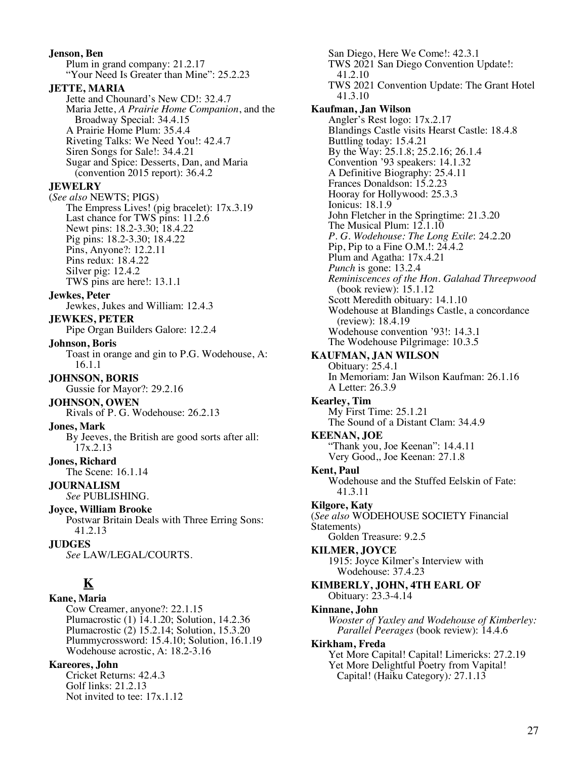**Jenson, Ben** Plum in grand company: 21.2.17 "Your Need Is Greater than Mine": 25.2.23 **JETTE, MARIA** Jette and Chounard's New CD!: 32.4.7 Maria Jette, *A Prairie Home Companion*, and the Broadway Special: 34.4.15 A Prairie Home Plum: 35.4.4 Riveting Talks: We Need You!: 42.4.7 Siren Songs for Sale!: 34.4.21 Sugar and Spice: Desserts, Dan, and Maria (convention 2015 report): 36.4.2 **JEWELRY** (*See also* NEWTS; PIGS) The Empress Lives! (pig bracelet): 17x.3.19 Last chance for TWS pins: 11.2.6 Newt pins: 18.2-3.30; 18.4.22 Pig pins: 18.2-3.30; 18.4.22 Pins, Anyone?: 12.2.11 Pins redux: 18.4.22 Silver pig: 12.4.2 TWS pins are here!: 13.1.1 **Jewkes, Peter** Jewkes, Jukes and William: 12.4.3 **JEWKES, PETER** Pipe Organ Builders Galore: 12.2.4 **Johnson, Boris** Toast in orange and gin to P.G. Wodehouse, A: 16.1.1 **JOHNSON, BORIS** Gussie for Mayor?: 29.2.16 **JOHNSON, OWEN** Rivals of P. G. Wodehouse: 26.2.13 **Jones, Mark** By Jeeves, the British are good sorts after all: 17x.2.13 **Jones, Richard** The Scene: 16.1.14 **JOURNALISM** *See* PUBLISHING. **Joyce, William Brooke** Postwar Britain Deals with Three Erring Sons: 41.2.13 **JUDGES** *See* LAW/LEGAL/COURTS. **K Kane, Maria** Cow Creamer, anyone?: 22.1.15 Plumacrostic (1) 14.1.20; Solution, 14.2.36 Plumacrostic (2) 15.2.14; Solution, 15.3.20 Plummycrossword: 15.4.10; Solution, 16.1.19 Wodehouse acrostic, A: 18.2-3.16 **Kareores, John** Cricket Returns: 42.4.3

Golf links: 21.2.13 Not invited to tee: 17x.1.12

San Diego, Here We Come!: 42.3.1 TWS 2021 San Diego Convention Update!: 41.2.10 TWS 2021 Convention Update: The Grant Hotel 41.3.10 **Kaufman, Jan Wilson** Angler's Rest logo: 17x.2.17 Blandings Castle visits Hearst Castle: 18.4.8 Buttling today: 15.4.21 By the Way: 25.1.8; 25.2.16; 26.1.4 Convention '93 speakers: 14.1.32 A Definitive Biography: 25.4.11 Frances Donaldson: 15.2.23 Hooray for Hollywood: 25.3.3 Ionicus: 18.1.9 John Fletcher in the Springtime: 21.3.20 The Musical Plum:  $12.1.10$ *P. G. Wodehouse: The Long Exile*: 24.2.20 Pip, Pip to a Fine O.M.!: 24.4.2 Plum and Agatha: 17x.4.21 *Punch* is gone: 13.2.4 *Reminiscences of the Hon. Galahad Threepwood* (book review): 15.1.12 Scott Meredith obituary: 14.1.10 Wodehouse at Blandings Castle, a concordance (review): 18.4.19 Wodehouse convention '93!: 14.3.1 The Wodehouse Pilgrimage: 10.3.5 **KAUFMAN, JAN WILSON** Obituary: 25.4.1 In Memoriam: Jan Wilson Kaufman: 26.1.16 A Letter: 26.3.9 **Kearley, Tim** My First Time: 25.1.21 The Sound of a Distant Clam: 34.4.9 **KEENAN, JOE** "Thank you, Joe Keenan": 14.4.11 Very Good,, Joe Keenan: 27.1.8 **Kent, Paul** Wodehouse and the Stuffed Eelskin of Fate: 41.3.11 **Kilgore, Katy** (*See also* WODEHOUSE SOCIETY Financial Statements) Golden Treasure: 9.2.5 **KILMER, JOYCE** 1915: Joyce Kilmer's Interview with Wodehouse: 37.4.23 **KIMBERLY, JOHN, 4TH EARL OF** Obituary: 23.3-4.14 **Kinnane, John** *Wooster of Yaxley and Wodehouse of Kimberley: Parallel Peerages* (book review): 14.4.6 **Kirkham, Freda** Yet More Capital! Capital! Limericks: 27.2.19 Yet More Delightful Poetry from Vapital! Capital! (Haiku Category)*:* 27.1.13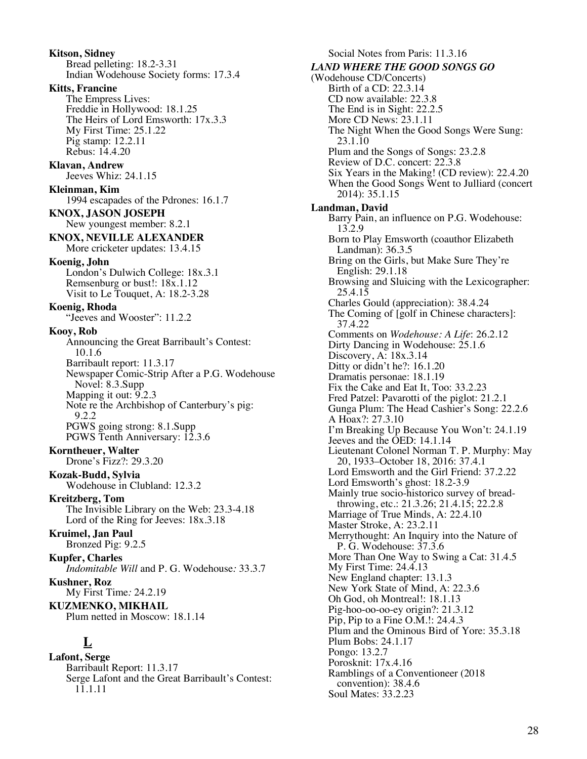**Kitson, Sidney** Bread pelleting: 18.2-3.31 Indian Wodehouse Society forms: 17.3.4 **Kitts, Francine** The Empress Lives: Freddie in Hollywood: 18.1.25 The Heirs of Lord Emsworth: 17x.3.3 My First Time: 25.1.22 Pig stamp: 12.2.11 Rebus: 14.4.20 **Klavan, Andrew** Jeeves Whiz: 24.1.15 **Kleinman, Kim** 1994 escapades of the Pdrones: 16.1.7 **KNOX, JASON JOSEPH** New youngest member: 8.2.1 **KNOX, NEVILLE ALEXANDER** More cricketer updates: 13.4.15 **Koenig, John** London's Dulwich College: 18x.3.1 Remsenburg or bust!: 18x.1.12 Visit to Le Touquet, A: 18.2-3.28 **Koenig, Rhoda** "Jeeves and Wooster": 11.2.2 **Kooy, Rob** Announcing the Great Barribault's Contest: 10.1.6 Barribault report: 11.3.17 Newspaper Comic-Strip After a P.G. Wodehouse Novel: 8.3.Supp Mapping it out: 9.2.3 Note re the Archbishop of Canterbury's pig: 9.2.2 PGWS going strong: 8.1.Supp PGWS Tenth Anniversary: 12.3.6 **Korntheuer, Walter** Drone's Fizz?: 29.3.20 **Kozak-Budd, Sylvia** Wodehouse in Clubland: 12.3.2 **Kreitzberg, Tom** The Invisible Library on the Web: 23.3-4.18 Lord of the Ring for Jeeves:  $18x.3.18$ **Kruimel, Jan Paul** Bronzed Pig: 9.2.5 **Kupfer, Charles** *Indomitable Will* and P. G. Wodehouse*:* 33.3.7 **Kushner, Roz** My First Time*:* 24.2.19 **KUZMENKO, MIKHAIL** Plum netted in Moscow: 18.1.14 **L Lafont, Serge** Barribault Report: 11.3.17 Serge Lafont and the Great Barribault's Contest:

11.1.11

Social Notes from Paris: 11.3.16 *LAND WHERE THE GOOD SONGS GO* (Wodehouse CD/Concerts) Birth of a CD: 22.3.14 CD now available: 22.3.8 The End is in Sight: 22.2.5 More CD News: 23.1.11 The Night When the Good Songs Were Sung: 23.1.10 Plum and the Songs of Songs: 23.2.8 Review of D.C. concert: 22.3.8 Six Years in the Making! (CD review): 22.4.20 When the Good Songs Went to Julliard (concert 2014): 35.1.15 **Landman, David** Barry Pain, an influence on P.G. Wodehouse: 13.2.9 Born to Play Emsworth (coauthor Elizabeth Landman): 36.3.5 Bring on the Girls, but Make Sure They're English: 29.1.18 Browsing and Sluicing with the Lexicographer: 25.4.15 Charles Gould (appreciation): 38.4.24 The Coming of [golf in Chinese characters]: 37.4.22 Comments on *Wodehouse: A Life*: 26.2.12 Dirty Dancing in Wodehouse: 25.1.6 Discovery, A: 18x.3.14 Ditty or didn't he?: 16.1.20 Dramatis personae: 18.1.19 Fix the Cake and Eat It, Too: 33.2.23 Fred Patzel: Pavarotti of the piglot: 21.2.1 Gunga Plum: The Head Cashier's Song: 22.2.6 A Hoax?: 27.3.10 I'm Breaking Up Because You Won't: 24.1.19 Jeeves and the OED: 14.1.14 Lieutenant Colonel Norman T. P. Murphy: May 20, 1933–October 18, 2016: 37.4.1 Lord Emsworth and the Girl Friend: 37.2.22 Lord Emsworth's ghost: 18.2-3.9 Mainly true socio-historico survey of breadthrowing, etc.: 21.3.26; 21.4.15; 22.2.8 Marriage of True Minds, A: 22.4.10 Master Stroke, A: 23.2.11 Merrythought: An Inquiry into the Nature of P. G. Wodehouse: 37.3.6 More Than One Way to Swing a Cat: 31.4.5 My First Time: 24.4.13 New England chapter: 13.1.3 New York State of Mind, A: 22.3.6 Oh God, oh Montreal!: 18.1.13 Pig-hoo-oo-oo-ey origin?: 21.3.12 Pip, Pip to a Fine O.M.!: 24.4.3 Plum and the Ominous Bird of Yore: 35.3.18 Plum Bobs: 24.1.17 Pongo: 13.2.7 Porosknit: 17x.4.16 Ramblings of a Conventioneer (2018 convention): 38.4.6 Soul Mates: 33.2.23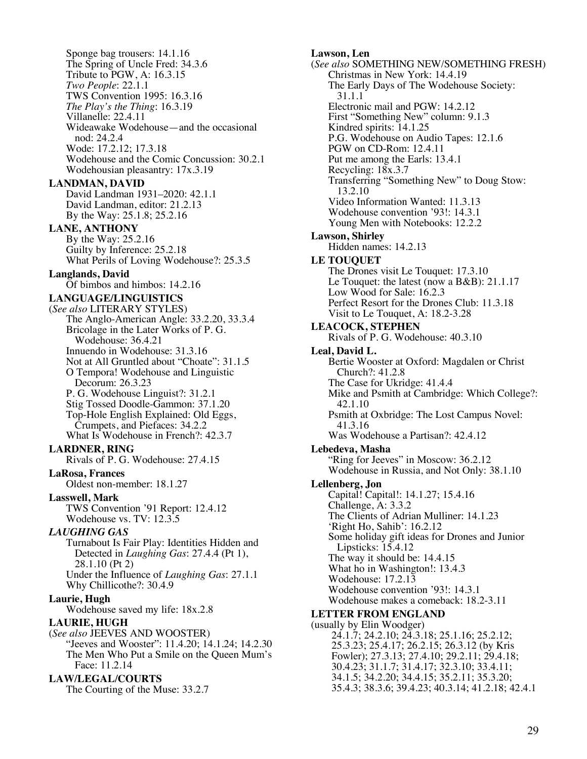Sponge bag trousers: 14.1.16 The Spring of Uncle Fred: 34.3.6 Tribute to PGW, A: 16.3.15 *Two People*: 22.1.1 TWS Convention 1995: 16.3.16 *The Play's the Thing*: 16.3.19 Villanelle: 22.4.11 Wideawake Wodehouse—and the occasional nod: 24.2.4 Wode: 17.2.12; 17.3.18 Wodehouse and the Comic Concussion: 30.2.1 Wodehousian pleasantry: 17x.3.19 **LANDMAN, DAVID** David Landman 1931–2020: 42.1.1 David Landman, editor: 21.2.13 By the Way: 25.1.8; 25.2.16 **LANE, ANTHONY** By the Way: 25.2.16 Guilty by Inference: 25.2.18 What Perils of Loving Wodehouse?: 25.3.5 **Langlands, David** Of bimbos and himbos: 14.2.16 **LANGUAGE/LINGUISTICS** (*See also* LITERARY STYLES) The Anglo-American Angle: 33.2.20, 33.3.4 Bricolage in the Later Works of P. G. Wodehouse: 36.4.21 Innuendo in Wodehouse: 31.3.16 Not at All Gruntled about "Choate": 31.1.5 O Tempora! Wodehouse and Linguistic Decorum: 26.3.23 P. G. Wodehouse Linguist?: 31.2.1 Stig Tossed Doodle-Gammon: 37.1.20 Top-Hole English Explained: Old Eggs, Crumpets, and Piefaces: 34.2.2 What Is Wodehouse in French?: 42.3.7 **LARDNER, RING** Rivals of P. G. Wodehouse: 27.4.15 **LaRosa, Frances** Oldest non-member: 18.1.27 **Lasswell, Mark** TWS Convention '91 Report: 12.4.12 Wodehouse vs. TV: 12.3.5 *LAUGHING GAS* Turnabout Is Fair Play: Identities Hidden and Detected in *Laughing Gas*: 27.4.4 (Pt 1), 28.1.10 (Pt 2) Under the Influence of *Laughing Gas*: 27.1.1 Why Chillicothe?: 30.4.9 **Laurie, Hugh** Wodehouse saved my life: 18x.2.8 **LAURIE, HUGH** (*See also* JEEVES AND WOOSTER) "Jeeves and Wooster": 11.4.20; 14.1.24; 14.2.30 The Men Who Put a Smile on the Queen Mum's Face: 11.2.14 **LAW/LEGAL/COURTS** The Courting of the Muse: 33.2.7

**Lawson, Len** (*See also* SOMETHING NEW/SOMETHING FRESH) Christmas in New York: 14.4.19 The Early Days of The Wodehouse Society: 31.1.1 Electronic mail and PGW: 14.2.12 First "Something New" column: 9.1.3 Kindred spirits: 14.1.25 P.G. Wodehouse on Audio Tapes: 12.1.6 PGW on CD-Rom: 12.4.11 Put me among the Earls: 13.4.1 Recycling: 18x.3.7 Transferring "Something New" to Doug Stow: 13.2.10 Video Information Wanted: 11.3.13 Wodehouse convention '93!: 14.3.1 Young Men with Notebooks: 12.2.2 **Lawson, Shirley** Hidden names: 14.2.13 **LE TOUQUET** The Drones visit Le Touquet: 17.3.10 Le Touquet: the latest (now a B&B): 21.1.17 Low Wood for Sale: 16.2.3 Perfect Resort for the Drones Club: 11.3.18 Visit to Le Touquet, A: 18.2-3.28 **LEACOCK, STEPHEN** Rivals of P. G. Wodehouse: 40.3.10 **Leal, David L.** Bertie Wooster at Oxford: Magdalen or Christ Church?: 41.2.8 The Case for Ukridge: 41.4.4 Mike and Psmith at Cambridge: Which College?: 42.1.10 Psmith at Oxbridge: The Lost Campus Novel: 41.3.16 Was Wodehouse a Partisan?: 42.4.12 **Lebedeva, Masha** "Ring for Jeeves" in Moscow: 36.2.12 Wodehouse in Russia, and Not Only: 38.1.10 **Lellenberg, Jon** Capital! Capital!: 14.1.27; 15.4.16 Challenge, A: 3.3.2 The Clients of Adrian Mulliner: 14.1.23 'Right Ho, Sahib': 16.2.12 Some holiday gift ideas for Drones and Junior Lipsticks: 15.4.12 The way it should be: 14.4.15 What ho in Washington!: 13.4.3 Wodehouse: 17.2.13 Wodehouse convention '93!: 14.3.1 Wodehouse makes a comeback: 18.2-3.11 **LETTER FROM ENGLAND** (usually by Elin Woodger) 24.1.7; 24.2.10; 24.3.18; 25.1.16; 25.2.12; 25.3.23; 25.4.17; 26.2.15; 26.3.12 (by Kris Fowler); 27.3.13; 27.4.10; 29.2.11; 29.4.18; 30.4.23; 31.1.7; 31.4.17; 32.3.10; 33.4.11; 34.1.5; 34.2.20; 34.4.15; 35.2.11; 35.3.20; 35.4.3; 38.3.6; 39.4.23; 40.3.14; 41.2.18; 42.4.1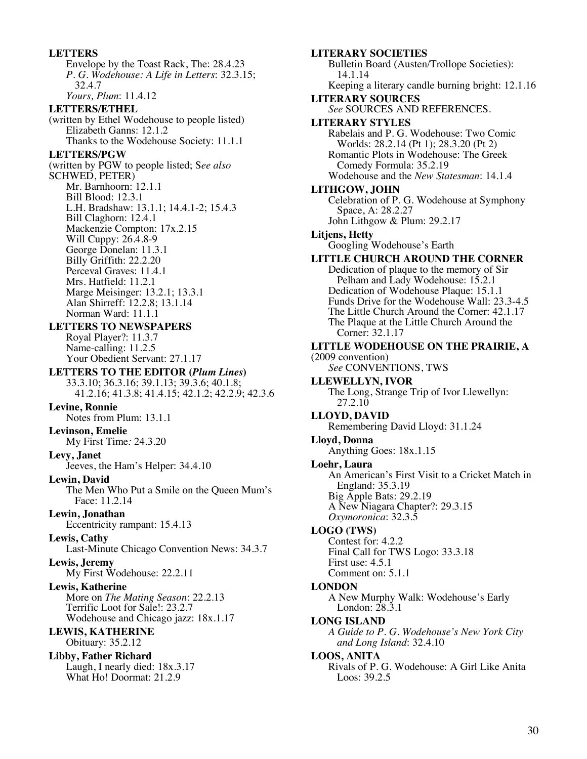#### **LETTERS**

Envelope by the Toast Rack, The: 28.4.23 *P. G. Wodehouse: A Life in Letters*: 32.3.15; 32.4.7 *Yours, Plum*: 11.4.12

#### **LETTERS/ETHEL**

(written by Ethel Wodehouse to people listed) Elizabeth Ganns: 12.1.2 Thanks to the Wodehouse Society: 11.1.1

#### **LETTERS/PGW**

(written by PGW to people listed; S*ee also* SCHWED, PETER) Mr. Barnhoorn: 12.1.1 Bill Blood: 12.3.1 L.H. Bradshaw: 13.1.1; 14.4.1-2; 15.4.3 Bill Claghorn: 12.4.1 Mackenzie Compton: 17x.2.15 Will Cuppy: 26.4.8-9 George Donelan: 11.3.1 Billy Griffith: 22.2.20 Perceval Graves: 11.4.1 Mrs. Hatfield: 11.2.1 Marge Meisinger: 13.2.1; 13.3.1 Alan Shirreff: 12.2.8; 13.1.14 Norman Ward: 11.1.1

## **LETTERS TO NEWSPAPERS**

Royal Player?: 11.3.7 Name-calling: 11.2.5 Your Obedient Servant: 27.1.17

## **LETTERS TO THE EDITOR (***Plum Lines***)**

33.3.10; 36.3.16; 39.1.13; 39.3.6; 40.1.8; 41.2.16; 41.3.8; 41.4.15; 42.1.2; 42.2.9; 42.3.6

## **Levine, Ronnie**

Notes from Plum: 13.1.1

## **Levinson, Emelie**

My First Time*:* 24.3.20

### **Levy, Janet**

Jeeves, the Ham's Helper: 34.4.10

### **Lewin, David**

The Men Who Put a Smile on the Queen Mum's Face: 11.2.14

## **Lewin, Jonathan**

Eccentricity rampant: 15.4.13

### **Lewis, Cathy**

Last-Minute Chicago Convention News: 34.3.7

### **Lewis, Jeremy**

My First Wodehouse: 22.2.11

# **Lewis, Katherine**

More on *The Mating Season*: 22.2.13 Terrific Loot for Sale!: 23.2.7 Wodehouse and Chicago jazz: 18x.1.17

#### **LEWIS, KATHERINE** Obituary: 35.2.12

**Libby, Father Richard** Laugh, I nearly died: 18x.3.17 What Ho! Doormat: 21.2.9

**LITERARY SOCIETIES** Bulletin Board (Austen/Trollope Societies): 14.1.14 Keeping a literary candle burning bright: 12.1.16 **LITERARY SOURCES** *See* SOURCES AND REFERENCES. **LITERARY STYLES** Rabelais and P. G. Wodehouse: Two Comic Worlds: 28.2.14 (Pt 1); 28.3.20 (Pt 2) Romantic Plots in Wodehouse: The Greek Comedy Formula: 35.2.19 Wodehouse and the *New Statesman*: 14.1.4 **LITHGOW, JOHN** Celebration of P. G. Wodehouse at Symphony Space, A: 28.2.27 John Lithgow & Plum: 29.2.17 **Litjens, Hetty** Googling Wodehouse's Earth **LITTLE CHURCH AROUND THE CORNER** Dedication of plaque to the memory of Sir Pelham and Lady Wodehouse: 15.2.1 Dedication of Wodehouse Plaque: 15.1.1 Funds Drive for the Wodehouse Wall: 23.3-4.5 The Little Church Around the Corner: 42.1.17 The Plaque at the Little Church Around the Corner: 32.1.17 **LITTLE WODEHOUSE ON THE PRAIRIE, A**  (2009 convention) *See* CONVENTIONS, TWS **LLEWELLYN, IVOR** The Long, Strange Trip of Ivor Llewellyn: 27.2.10 **LLOYD, DAVID** Remembering David Lloyd: 31.1.24 **Lloyd, Donna** Anything Goes: 18x.1.15 **Loehr, Laura** An American's First Visit to a Cricket Match in England: 35.3.19 Big Apple Bats: 29.2.19 A New Niagara Chapter?: 29.3.15 *Oxymoronica*: 32.3.5 **LOGO (TWS)** Contest for: 4.2.2 Final Call for TWS Logo: 33.3.18 First use: 4.5.1 Comment on: 5.1.1 **LONDON** A New Murphy Walk: Wodehouse's Early London: 28.3.1 **LONG ISLAND** *A Guide to P. G. Wodehouse's New York City and Long Island*: 32.4.10 **LOOS, ANITA** Rivals of P. G. Wodehouse: A Girl Like Anita

Loos: 39.2.5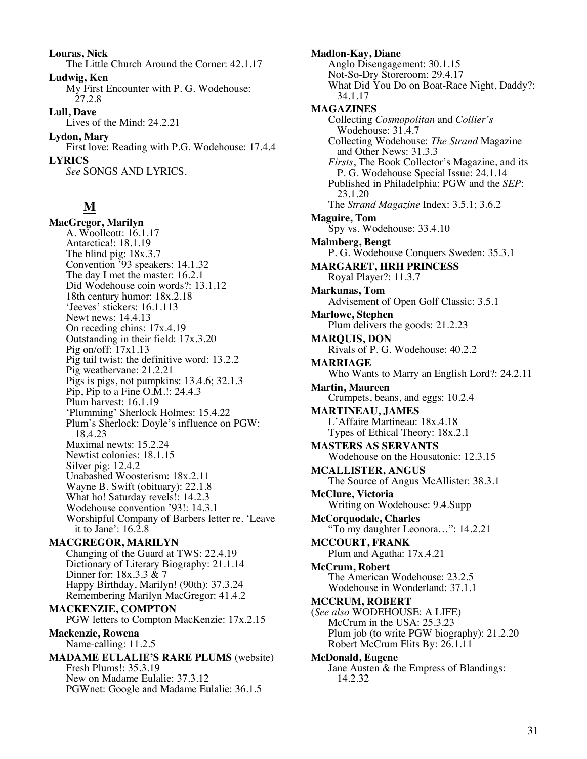**Louras, Nick** The Little Church Around the Corner: 42.1.17 **Ludwig, Ken** My First Encounter with P. G. Wodehouse: 27.2.8 **Lull, Dave** Lives of the Mind: 24.2.21 **Lydon, Mary** First love: Reading with P.G. Wodehouse: 17.4.4 **LYRICS** *See* SONGS AND LYRICS.

# **M**

**MacGregor, Marilyn** A. Woollcott: 16.1.17 Antarctica!: 18.1.19 The blind pig: 18x.3.7 Convention '93 speakers: 14.1.32 The day I met the master: 16.2.1 Did Wodehouse coin words?: 13.1.12 18th century humor: 18x.2.18 'Jeeves' stickers: 16.1.113 Newt news: 14.4.13 On receding chins: 17x.4.19 Outstanding in their field: 17x.3.20 Pig on/off: 17x1.13 Pig tail twist: the definitive word: 13.2.2 Pig weathervane: 21.2.21 Pigs is pigs, not pumpkins: 13.4.6; 32.1.3 Pip, Pip to a Fine O.M.!: 24.4.3 Plum harvest: 16.1.19 'Plumming' Sherlock Holmes: 15.4.22 Plum's Sherlock: Doyle's influence on PGW: 18.4.23 Maximal newts: 15.2.24 Newtist colonies: 18.1.15 Silver pig: 12.4.2 Unabashed Woosterism: 18x.2.11 Wayne B. Swift (obituary): 22.1.8 What ho! Saturday revels!: 14.2.3 Wodehouse convention '93!: 14.3.1 Worshipful Company of Barbers letter re. 'Leave it to Jane':  $16.\overline{2}.8$ **MACGREGOR, MARILYN** Changing of the Guard at TWS: 22.4.19 Dictionary of Literary Biography: 21.1.14 Dinner for: 18x.3.3 & 7 Happy Birthday, Marilyn! (90th): 37.3.24 Remembering Marilyn MacGregor: 41.4.2 **MACKENZIE, COMPTON** PGW letters to Compton MacKenzie: 17x.2.15 **Mackenzie, Rowena** Name-calling: 11.2.5 **MADAME EULALIE'S RARE PLUMS** (website)

Fresh Plums!: 35.3.19 New on Madame Eulalie: 37.3.12 PGWnet: Google and Madame Eulalie: 36.1.5 **Madlon-Kay, Diane** Anglo Disengagement: 30.1.15 Not-So-Dry Storeroom: 29.4.17 What Did You Do on Boat-Race Night, Daddy?: 34.1.17 **MAGAZINES** Collecting *Cosmopolitan* and *Collier's* Wodehouse: 31.4.7 Collecting Wodehouse: *The Strand* Magazine and Other News: 31.3.3 *Firsts*, The Book Collector's Magazine, and its P. G. Wodehouse Special Issue: 24.1.14 Published in Philadelphia: PGW and the *SEP*: 23.1.20 The *Strand Magazine* Index: 3.5.1; 3.6.2 **Maguire, Tom** Spy vs. Wodehouse: 33.4.10 **Malmberg, Bengt** P. G. Wodehouse Conquers Sweden: 35.3.1 **MARGARET, HRH PRINCESS** Royal Player?: 11.3.7 **Markunas, Tom** Advisement of Open Golf Classic: 3.5.1 **Marlowe, Stephen** Plum delivers the goods: 21.2.23 **MARQUIS, DON** Rivals of P. G. Wodehouse: 40.2.2 **MARRIAGE** Who Wants to Marry an English Lord?: 24.2.11 **Martin, Maureen** Crumpets, beans, and eggs: 10.2.4 **MARTINEAU, JAMES** L'Affaire Martineau: 18x.4.18 Types of Ethical Theory: 18x.2.1 **MASTERS AS SERVANTS** Wodehouse on the Housatonic: 12.3.15 **MCALLISTER, ANGUS** The Source of Angus McAllister: 38.3.1 **McClure, Victoria** Writing on Wodehouse: 9.4.Supp **McCorquodale, Charles** "To my daughter Leonora…": 14.2.21 **MCCOURT, FRANK** Plum and Agatha: 17x.4.21 **McCrum, Robert** The American Wodehouse: 23.2.5 Wodehouse in Wonderland: 37.1.1 **MCCRUM, ROBERT** (*See also* WODEHOUSE: A LIFE) McCrum in the USA: 25.3.23 Plum job (to write PGW biography): 21.2.20 Robert McCrum Flits By: 26.1.11 **McDonald, Eugene** Jane Austen & the Empress of Blandings: 14.2.32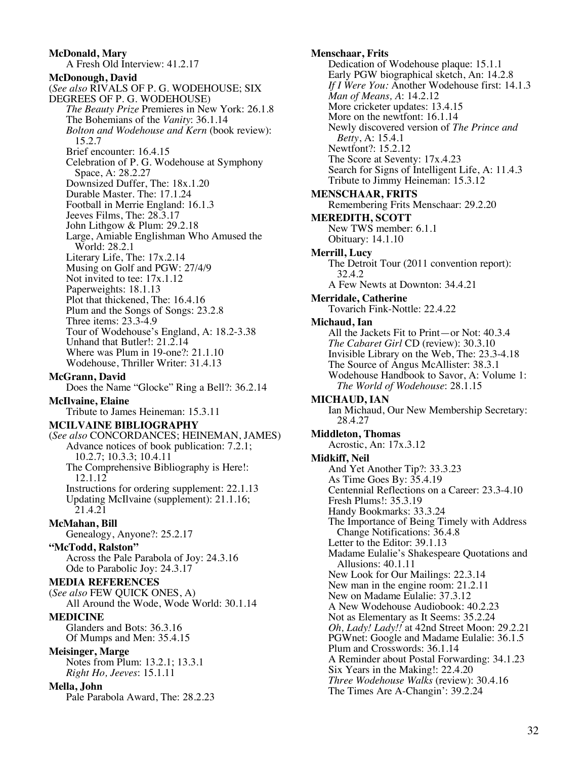**McDonald, Mary** A Fresh Old Interview: 41.2.17 **McDonough, David** (*See also* RIVALS OF P. G. WODEHOUSE; SIX DEGREES OF P. G. WODEHOUSE) *The Beauty Prize* Premieres in New York: 26.1.8 The Bohemians of the *Vanity*: 36.1.14 *Bolton and Wodehouse and Kern* (book review): 15.2.7 Brief encounter: 16.4.15 Celebration of P. G. Wodehouse at Symphony Space, A: 28.2.27 Downsized Duffer, The: 18x.1.20 Durable Master. The: 17.1.24 Football in Merrie England: 16.1.3 Jeeves Films, The: 28.3.17 John Lithgow & Plum: 29.2.18 Large, Amiable Englishman Who Amused the World: 28.2.1 Literary Life, The: 17x.2.14 Musing on Golf and PGW: 27/4/9 Not invited to tee: 17x.1.12 Paperweights: 18.1.13 Plot that thickened, The: 16.4.16 Plum and the Songs of Songs: 23.2.8 Three items: 23.3-4.9 Tour of Wodehouse's England, A: 18.2-3.38 Unhand that Butler!: 21.2.14 Where was Plum in 19-one?: 21.1.10 Wodehouse, Thriller Writer: 31.4.13 **McGrann, David** Does the Name "Glocke" Ring a Bell?: 36.2.14 **McIlvaine, Elaine** Tribute to James Heineman: 15.3.11 **MCILVAINE BIBLIOGRAPHY** (*See also* CONCORDANCES; HEINEMAN, JAMES) Advance notices of book publication: 7.2.1; 10.2.7; 10.3.3; 10.4.11 The Comprehensive Bibliography is Here!: 12.1.12 Instructions for ordering supplement: 22.1.13 Updating McIlvaine (supplement): 21.1.16; 21.4.21 **McMahan, Bill** Genealogy, Anyone?: 25.2.17 **"McTodd, Ralston"** Across the Pale Parabola of Joy: 24.3.16 Ode to Parabolic Joy: 24.3.17 **MEDIA REFERENCES** (*See also* FEW QUICK ONES, A) All Around the Wode, Wode World: 30.1.14 **MEDICINE** Glanders and Bots: 36.3.16 Of Mumps and Men: 35.4.15 **Meisinger, Marge** Notes from Plum: 13.2.1; 13.3.1 *Right Ho, Jeeves*: 15.1.11 **Mella, John** Pale Parabola Award, The: 28.2.23

**Menschaar, Frits** Dedication of Wodehouse plaque: 15.1.1 Early PGW biographical sketch, An: 14.2.8 *If I Were You:* Another Wodehouse first: 14.1.3 *Man of Means, A*: 14.2.12 More cricketer updates: 13.4.15 More on the newtfont: 16.1.14 Newly discovered version of *The Prince and Betty*, A: 15.4.1 Newtfont?: 15.2.12 The Score at Seventy: 17x.4.23 Search for Signs of Intelligent Life, A: 11.4.3 Tribute to Jimmy Heineman: 15.3.12 **MENSCHAAR, FRITS** Remembering Frits Menschaar: 29.2.20 **MEREDITH, SCOTT** New TWS member: 6.1.1 Obituary: 14.1.10 **Merrill, Lucy** The Detroit Tour (2011 convention report): 32.4.2 A Few Newts at Downton: 34.4.21 **Merridale, Catherine** Tovarich Fink-Nottle: 22.4.22 **Michaud, Ian** All the Jackets Fit to Print—or Not: 40.3.4 *The Cabaret Girl* CD (review): 30.3.10 Invisible Library on the Web, The: 23.3-4.18 The Source of Angus McAllister: 38.3.1 Wodehouse Handbook to Savor, A: Volume 1: *The World of Wodehouse*: 28.1.15 **MICHAUD, IAN** Ian Michaud, Our New Membership Secretary: 28.4.27 **Middleton, Thomas** Acrostic, An: 17x.3.12 **Midkiff, Neil** And Yet Another Tip?: 33.3.23 As Time Goes By: 35.4.19 Centennial Reflections on a Career: 23.3-4.10 Fresh Plums!: 35.3.19 Handy Bookmarks: 33.3.24 The Importance of Being Timely with Address Change Notifications: 36.4.8 Letter to the Editor: 39.1.13 Madame Eulalie's Shakespeare Quotations and Allusions: 40.1.11 New Look for Our Mailings: 22.3.14 New man in the engine room: 21.2.11 New on Madame Eulalie: 37.3.12 A New Wodehouse Audiobook: 40.2.23 Not as Elementary as It Seems: 35.2.24 *Oh, Lady! Lady!!* at 42nd Street Moon: 29.2.21 PGWnet: Google and Madame Eulalie: 36.1.5 Plum and Crosswords: 36.1.14 A Reminder about Postal Forwarding: 34.1.23 Six Years in the Making!: 22.4.20 *Three Wodehouse Walks* (review): 30.4.16 The Times Are A-Changin': 39.2.24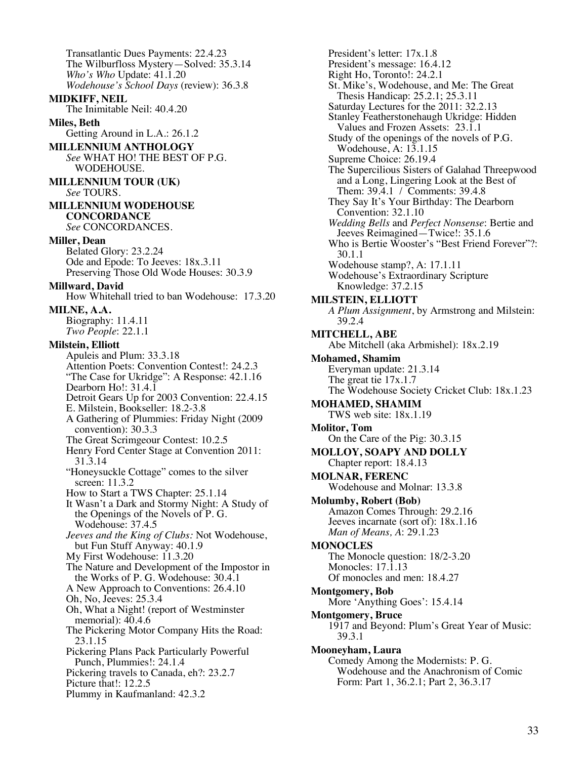Transatlantic Dues Payments: 22.4.23 The Wilburfloss Mystery—Solved: 35.3.14 *Who's Who* Update: 41.1.20 *Wodehouse's School Days* (review): 36.3.8 **MIDKIFF, NEIL** The Inimitable Neil: 40.4.20 **Miles, Beth** Getting Around in L.A.: 26.1.2 **MILLENNIUM ANTHOLOGY** *See* WHAT HO! THE BEST OF P.G. WODEHOUSE. **MILLENNIUM TOUR (UK)** *See* TOURS. **MILLENNIUM WODEHOUSE CONCORDANCE** *See* CONCORDANCES. **Miller, Dean** Belated Glory: 23.2.24 Ode and Epode: To Jeeves: 18x.3.11 Preserving Those Old Wode Houses: 30.3.9 **Millward, David** How Whitehall tried to ban Wodehouse: 17.3.20 **MILNE, A.A.** Biography: 11.4.11 *Two People*: 22.1.1 **Milstein, Elliott** Apuleis and Plum: 33.3.18 Attention Poets: Convention Contest!: 24.2.3 "The Case for Ukridge": A Response: 42.1.16 Dearborn Ho!: 31.4.1 Detroit Gears Up for 2003 Convention: 22.4.15 E. Milstein, Bookseller: 18.2-3.8 A Gathering of Plummies: Friday Night (2009 convention): 30.3.3 The Great Scrimgeour Contest: 10.2.5 Henry Ford Center Stage at Convention 2011: 31.3.14 "Honeysuckle Cottage" comes to the silver screen: 11.3.2 How to Start a TWS Chapter: 25.1.14 It Wasn't a Dark and Stormy Night: A Study of the Openings of the Novels of P. G. Wodehouse: 37.4.5 *Jeeves and the King of Clubs:* Not Wodehouse, but Fun Stuff Anyway: 40.1.9 My First Wodehouse: 11.3.20 The Nature and Development of the Impostor in the Works of P. G. Wodehouse: 30.4.1 A New Approach to Conventions: 26.4.10 Oh, No, Jeeves: 25.3.4 Oh, What a Night! (report of Westminster memorial): 40.4.6 The Pickering Motor Company Hits the Road: 23.1.15 Pickering Plans Pack Particularly Powerful Punch, Plummies!: 24.1.4 Pickering travels to Canada, eh?: 23.2.7 Picture that!: 12.2.5 Plummy in Kaufmanland: 42.3.2

President's letter: 17x.1.8 President's message: 16.4.12 Right Ho, Toronto!: 24.2.1 St. Mike's, Wodehouse, and Me: The Great Thesis Handicap: 25.2.1; 25.3.11 Saturday Lectures for the 2011: 32.2.13 Stanley Featherstonehaugh Ukridge: Hidden Values and Frozen Assets: 23.1.1 Study of the openings of the novels of P.G. Wodehouse, A: 13.1.15 Supreme Choice: 26.19.4 The Supercilious Sisters of Galahad Threepwood and a Long, Lingering Look at the Best of Them: 39.4.1 / Comments: 39.4.8 They Say It's Your Birthday: The Dearborn Convention: 32.1.10 *Wedding Bells* and *Perfect Nonsense*: Bertie and Jeeves Reimagined—Twice!: 35.1.6 Who is Bertie Wooster's "Best Friend Forever"?: 30.1.1 Wodehouse stamp?, A: 17.1.11 Wodehouse's Extraordinary Scripture Knowledge: 37.2.15 **MILSTEIN, ELLIOTT** *A Plum Assignment*, by Armstrong and Milstein: 39.2.4 **MITCHELL, ABE** Abe Mitchell (aka Arbmishel): 18x.2.19 **Mohamed, Shamim** Everyman update: 21.3.14 The great tie 17x.1.7 The Wodehouse Society Cricket Club: 18x.1.23 **MOHAMED, SHAMIM** TWS web site: 18x.1.19 **Molitor, Tom** On the Care of the Pig: 30.3.15 **MOLLOY, SOAPY AND DOLLY** Chapter report: 18.4.13 **MOLNAR, FERENC** Wodehouse and Molnar: 13.3.8 **Molumby, Robert (Bob)** Amazon Comes Through: 29.2.16 Jeeves incarnate (sort of): 18x.1.16 *Man of Means, A*: 29.1.23 **MONOCLES** The Monocle question: 18/2-3.20 Monocles: 17.1.13 Of monocles and men: 18.4.27 **Montgomery, Bob** More 'Anything Goes': 15.4.14 **Montgomery, Bruce** 1917 and Beyond: Plum's Great Year of Music: 39.3.1 **Mooneyham, Laura** Comedy Among the Modernists: P. G. Wodehouse and the Anachronism of Comic Form: Part 1, 36.2.1; Part 2, 36.3.17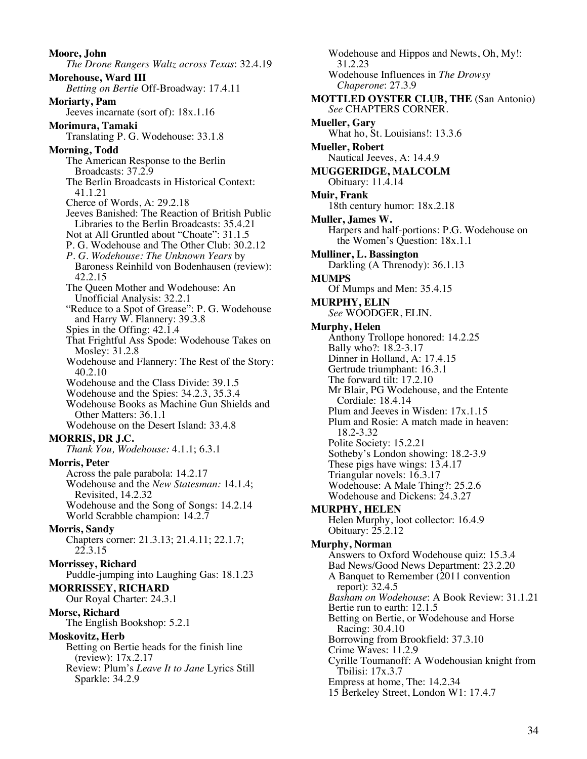**Moore, John** *The Drone Rangers Waltz across Texas*: 32.4.19 **Morehouse, Ward III** *Betting on Bertie* Off-Broadway: 17.4.11 **Moriarty, Pam** Jeeves incarnate (sort of): 18x.1.16 **Morimura, Tamaki** Translating P. G. Wodehouse: 33.1.8 **Morning, Todd** The American Response to the Berlin Broadcasts: 37.2.9 The Berlin Broadcasts in Historical Context: 41.1.21 Cherce of Words, A: 29.2.18 Jeeves Banished: The Reaction of British Public Libraries to the Berlin Broadcasts: 35.4.21 Not at All Gruntled about "Choate": 31.1.5 P. G. Wodehouse and The Other Club: 30.2.12 *P. G. Wodehouse: The Unknown Years* by Baroness Reinhild von Bodenhausen (review): 42.2.15 The Queen Mother and Wodehouse: An Unofficial Analysis: 32.2.1 "Reduce to a Spot of Grease": P. G. Wodehouse and Harry W. Flannery: 39.3.8 Spies in the Offing: 42.1.4 That Frightful Ass Spode: Wodehouse Takes on Mosley: 31.2.8 Wodehouse and Flannery: The Rest of the Story: 40.2.10 Wodehouse and the Class Divide: 39.1.5 Wodehouse and the Spies: 34.2.3, 35.3.4 Wodehouse Books as Machine Gun Shields and Other Matters: 36.1.1 Wodehouse on the Desert Island: 33.4.8 **MORRIS, DR J.C.** *Thank You, Wodehouse:* 4.1.1; 6.3.1 **Morris, Peter** Across the pale parabola: 14.2.17 Wodehouse and the *New Statesman:* 14.1.4; Revisited, 14.2.32 Wodehouse and the Song of Songs: 14.2.14 World Scrabble champion: 14.2.7 **Morris, Sandy** Chapters corner: 21.3.13; 21.4.11; 22.1.7; 22.3.15 **Morrissey, Richard** Puddle-jumping into Laughing Gas: 18.1.23 **MORRISSEY, RICHARD** Our Royal Charter: 24.3.1 **Morse, Richard** The English Bookshop: 5.2.1 **Moskovitz, Herb** Betting on Bertie heads for the finish line (review): 17x.2.17 Review: Plum's *Leave It to Jane* Lyrics Still Sparkle: 34.2.9

Wodehouse and Hippos and Newts, Oh, My!: 31.2.23 Wodehouse Influences in *The Drowsy Chaperone*: 27.3.9 **MOTTLED OYSTER CLUB, THE** (San Antonio) *See* CHAPTERS CORNER. **Mueller, Gary** What ho, St. Louisians!: 13.3.6 **Mueller, Robert** Nautical Jeeves, A: 14.4.9 **MUGGERIDGE, MALCOLM** Obituary: 11.4.14 **Muir, Frank** 18th century humor: 18x.2.18 **Muller, James W.** Harpers and half-portions: P.G. Wodehouse on the Women's Question: 18x.1.1 **Mulliner, L. Bassington** Darkling (A Threnody): 36.1.13 **MUMPS** Of Mumps and Men: 35.4.15 **MURPHY, ELIN** *See* WOODGER, ELIN. **Murphy, Helen** Anthony Trollope honored: 14.2.25 Bally who?: 18.2-3.17 Dinner in Holland, A: 17.4.15 Gertrude triumphant: 16.3.1 The forward tilt: 17.2.10 Mr Blair, PG Wodehouse, and the Entente Cordiale: 18.4.14 Plum and Jeeves in Wisden: 17x.1.15 Plum and Rosie: A match made in heaven: 18.2-3.32 Polite Society: 15.2.21 Sotheby's London showing: 18.2-3.9 These pigs have wings: 13.4.17 Triangular novels: 16.3.17 Wodehouse: A Male Thing?: 25.2.6 Wodehouse and Dickens: 24.3.27 **MURPHY, HELEN** Helen Murphy, loot collector: 16.4.9 Obituary: 25.2.12 **Murphy, Norman** Answers to Oxford Wodehouse quiz: 15.3.4 Bad News/Good News Department: 23.2.20 A Banquet to Remember (2011 convention report): 32.4.5 *Basham on Wodehouse*: A Book Review: 31.1.21 Bertie run to earth: 12.1.5 Betting on Bertie, or Wodehouse and Horse Racing: 30.4.10 Borrowing from Brookfield: 37.3.10 Crime Waves: 11.2.9 Cyrille Toumanoff: A Wodehousian knight from Tbilisi: 17x.3.7 Empress at home, The: 14.2.34 15 Berkeley Street, London W1: 17.4.7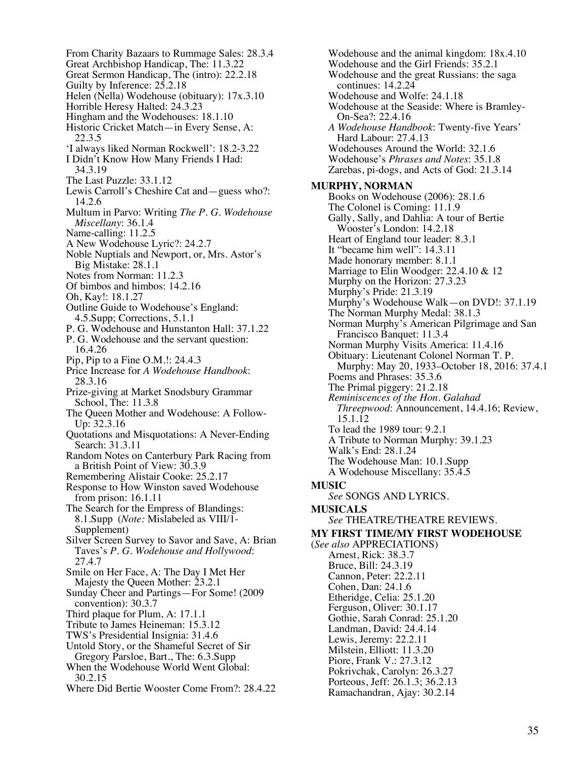From Charity Bazaars to Rummage Sales: 28.3.4 Great Archbishop Handicap, The: 11.3.22 Great Sermon Handicap, The (intro): 22.2.18 Guilty by Inference:  $2\overline{5}.2.18$ Helen (Nella) Wodehouse (obituary): 17x.3.10 Horrible Heresy Halted: 24.3.23 Hingham and the Wodehouses: 18.1.10 Historic Cricket Match—in Every Sense, A: 22.3.5 'I always liked Norman Rockwell': 18.2-3.22 I Didn't Know How Many Friends I Had: 34.3.19 The Last Puzzle: 33.1.12 Lewis Carroll's Cheshire Cat and—guess who?: 14.2.6 Multum in Parvo: Writing *The P. G. Wodehouse Miscellany*: 36.1.4 Name-calling: 11.2.5 A New Wodehouse Lyric?: 24.2.7 Noble Nuptials and Newport, or, Mrs. Astor's Big Mistake: 28.1.1 Notes from Norman: 11.2.3 Of bimbos and himbos: 14.2.16 Oh, Kay!: 18.1.27 Outline Guide to Wodehouse's England: 4.5.Supp; Corrections, 5.1.1 P. G. Wodehouse and Hunstanton Hall: 37.1.22 P. G. Wodehouse and the servant question: 16.4.26 Pip, Pip to a Fine O.M.!: 24.4.3 Price Increase for *A Wodehouse Handbook*: 28.3.16 Prize-giving at Market Snodsbury Grammar School, The: 11.3.8 The Queen Mother and Wodehouse: A Follow- Up: 32.3.16 Quotations and Misquotations: A Never-Ending Search: 31.3.11 Random Notes on Canterbury Park Racing from a British Point of View: 30.3.9 Remembering Alistair Cooke: 25.2.17 Response to How Winston saved Wodehouse from prison: 16.1.11 The Search for the Empress of Blandings: 8.1.Supp (*Note:* Mislabeled as VIII/1- Supplement) Silver Screen Survey to Savor and Save, A: Brian Taves's *P. G. Wodehouse and Hollywood*: 27.4.7 Smile on Her Face, A: The Day I Met Her Majesty the Queen Mother: 23.2.1 Sunday Cheer and Partings—For Some! (2009 convention): 30.3.7 Third plaque for Plum, A: 17.1.1 Tribute to James Heineman: 15.3.12 TWS's Presidential Insignia: 31.4.6 Untold Story, or the Shameful Secret of Sir Gregory Parsloe, Bart., The: 6.3.Supp When the Wodehouse World Went Global: 30.2.15 Where Did Bertie Wooster Come From?: 28.4.22

Wodehouse and the animal kingdom: 18x.4.10 Wodehouse and the Girl Friends: 35.2.1 Wodehouse and the great Russians: the saga continues: 14.2.24 Wodehouse and Wolfe: 24.1.18 Wodehouse at the Seaside: Where is Bramley- On-Sea?: 22.4.16 *A Wodehouse Handbook*: Twenty-five Years' Hard Labour: 27.4.13 Wodehouses Around the World: 32.1.6 Wodehouse's *Phrases and Notes*: 35.1.8 Zarebas, pi-dogs, and Acts of God: 21.3.14 **MURPHY, NORMAN** Books on Wodehouse (2006): 28.1.6 The Colonel is Coming: 11.1.9 Gally, Sally, and Dahlia: A tour of Bertie Wooster's London: 14.2.18 Heart of England tour leader: 8.3.1 It "became him well": 14.3.11 Made honorary member: 8.1.1 Marriage to Elin Woodger: 22.4.10 & 12 Murphy on the Horizon: 27.3.23 Murphy's Pride: 21.3.19 Murphy's Wodehouse Walk—on DVD!: 37.1.19 The Norman Murphy Medal: 38.1.3 Norman Murphy's American Pilgrimage and San Francisco Banquet: 11.3.4 Norman Murphy Visits America: 11.4.16 Obituary: Lieutenant Colonel Norman T. P. Murphy: May 20, 1933–October 18, 2016: 37.4.1 Poems and Phrases: 35.3.6 The Primal piggery: 21.2.18 *Reminiscences of the Hon. Galahad Threepwood*: Announcement, 14.4.16; Review, 15.1.12 To lead the 1989 tour: 9.2.1 A Tribute to Norman Murphy: 39.1.23 Walk's End: 28.1.24 The Wodehouse Man: 10.1.Supp A Wodehouse Miscellany: 35.4.5 **MUSIC** *See* SONGS AND LYRICS. **MUSICALS** *See* THEATRE/THEATRE REVIEWS. **MY FIRST TIME/MY FIRST WODEHOUSE** (*See also* APPRECIATIONS) Arnest, Rick: 38.3.7 Bruce, Bill: 24.3.19 Cannon, Peter: 22.2.11 Cohen, Dan: 24.1.6 Etheridge, Celia: 25.1.20 Ferguson, Oliver: 30.1.17 Gothie, Sarah Conrad: 25.1.20 Landman, David: 24.4.14 Lewis, Jeremy: 22.2.11 Milstein, Elliott: 11.3.20 Piore, Frank V.: 27.3.12 Pokrivchak, Carolyn: 26.3.27 Porteous, Jeff: 26.1.3; 36.2.13 Ramachandran, Ajay: 30.2.14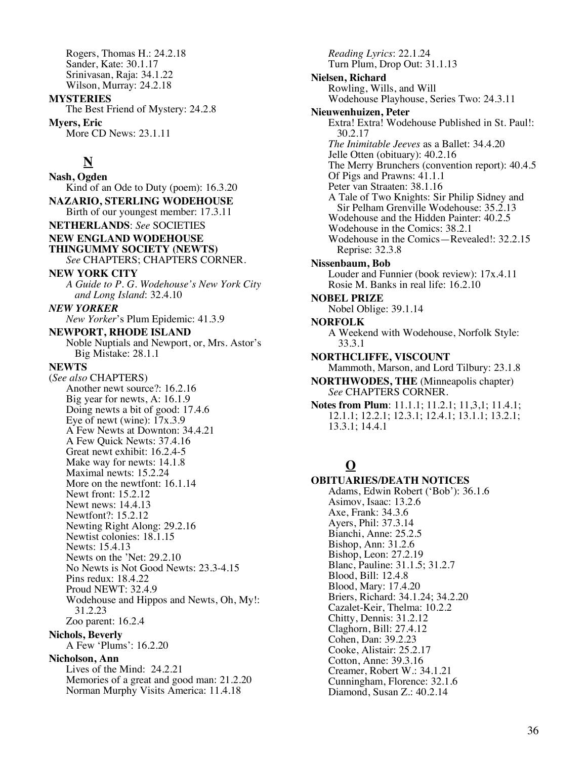Rogers, Thomas H.: 24.2.18 Sander, Kate: 30.1.17 Srinivasan, Raja: 34.1.22 Wilson, Murray: 24.2.18

**MYSTERIES** The Best Friend of Mystery: 24.2.8 **Myers, Eric** More CD News: 23.1.11

# **N**

**Nash, Ogden** Kind of an Ode to Duty (poem): 16.3.20 **NAZARIO, STERLING WODEHOUSE** Birth of our youngest member: 17.3.11 **NETHERLANDS**: *See* SOCIETIES **NEW ENGLAND WODEHOUSE THINGUMMY SOCIETY (NEWTS)** *See* CHAPTERS; CHAPTERS CORNER. **NEW YORK CITY** *A Guide to P. G. Wodehouse's New York City and Long Island*: 32.4.10 *NEW YORKER New Yorker*'s Plum Epidemic: 41.3.9 **NEWPORT, RHODE ISLAND** Noble Nuptials and Newport, or, Mrs. Astor's Big Mistake: 28.1.1 **NEWTS** (*See also* CHAPTERS) Another newt source?: 16.2.16 Big year for newts, A: 16.1.9 Doing newts a bit of good: 17.4.6 Eye of newt (wine):  $17x.3.9$ A Few Newts at Downton: 34.4.21 A Few Quick Newts: 37.4.16 Great newt exhibit: 16.2.4-5 Make way for newts: 14.1.8 Maximal newts: 15.2.24 More on the newtfont: 16.1.14 Newt front: 15.2.12 Newt news: 14.4.13 Newtfont?: 15.2.12 Newting Right Along: 29.2.16 Newtist colonies: 18.1.15 Newts: 15.4.13 Newts on the 'Net: 29.2.10 No Newts is Not Good Newts: 23.3-4.15 Pins redux: 18.4.22 Proud NEWT: 32.4.9 Wodehouse and Hippos and Newts, Oh, My!: 31.2.23 Zoo parent: 16.2.4 **Nichols, Beverly** A Few 'Plums': 16.2.20 **Nicholson, Ann** Lives of the Mind: 24.2.21 Memories of a great and good man: 21.2.20 Norman Murphy Visits America: 11.4.18

*Reading Lyrics*: 22.1.24 Turn Plum, Drop Out: 31.1.13 **Nielsen, Richard** Rowling, Wills, and Will Wodehouse Playhouse, Series Two: 24.3.11 **Nieuwenhuizen, Peter** Extra! Extra! Wodehouse Published in St. Paul!: 30.2.17 *The Inimitable Jeeves* as a Ballet: 34.4.20 Jelle Otten (obituary): 40.2.16 The Merry Brunchers (convention report): 40.4.5 Of Pigs and Prawns: 41.1.1 Peter van Straaten: 38.1.16 A Tale of Two Knights: Sir Philip Sidney and Sir Pelham Grenville Wodehouse: 35.2.13 Wodehouse and the Hidden Painter: 40.2.5 Wodehouse in the Comics: 38.2.1 Wodehouse in the Comics—Revealed!: 32.2.15 Reprise: 32.3.8 **Nissenbaum, Bob** Louder and Funnier (book review): 17x.4.11 Rosie M. Banks in real life: 16.2.10 **NOBEL PRIZE** Nobel Oblige: 39.1.14 **NORFOLK** A Weekend with Wodehouse, Norfolk Style: 33.3.1 **NORTHCLIFFE, VISCOUNT** Mammoth, Marson, and Lord Tilbury: 23.1.8 **NORTHWODES, THE** (Minneapolis chapter) *See* CHAPTERS CORNER. **Notes from Plum**: 11.1.1; 11.2.1; 11,3,1; 11.4.1; 12.1.1; 12.2.1; 12.3.1; 12.4.1; 13.1.1; 13.2.1; 13.3.1; 14.4.1

# **O**

**OBITUARIES/DEATH NOTICES** Adams, Edwin Robert ('Bob'): 36.1.6 Asimov, Isaac: 13.2.6 Axe, Frank: 34.3.6 Ayers, Phil: 37.3.14 Bianchi, Anne: 25.2.5 Bishop, Ann: 31.2.6 Bishop, Leon: 27.2.19 Blanc, Pauline: 31.1.5; 31.2.7 Blood, Bill: 12.4.8 Blood, Mary: 17.4.20 Briers, Richard: 34.1.24; 34.2.20 Cazalet-Keir, Thelma: 10.2.2 Chitty, Dennis: 31.2.12 Claghorn, Bill: 27.4.12 Cohen, Dan: 39.2.23 Cooke, Alistair: 25.2.17 Cotton, Anne: 39.3.16 Creamer, Robert W.: 34.1.21 Cunningham, Florence: 32.1.6 Diamond, Susan Z.: 40.2.14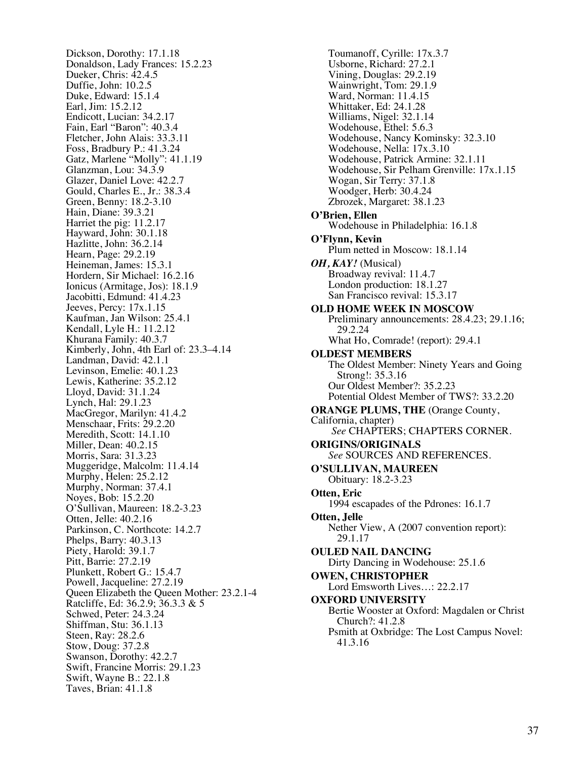Dickson, Dorothy: 17.1.18 Donaldson, Lady Frances: 15.2.23 Dueker, Chris: 42.4.5 Duffie, John: 10.2.5 Duke, Edward: 15.1.4 Earl, Jim: 15.2.12 Endicott, Lucian: 34.2.17 Fain, Earl "Baron": 40.3.4 Fletcher, John Alais: 33.3.11 Foss, Bradbury P.: 41.3.24 Gatz, Marlene "Molly": 41.1.19 Glanzman, Lou: 34.3.9 Glazer, Daniel Love: 42.2.7 Gould, Charles E., Jr.: 38.3.4 Green, Benny: 18.2-3.10 Hain, Diane: 39.3.21 Harriet the pig: 11.2.17 Hayward, John: 30.1.18 Hazlitte, John: 36.2.14 Hearn, Page: 29.2.19 Heineman, James: 15.3.1 Hordern, Sir Michael: 16.2.16 Ionicus (Armitage, Jos): 18.1.9 Jacobitti, Edmund: 41.4.23 Jeeves, Percy: 17x.1.15 Kaufman, Jan Wilson: 25.4.1 Kendall, Lyle H.: 11.2.12 Khurana Family: 40.3.7 Kimberly, John, 4th Earl of: 23.3–4.14 Landman, David: 42.1.1 Levinson, Emelie: 40.1.23 Lewis, Katherine: 35.2.12 Lloyd, David: 31.1.24 Lynch, Hal: 29.1.23 MacGregor, Marilyn: 41.4.2 Menschaar, Frits: 29.2.20 Meredith, Scott: 14.1.10 Miller, Dean: 40.2.15 Morris, Sara: 31.3.23 Muggeridge, Malcolm: 11.4.14 Murphy, Helen: 25.2.12 Murphy, Norman: 37.4.1 Noyes, Bob: 15.2.20 O'Sullivan, Maureen: 18.2-3.23 Otten, Jelle: 40.2.16 Parkinson, C. Northcote: 14.2.7 Phelps, Barry: 40.3.13 Piety, Harold: 39.1.7 Pitt, Barrie: 27.2.19 Plunkett, Robert G.: 15.4.7 Powell, Jacqueline: 27.2.19 Queen Elizabeth the Queen Mother: 23.2.1-4 Ratcliffe, Ed: 36.2.9; 36.3.3 & 5 Schwed, Peter: 24.3.24 Shiffman, Stu: 36.1.13 Steen, Ray: 28.2.6 Stow, Doug: 37.2.8 Swanson, Dorothy: 42.2.7 Swift, Francine Morris: 29.1.23 Swift, Wayne B.: 22.1.8 Taves, Brian: 41.1.8

Toumanoff, Cyrille: 17x.3.7 Usborne, Richard: 27.2.1 Vining, Douglas: 29.2.19 Wainwright, Tom: 29.1.9 Ward, Norman: 11.4.15 Whittaker, Ed: 24.1.28 Williams, Nigel: 32.1.14 Wodehouse, Ethel: 5.6.3 Wodehouse, Nancy Kominsky: 32.3.10 Wodehouse, Nella: 17x.3.10 Wodehouse, Patrick Armine: 32.1.11 Wodehouse, Sir Pelham Grenville: 17x.1.15 Wogan, Sir Terry: 37.1.8 Woodger, Herb: 30.4.24 Zbrozek, Margaret: 38.1.23 **O'Brien, Ellen** Wodehouse in Philadelphia: 16.1.8 **O'Flynn, Kevin** Plum netted in Moscow: 18.1.14 *OH, KAY!* (Musical) Broadway revival: 11.4.7 London production: 18.1.27 San Francisco revival: 15.3.17 **OLD HOME WEEK IN MOSCOW** Preliminary announcements: 28.4.23; 29.1.16; 29.2.24 What Ho, Comrade! (report): 29.4.1 **OLDEST MEMBERS** The Oldest Member: Ninety Years and Going Strong!: 35.3.16 Our Oldest Member?: 35.2.23 Potential Oldest Member of TWS?: 33.2.20 **ORANGE PLUMS, THE** (Orange County, California, chapter) *See* CHAPTERS; CHAPTERS CORNER. **ORIGINS/ORIGINALS** *See* SOURCES AND REFERENCES. **O'SULLIVAN, MAUREEN** Obituary: 18.2-3.23 **Otten, Eric** 1994 escapades of the Pdrones: 16.1.7 **Otten, Jelle** Nether View, A (2007 convention report): 29.1.17 **OULED NAIL DANCING** Dirty Dancing in Wodehouse: 25.1.6 **OWEN, CHRISTOPHER** Lord Emsworth Lives…: 22.2.17 **OXFORD UNIVERSITY** Bertie Wooster at Oxford: Magdalen or Christ Church?: 41.2.8 Psmith at Oxbridge: The Lost Campus Novel: 41.3.16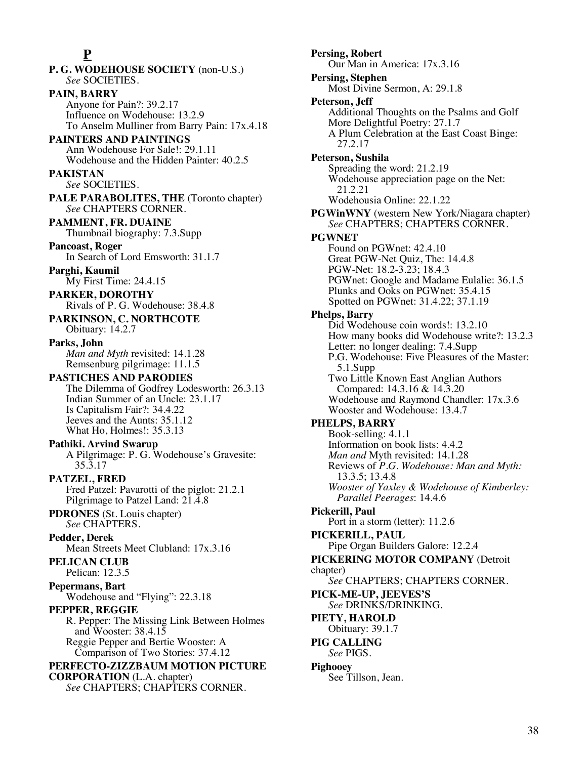## **P**

**P. G. WODEHOUSE SOCIETY** (non-U.S.) *See* SOCIETIES. **PAIN, BARRY** Anyone for Pain?: 39.2.17 Influence on Wodehouse: 13.2.9 To Anselm Mulliner from Barry Pain: 17x.4.18 **PAINTERS AND PAINTINGS** Ann Wodehouse For Sale!: 29.1.11 Wodehouse and the Hidden Painter: 40.2.5 **PAKISTAN** *See* SOCIETIES. **PALE PARABOLITES, THE** (Toronto chapter) *See* CHAPTERS CORNER. **PAMMENT, FR. DUAINE** Thumbnail biography: 7.3.Supp **Pancoast, Roger** In Search of Lord Emsworth: 31.1.7 **Parghi, Kaumil** My First Time: 24.4.15 **PARKER, DOROTHY** Rivals of P. G. Wodehouse: 38.4.8 **PARKINSON, C. NORTHCOTE** Obituary: 14.2.7 **Parks, John** *Man and Myth* revisited: 14.1.28 Remsenburg pilgrimage: 11.1.5 **PASTICHES AND PARODIES** The Dilemma of Godfrey Lodesworth: 26.3.13 Indian Summer of an Uncle: 23.1.17 Is Capitalism Fair?: 34.4.22 Jeeves and the Aunts: 35.1.12 What Ho, Holmes!: 35.3.13 **Pathiki. Arvind Swarup** A Pilgrimage: P. G. Wodehouse's Gravesite: 35.3.17 **PATZEL, FRED** Fred Patzel: Pavarotti of the piglot: 21.2.1 Pilgrimage to Patzel Land: 21.4.8 **PDRONES** (St. Louis chapter) *See* CHAPTERS. **Pedder, Derek** Mean Streets Meet Clubland: 17x.3.16 **PELICAN CLUB** Pelican: 12.3.5 **Pepermans, Bart** Wodehouse and "Flying": 22.3.18 **PEPPER, REGGIE** R. Pepper: The Missing Link Between Holmes and Wooster: 38.4.15 Reggie Pepper and Bertie Wooster: A Comparison of Two Stories: 37.4.12 **PERFECTO-ZIZZBAUM MOTION PICTURE CORPORATION** (L.A. chapter) *See* CHAPTERS; CHAPTERS CORNER.

**Persing, Robert** Our Man in America: 17x.3.16 **Persing, Stephen** Most Divine Sermon, A: 29.1.8 **Peterson, Jeff** Additional Thoughts on the Psalms and Golf More Delightful Poetry: 27.1.7 A Plum Celebration at the East Coast Binge: 27.2.17 **Peterson, Sushila** Spreading the word: 21.2.19 Wodehouse appreciation page on the Net: 21.2.21 Wodehousia Online: 22.1.22 **PGWinWNY** (western New York/Niagara chapter) *See* CHAPTERS; CHAPTERS CORNER. **PGWNET** Found on PGWnet: 42.4.10 Great PGW-Net Quiz, The: 14.4.8 PGW-Net: 18.2-3.23; 18.4.3 PGWnet: Google and Madame Eulalie: 36.1.5 Plunks and Ooks on PGWnet: 35.4.15 Spotted on PGWnet: 31.4.22; 37.1.19 **Phelps, Barry** Did Wodehouse coin words!: 13.2.10 How many books did Wodehouse write?: 13.2.3 Letter: no longer dealing: 7.4.Supp P.G. Wodehouse: Five Pleasures of the Master: 5.1.Supp Two Little Known East Anglian Authors Compared: 14.3.16 & 14.3.20 Wodehouse and Raymond Chandler: 17x.3.6 Wooster and Wodehouse: 13.4.7 **PHELPS, BARRY** Book-selling: 4.1.1 Information on book lists: 4.4.2 *Man and* Myth revisited: 14.1.28 Reviews of *P.G. Wodehouse: Man and Myth:*  13.3.5; 13.4.8 *Wooster of Yaxley & Wodehouse of Kimberley: Parallel Peerages*: 14.4.6 **Pickerill, Paul** Port in a storm (letter): 11.2.6 **PICKERILL, PAUL** Pipe Organ Builders Galore: 12.2.4 **PICKERING MOTOR COMPANY** (Detroit chapter) *See* CHAPTERS; CHAPTERS CORNER. **PICK-ME-UP, JEEVES'S** *See* DRINKS/DRINKING. **PIETY, HAROLD** Obituary: 39.1.7 **PIG CALLING** *See* PIGS. **Pighooey** See Tillson, Jean.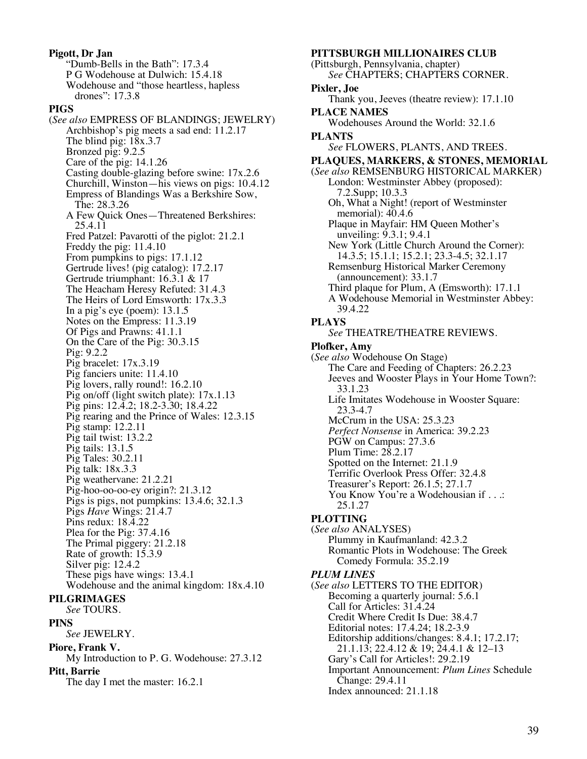**Pigott, Dr Jan** "Dumb-Bells in the Bath": 17.3.4 P G Wodehouse at Dulwich: 15.4.18 Wodehouse and "those heartless, hapless drones": 17.3.8 **PIGS** (*See also* EMPRESS OF BLANDINGS; JEWELRY) Archbishop's pig meets a sad end: 11.2.17 The blind pig:  $18x.3.7$ Bronzed pig: 9.2.5 Care of the pig: 14.1.26 Casting double-glazing before swine: 17x.2.6 Churchill, Winston—his views on pigs: 10.4.12 Empress of Blandings Was a Berkshire Sow, The: 28.3.26 A Few Quick Ones—Threatened Berkshires: 25.4.11 Fred Patzel: Pavarotti of the piglot: 21.2.1 Freddy the pig: 11.4.10 From pumpkins to pigs: 17.1.12 Gertrude lives! (pig catalog): 17.2.17 Gertrude triumphant: 16.3.1 & 17 The Heacham Heresy Refuted: 31.4.3 The Heirs of Lord Emsworth: 17x.3.3 In a pig's eye (poem): 13.1.5 Notes on the Empress: 11.3.19 Of Pigs and Prawns: 41.1.1 On the Care of the Pig: 30.3.15 Pig: 9.2.2 Pig bracelet: 17x.3.19 Pig fanciers unite: 11.4.10 Pig lovers, rally round!: 16.2.10 Pig on/off (light switch plate): 17x.1.13 Pig pins: 12.4.2; 18.2-3.30; 18.4.22 Pig rearing and the Prince of Wales: 12.3.15 Pig stamp: 12.2.11 Pig tail twist: 13.2.2 Pig tails: 13.1.5 Pig Tales: 30.2.11 Pig talk: 18x.3.3 Pig weathervane: 21.2.21 Pig-hoo-oo-oo-ey origin?: 21.3.12 Pigs is pigs, not pumpkins: 13.4.6; 32.1.3 Pigs *Have* Wings: 21.4.7 Pins redux: 18.4.22 Plea for the Pig: 37.4.16 The Primal piggery: 21.2.18 Rate of growth: 15.3.9 Silver pig: 12.4.2 These pigs have wings: 13.4.1 Wodehouse and the animal kingdom: 18x.4.10 **PILGRIMAGES** *See* TOURS. **PINS** *See* JEWELRY. **Piore, Frank V.** My Introduction to P. G. Wodehouse: 27.3.12 **Pitt, Barrie**

The day I met the master: 16.2.1

**PITTSBURGH MILLIONAIRES CLUB** (Pittsburgh, Pennsylvania, chapter) *See* CHAPTERS; CHAPTERS CORNER. **Pixler, Joe** Thank you, Jeeves (theatre review): 17.1.10 **PLACE NAMES** Wodehouses Around the World: 32.1.6 **PLANTS** *See* FLOWERS, PLANTS, AND TREES. **PLAQUES, MARKERS, & STONES, MEMORIAL** (*See also* REMSENBURG HISTORICAL MARKER) London: Westminster Abbey (proposed): 7.2.Supp; 10.3.3 Oh, What a Night! (report of Westminster memorial): 40.4.6 Plaque in Mayfair: HM Queen Mother's unveiling: 9.3.1; 9.4.1 New York (Little Church Around the Corner): 14.3.5; 15.1.1; 15.2.1; 23.3-4.5; 32.1.17 Remsenburg Historical Marker Ceremony (announcement): 33.1.7 Third plaque for Plum, A (Emsworth): 17.1.1 A Wodehouse Memorial in Westminster Abbey: 39.4.22 **PLAYS** *See* THEATRE/THEATRE REVIEWS. **Plofker, Amy** (*See also* Wodehouse On Stage) The Care and Feeding of Chapters: 26.2.23 Jeeves and Wooster Plays in Your Home Town?: 33.1.23 Life Imitates Wodehouse in Wooster Square: 23.3-4.7 McCrum in the USA: 25.3.23 *Perfect Nonsense* in America: 39.2.23 PGW on Campus: 27.3.6 Plum Time: 28.2.17 Spotted on the Internet: 21.1.9 Terrific Overlook Press Offer: 32.4.8 Treasurer's Report: 26.1.5; 27.1.7 You Know You're a Wodehousian if . . .: 25.1.27 **PLOTTING** (*See also* ANALYSES) Plummy in Kaufmanland: 42.3.2 Romantic Plots in Wodehouse: The Greek Comedy Formula: 35.2.19 *PLUM LINES* (*See also* LETTERS TO THE EDITOR) Becoming a quarterly journal: 5.6.1 Call for Articles: 31.4.24 Credit Where Credit Is Due: 38.4.7 Editorial notes: 17.4.24; 18.2-3.9 Editorship additions/changes: 8.4.1; 17.2.17; 21.1.13; 22.4.12 & 19; 24.4.1 & 12–13 Gary's Call for Articles!: 29.2.19 Important Announcement: *Plum Lines* Schedule Change: 29.4.11 Index announced: 21.1.18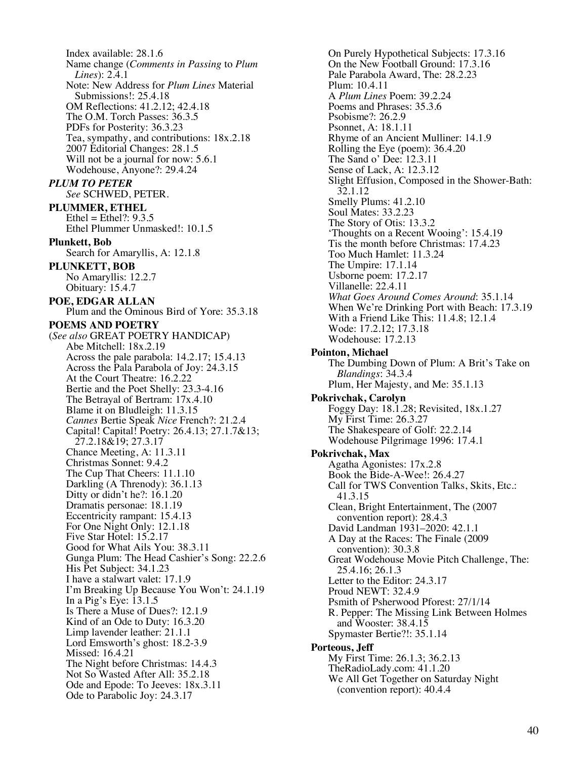Index available: 28.1.6 Name change (*Comments in Passing* to *Plum Lines*): 2.4.1 Note: New Address for *Plum Lines* Material Submissions!: 25.4.18 OM Reflections: 41.2.12; 42.4.18 The O.M. Torch Passes: 36.3.5 PDFs for Posterity: 36.3.23 Tea, sympathy, and contributions: 18x.2.18 2007 Editorial Changes: 28.1.5 Will not be a journal for now: 5.6.1 Wodehouse, Anyone?: 29.4.24 *PLUM TO PETER See* SCHWED, PETER. **PLUMMER, ETHEL** Ethel = Ethel $?: 9.3.5$ Ethel Plummer Unmasked!: 10.1.5 **Plunkett, Bob** Search for Amaryllis, A: 12.1.8 **PLUNKETT, BOB** No Amaryllis: 12.2.7 Obituary: 15.4.7 **POE, EDGAR ALLAN** Plum and the Ominous Bird of Yore: 35.3.18 **POEMS AND POETRY** (*See also* GREAT POETRY HANDICAP) Abe Mitchell: 18x.2.19 Across the pale parabola: 14.2.17; 15.4.13 Across the Pala Parabola of Joy: 24.3.15 At the Court Theatre: 16.2.22 Bertie and the Poet Shelly: 23.3-4.16 The Betrayal of Bertram: 17x.4.10 Blame it on Bludleigh: 11.3.15 *Cannes* Bertie Speak *Nice* French?: 21.2.4 Capital! Capital! Poetry: 26.4.13; 27.1.7&13; 27.2.18&19; 27.3.17 Chance Meeting, A: 11.3.11 Christmas Sonnet: 9.4.2 The Cup That Cheers: 11.1.10 Darkling (A Threnody): 36.1.13 Ditty or didn't he?: 16.1.20 Dramatis personae: 18.1.19 Eccentricity rampant: 15.4.13 For One Night Only: 12.1.18 Five Star Hotel: 15.2.17 Good for What Ails You: 38.3.11 Gunga Plum: The Head Cashier's Song: 22.2.6 His Pet Subject: 34.1.23 I have a stalwart valet: 17.1.9 I'm Breaking Up Because You Won't: 24.1.19 In a Pig's Eye:  $13.1.5$ Is There a Muse of Dues?: 12.1.9 Kind of an Ode to Duty: 16.3.20 Limp lavender leather: 21.1.1 Lord Emsworth's ghost: 18.2-3.9 Missed: 16.4.21 The Night before Christmas: 14.4.3 Not So Wasted After All: 35.2.18 Ode and Epode: To Jeeves: 18x.3.11 Ode to Parabolic Joy: 24.3.17

On Purely Hypothetical Subjects: 17.3.16 On the New Football Ground: 17.3.16 Pale Parabola Award, The: 28.2.23 Plum: 10.4.11 A *Plum Lines* Poem: 39.2.24 Poems and Phrases: 35.3.6 Psobisme?: 26.2.9 Psonnet, A: 18.1.11 Rhyme of an Ancient Mulliner: 14.1.9 Rolling the Eye (poem): 36.4.20 The Sand o' Dee: 12.3.11 Sense of Lack, A: 12.3.12 Slight Effusion, Composed in the Shower-Bath: 32.1.12 Smelly Plums: 41.2.10 Soul Mates: 33.2.23 The Story of Otis: 13.3.2 'Thoughts on a Recent Wooing': 15.4.19 Tis the month before Christmas: 17.4.23 Too Much Hamlet: 11.3.24 The Umpire: 17.1.14 Usborne poem: 17.2.17 Villanelle: 22.4.11 *What Goes Around Comes Around*: 35.1.14 When We're Drinking Port with Beach: 17.3.19 With a Friend Like This: 11.4.8; 12.1.4 Wode: 17.2.12; 17.3.18 Wodehouse: 17.2.13 **Pointon, Michael** The Dumbing Down of Plum: A Brit's Take on *Blandings*: 34.3.4 Plum, Her Majesty, and Me: 35.1.13 **Pokrivchak, Carolyn** Foggy Day: 18.1.28; Revisited, 18x.1.27 My First Time: 26.3.27 The Shakespeare of Golf: 22.2.14 Wodehouse Pilgrimage 1996: 17.4.1 **Pokrivchak, Max** Agatha Agonistes: 17x.2.8 Book the Bide-A-Wee!: 26.4.27 Call for TWS Convention Talks, Skits, Etc.: 41.3.15 Clean, Bright Entertainment, The (2007 convention report): 28.4.3 David Landman 1931–2020: 42.1.1 A Day at the Races: The Finale (2009 convention): 30.3.8 Great Wodehouse Movie Pitch Challenge, The: 25.4.16; 26.1.3 Letter to the Editor: 24.3.17 Proud NEWT: 32.4.9 Psmith of Psherwood Pforest: 27/1/14 R. Pepper: The Missing Link Between Holmes and Wooster: 38.4.15 Spymaster Bertie?!: 35.1.14 **Porteous, Jeff** My First Time: 26.1.3; 36.2.13 TheRadioLady.com: 41.1.20 We All Get Together on Saturday Night

(convention report): 40.4.4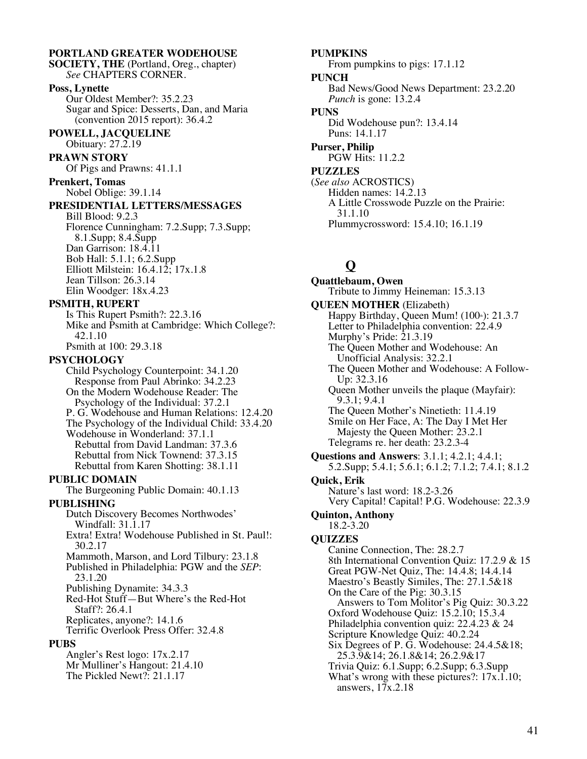#### **PORTLAND GREATER WODEHOUSE SOCIETY, THE** (Portland, Oreg., chapter) *See* CHAPTERS CORNER. **Poss, Lynette** Our Oldest Member?: 35.2.23 Sugar and Spice: Desserts, Dan, and Maria (convention 2015 report): 36.4.2 **POWELL, JACQUELINE** Obituary: 27.2.19 **PRAWN STORY** Of Pigs and Prawns: 41.1.1 **Prenkert, Tomas** Nobel Oblige: 39.1.14 **PRESIDENTIAL LETTERS/MESSAGES** Bill Blood: 9.2.3 Florence Cunningham: 7.2.Supp; 7.3.Supp; 8.1.Supp; 8.4.Supp Dan Garrison: 18.4.11 Bob Hall: 5.1.1; 6.2.Supp Elliott Milstein:  $16.4.12$ ;  $17x.1.8$ Jean Tillson: 26.3.14 Elin Woodger: 18x.4.23 **PSMITH, RUPERT** Is This Rupert Psmith?: 22.3.16 Mike and Psmith at Cambridge: Which College?: 42.1.10 Psmith at 100: 29.3.18 **PSYCHOLOGY** Child Psychology Counterpoint: 34.1.20 Response from Paul Abrinko: 34.2.23 On the Modern Wodehouse Reader: The Psychology of the Individual: 37.2.1 P. G. Wodehouse and Human Relations: 12.4.20 The Psychology of the Individual Child: 33.4.20 Wodehouse in Wonderland: 37.1.1 Rebuttal from David Landman: 37.3.6 Rebuttal from Nick Townend: 37.3.15 Rebuttal from Karen Shotting: 38.1.11 **PUBLIC DOMAIN** The Burgeoning Public Domain: 40.1.13 **PUBLISHING** Dutch Discovery Becomes Northwodes' Windfall: 31.1.17 Extra! Extra! Wodehouse Published in St. Paul!: 30.2.17 Mammoth, Marson, and Lord Tilbury: 23.1.8 Published in Philadelphia: PGW and the *SEP*: 23.1.20 Publishing Dynamite: 34.3.3 Red-Hot Stuff—But Where's the Red-Hot Staff?: 26.4.1 Replicates, anyone?: 14.1.6 Terrific Overlook Press Offer: 32.4.8 **PUBS** Angler's Rest logo: 17x.2.17 Mr Mulliner's Hangout: 21.4.10 The Pickled Newt?: 21.1.17

#### **PUMPKINS** From pumpkins to pigs: 17.1.12 **PUNCH** Bad News/Good News Department: 23.2.20 *Punch* is gone: 13.2.4 **PUNS** Did Wodehouse pun?: 13.4.14 Puns: 14.1.17 **Purser, Philip** PGW Hits: 11.2.2 **PUZZLES** (*See also* ACROSTICS) Hidden names: 14.2.13 A Little Crosswode Puzzle on the Prairie: 31.1.10

Plummycrossword: 15.4.10; 16.1.19

# **Q**

**Quattlebaum, Owen** Tribute to Jimmy Heineman: 15.3.13 **QUEEN MOTHER** (Elizabeth) Happy Birthday, Queen Mum!  $(100*)$ : 21.3.7 Letter to Philadelphia convention: 22.4.9 Murphy's Pride:  $21.3.19$ The Queen Mother and Wodehouse: An Unofficial Analysis: 32.2.1 The Queen Mother and Wodehouse: A Follow-Up: 32.3.16 Queen Mother unveils the plaque (Mayfair): 9.3.1; 9.4.1 The Queen Mother's Ninetieth: 11.4.19 Smile on Her Face, A: The Day I Met Her Majesty the Queen Mother: 23.2.1 Telegrams re. her death: 23.2.3-4 **Questions and Answers**: 3.1.1; 4.2.1; 4.4.1; 5.2.Supp; 5.4.1; 5.6.1; 6.1.2; 7.1.2; 7.4.1; 8.1.2 **Quick, Erik** Nature's last word: 18.2-3.26 Very Capital! Capital! P.G. Wodehouse: 22.3.9 **Quinton, Anthony** 18.2-3.20 **QUIZZES** Canine Connection, The: 28.2.7 8th International Convention Quiz: 17.2.9 & 15 Great PGW-Net Quiz, The: 14.4.8; 14.4.14 Maestro's Beastly Similes, The: 27.1.5&18 On the Care of the Pig: 30.3.15 Answers to Tom Molitor's Pig Quiz: 30.3.22 Oxford Wodehouse Quiz: 15.2.10; 15.3.4 Philadelphia convention quiz: 22.4.23 & 24 Scripture Knowledge Quiz: 40.2.24 Six Degrees of P. G. Wodehouse: 24.4.5&18; 25.3.9&14; 26.1.8&14; 26.2.9&17 Trivia Quiz: 6.1.Supp; 6.2.Supp; 6.3.Supp What's wrong with these pictures?:  $17x.1.10$ ; answers, 17x.2.18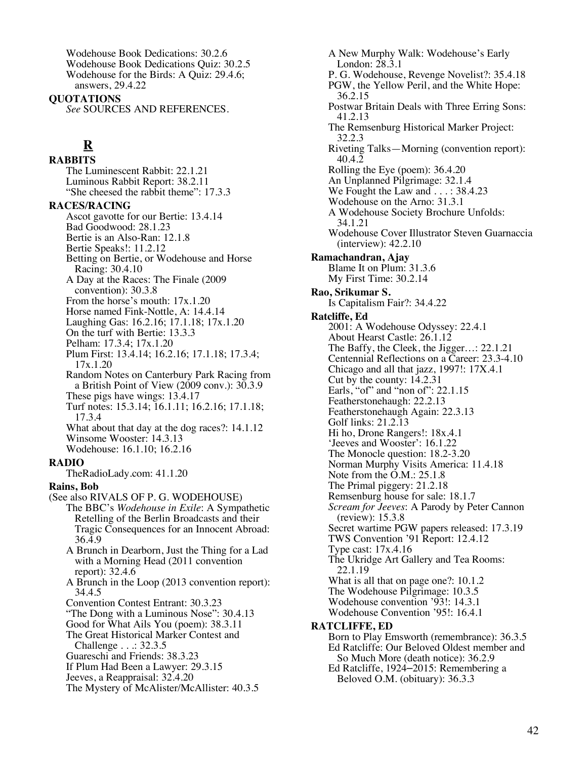Wodehouse Book Dedications: 30.2.6 Wodehouse Book Dedications Quiz: 30.2.5 Wodehouse for the Birds: A Quiz: 29.4.6; answers, 29.4.22

**QUOTATIONS**

*See* SOURCES AND REFERENCES.

# **R**

**RABBITS**

The Luminescent Rabbit: 22.1.21 Luminous Rabbit Report: 38.2.11 "She cheesed the rabbit theme": 17.3.3"

#### **RACES/RACING**

Ascot gavotte for our Bertie: 13.4.14 Bad Goodwood: 28.1.23 Bertie is an Also-Ran: 12.1.8 Bertie Speaks!: 11.2.12 Betting on Bertie, or Wodehouse and Horse Racing: 30.4.10 A Day at the Races: The Finale (2009 convention): 30.3.8 From the horse's mouth: 17x.1.20 Horse named Fink-Nottle, A: 14.4.14 Laughing Gas: 16.2.16; 17.1.18; 17x.1.20 On the turf with Bertie: 13.3.3 Pelham: 17.3.4; 17x.1.20 Plum First: 13.4.14; 16.2.16; 17.1.18; 17.3.4; 17x.1.20 Random Notes on Canterbury Park Racing from a British Point of View (2009 conv.): 30.3.9 These pigs have wings: 13.4.17 Turf notes: 15.3.14; 16.1.11; 16.2.16; 17.1.18; 17.3.4 What about that day at the dog races?: 14.1.12 Winsome Wooster: 14.3.13 Wodehouse: 16.1.10; 16.2.16 **RADIO** TheRadioLady.com: 41.1.20 **Rains, Bob** (See also RIVALS OF P. G. WODEHOUSE) The BBC's *Wodehouse in Exile*: A Sympathetic Retelling of the Berlin Broadcasts and their Tragic Consequences for an Innocent Abroad: 36.4.9 A Brunch in Dearborn, Just the Thing for a Lad with a Morning Head (2011 convention report): 32.4.6 A Brunch in the Loop (2013 convention report): 34.4.5 Convention Contest Entrant: 30.3.23 "The Dong with a Luminous Nose": 30.4.13 Good for What Ails You (poem): 38.3.11 The Great Historical Marker Contest and Challenge . . .: 32.3.5 Guareschi and Friends: 38.3.23 If Plum Had Been a Lawyer: 29.3.15 Jeeves, a Reappraisal: 32.4.20

The Mystery of McAlister/McAllister: 40.3.5

A New Murphy Walk: Wodehouse's Early London: 28.3.1 P. G. Wodehouse, Revenge Novelist?: 35.4.18 PGW, the Yellow Peril, and the White Hope: 36.2.15 Postwar Britain Deals with Three Erring Sons: 41.2.13 The Remsenburg Historical Marker Project: 32.2.3 Riveting Talks—Morning (convention report): 40.4.2 Rolling the Eye (poem): 36.4.20 An Unplanned Pilgrimage: 32.1.4 We Fought the Law and . . . : 38.4.23 Wodehouse on the Arno: 31.3.1 A Wodehouse Society Brochure Unfolds: 34.1.21 Wodehouse Cover Illustrator Steven Guarnaccia (interview): 42.2.10 **Ramachandran, Ajay** Blame It on Plum: 31.3.6 My First Time: 30.2.14 **Rao, Srikumar S.** Is Capitalism Fair?: 34.4.22 **Ratcliffe, Ed** 2001: A Wodehouse Odyssey: 22.4.1 About Hearst Castle: 26.1.12 The Baffy, the Cleek, the Jigger…: 22.1.21 Centennial Reflections on a Career: 23.3-4.10 Chicago and all that jazz, 1997!: 17X.4.1 Cut by the county: 14.2.31 Earls, "of" and "non of": 22.1.15 Featherstonehaugh: 22.2.13 Featherstonehaugh Again: 22.3.13 Golf links: 21.2.13 Hi ho, Drone Rangers!: 18x.4.1 'Jeeves and Wooster': 16.1.22 The Monocle question: 18.2-3.20 Norman Murphy Visits America: 11.4.18 Note from the O.M.: 25.1.8 The Primal piggery: 21.2.18 Remsenburg house for sale: 18.1.7 *Scream for Jeeves*: A Parody by Peter Cannon (review): 15.3.8 Secret wartime PGW papers released: 17.3.19 TWS Convention '91 Report: 12.4.12 Type cast: 17x.4.16 The Ukridge Art Gallery and Tea Rooms: 22.1.19 What is all that on page one?: 10.1.2 The Wodehouse Pilgrimage: 10.3.5 Wodehouse convention '93!: 14.3.1 Wodehouse Convention '95!: 16.4.1 **RATCLIFFE, ED** Born to Play Emsworth (remembrance): 36.3.5 Ed Ratcliffe: Our Beloved Oldest member and So Much More (death notice): 36.2.9

Ed Ratcliffe, 1924–2015: Remembering a Beloved O.M. (obituary): 36.3.3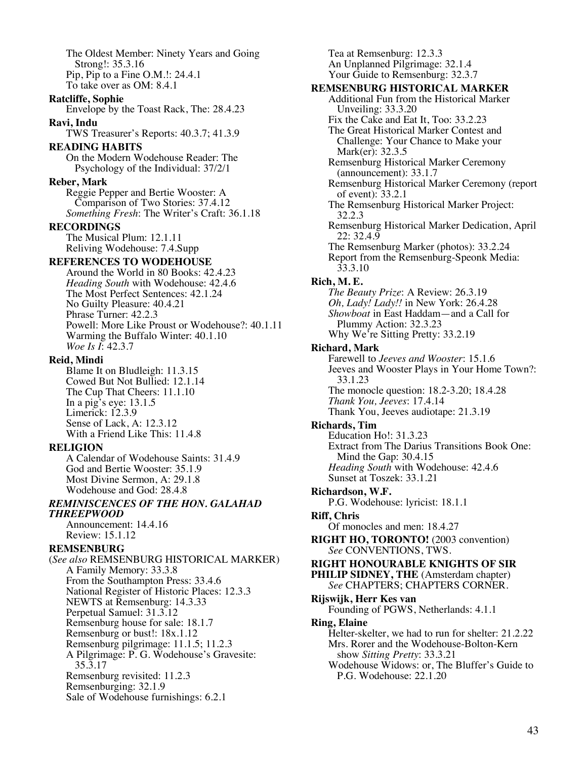The Oldest Member: Ninety Years and Going Strong!: 35.3.16 Pip, Pip to a Fine O.M.!: 24.4.1 To take over as OM: 8.4.1 **Ratcliffe, Sophie** Envelope by the Toast Rack, The: 28.4.23 **Ravi, Indu** TWS Treasurer's Reports: 40.3.7; 41.3.9 **READING HABITS** On the Modern Wodehouse Reader: The Psychology of the Individual: 37/2/1 **Reber, Mark** Reggie Pepper and Bertie Wooster: A Comparison of Two Stories: 37.4.12 *Something Fresh*: The Writer's Craft: 36.1.18 **RECORDINGS** The Musical Plum: 12.1.11 Reliving Wodehouse: 7.4.Supp **REFERENCES TO WODEHOUSE** Around the World in 80 Books: 42.4.23 *Heading South* with Wodehouse: 42.4.6 The Most Perfect Sentences: 42.1.24 No Guilty Pleasure: 40.4.21 Phrase Turner: 42.2.3 Powell: More Like Proust or Wodehouse?: 40.1.11 Warming the Buffalo Winter: 40.1.10 *Woe Is I*: 42.3.7 **Reid, Mindi** Blame It on Bludleigh: 11.3.15 Cowed But Not Bullied: 12.1.14 The Cup That Cheers: 11.1.10 In a pig's eye: 13.1.5 Limerick: 12.3.9 Sense of Lack, A: 12.3.12 With a Friend Like This: 11.4.8 **RELIGION** A Calendar of Wodehouse Saints: 31.4.9 God and Bertie Wooster: 35.1.9 Most Divine Sermon, A: 29.1.8 Wodehouse and God: 28.4.8 *REMINISCENCES OF THE HON. GALAHAD THREEPWOOD* Announcement: 14.4.16 Review: 15.1.12 **REMSENBURG** (*See also* REMSENBURG HISTORICAL MARKER) A Family Memory: 33.3.8 From the Southampton Press: 33.4.6 National Register of Historic Places: 12.3.3 NEWTS at Remsenburg: 14.3.33 Perpetual Samuel: 31.3.12 Remsenburg house for sale: 18.1.7 Remsenburg or bust!: 18x.1.12 Remsenburg pilgrimage: 11.1.5; 11.2.3 A Pilgrimage: P. G. Wodehouse's Gravesite: 35.3.17 Remsenburg revisited: 11.2.3 Remsenburging: 32.1.9 Sale of Wodehouse furnishings: 6.2.1

Tea at Remsenburg: 12.3.3 An Unplanned Pilgrimage: 32.1.4 Your Guide to Remsenburg: 32.3.7 **REMSENBURG HISTORICAL MARKER** Additional Fun from the Historical Marker Unveiling: 33.3.20 Fix the Cake and Eat It, Too: 33.2.23 The Great Historical Marker Contest and Challenge: Your Chance to Make your Mark(er): 32.3.5 Remsenburg Historical Marker Ceremony (announcement): 33.1.7 Remsenburg Historical Marker Ceremony (report of event): 33.2.1 The Remsenburg Historical Marker Project: 32.2.3 Remsenburg Historical Marker Dedication, April 22: 32.4.9 The Remsenburg Marker (photos): 33.2.24 Report from the Remsenburg-Speonk Media: 33.3.10 **Rich, M. E.** *The Beauty Prize*: A Review: 26.3.19 *Oh, Lady! Lady!!* in New York: 26.4.28 *Showboat* in East Haddam—and a Call for Plummy Action: 32.3.23 Why We're Sitting Pretty: 33.2.19 **Richard, Mark** Farewell to *Jeeves and Wooster*: 15.1.6 Jeeves and Wooster Plays in Your Home Town?: 33.1.23 The monocle question: 18.2-3.20; 18.4.28 *Thank You, Jeeves*: 17.4.14 Thank You, Jeeves audiotape: 21.3.19 **Richards, Tim** Education Ho!: 31.3.23 Extract from The Darius Transitions Book One: Mind the Gap: 30.4.15 *Heading South* with Wodehouse: 42.4.6 Sunset at Toszek: 33.1.21 **Richardson, W.F.** P.G. Wodehouse: lyricist: 18.1.1 **Riff, Chris** Of monocles and men: 18.4.27 **RIGHT HO, TORONTO!** (2003 convention) *See* CONVENTIONS, TWS. **RIGHT HONOURABLE KNIGHTS OF SIR PHILIP SIDNEY, THE** (Amsterdam chapter) *See* CHAPTERS; CHAPTERS CORNER. **Rijswijk, Herr Kes van** Founding of PGWS, Netherlands: 4.1.1 **Ring, Elaine** Helter-skelter, we had to run for shelter: 21.2.22 Mrs. Rorer and the Wodehouse-Bolton-Kern show *Sitting Pretty*: 33.3.21 Wodehouse Widows: or, The Bluffer's Guide to P.G. Wodehouse: 22.1.20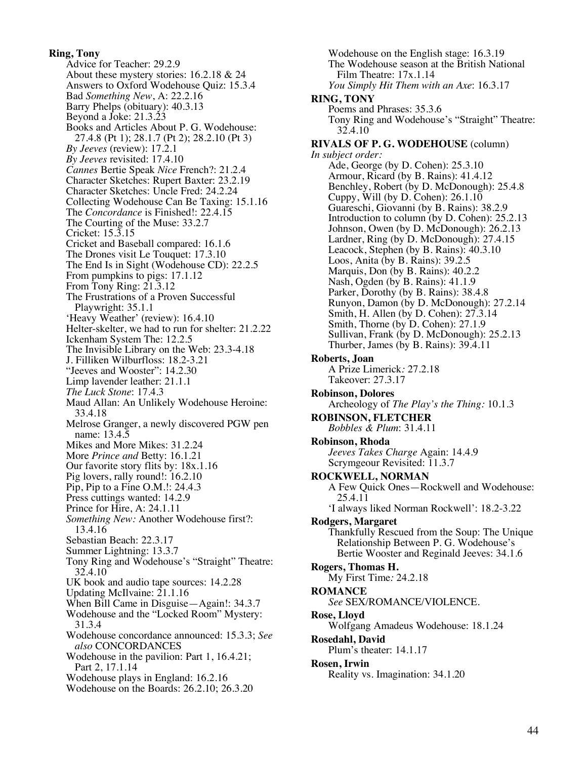#### **Ring, Tony**

Advice for Teacher: 29.2.9 About these mystery stories: 16.2.18 & 24 Answers to Oxford Wodehouse Quiz: 15.3.4 Bad *Something New*, A: 22.2.16 Barry Phelps (obituary): 40.3.13 Beyond a Joke: 21.3.23 Books and Articles About P. G. Wodehouse: 27.4.8 (Pt 1); 28.1.7 (Pt 2); 28.2.10 (Pt 3) *By Jeeves* (review): 17.2.1 *By Jeeves* revisited: 17.4.10 *Cannes* Bertie Speak *Nice* French?: 21.2.4 Character Sketches: Rupert Baxter: 23.2.19 Character Sketches: Uncle Fred: 24.2.24 Collecting Wodehouse Can Be Taxing: 15.1.16 The *Concordance* is Finished!: 22.4.15 The Courting of the Muse: 33.2.7 Cricket: 15.3.15 Cricket and Baseball compared: 16.1.6 The Drones visit Le Touquet: 17.3.10 The End Is in Sight (Wodehouse CD): 22.2.5 From pumpkins to pigs: 17.1.12 From Tony Ring: 21.3.12 The Frustrations of a Proven Successful Playwright: 35.1.1 'Heavy Weather' (review): 16.4.10 Helter-skelter, we had to run for shelter: 21.2.22 Ickenham System The: 12.2.5 The Invisible Library on the Web: 23.3-4.18 J. Filliken Wilburfloss: 18.2-3.21 "Jeeves and Wooster": 14.2.30 Limp lavender leather: 21.1.1 *The Luck Stone*: 17.4.3 Maud Allan: An Unlikely Wodehouse Heroine: 33.4.18 Melrose Granger, a newly discovered PGW pen name: 13.4.5 Mikes and More Mikes: 31.2.24 More *Prince and* Betty: 16.1.21 Our favorite story flits by: 18x.1.16 Pig lovers, rally round!: 16.2.10 Pip, Pip to a Fine O.M.!: 24.4.3 Press cuttings wanted: 14.2.9 Prince for Hire, A: 24.1.11 *Something New:* Another Wodehouse first?: 13.4.16 Sebastian Beach: 22.3.17 Summer Lightning: 13.3.7 Tony Ring and Wodehouse's "Straight" Theatre: 32.4.10 UK book and audio tape sources: 14.2.28 Updating McIlvaine: 21.1.16 When Bill Came in Disguise—Again!: 34.3.7 Wodehouse and the "Locked Room" Mystery: 31.3.4 Wodehouse concordance announced: 15.3.3; *See also* CONCORDANCES Wodehouse in the pavilion: Part 1, 16.4.21; Part 2, 17.1.14 Wodehouse plays in England: 16.2.16 Wodehouse on the Boards: 26.2.10; 26.3.20

Wodehouse on the English stage: 16.3.19 The Wodehouse season at the British National Film Theatre: 17x.1.14 *You Simply Hit Them with an Axe*: 16.3.17 **RING, TONY** Poems and Phrases: 35.3.6 Tony Ring and Wodehouse's "Straight" Theatre: 32.4.10 **RIVALS OF P. G. WODEHOUSE** (column) *In subject order:* Ade, George (by D. Cohen): 25.3.10 Armour, Ricard (by B. Rains): 41.4.12 Benchley, Robert (by D. McDonough): 25.4.8 Cuppy, Will (by D. Cohen): 26.1.10 Guareschi, Giovanni (by B. Rains): 38.2.9 Introduction to column (by D. Cohen): 25.2.13 Johnson, Owen (by D. McDonough): 26.2.13 Lardner, Ring (by D. McDonough): 27.4.15 Leacock, Stephen (by B. Rains): 40.3.10 Loos, Anita (by B. Rains): 39.2.5 Marquis, Don (by B. Rains): 40.2.2 Nash, Ogden (by B. Rains): 41.1.9 Parker, Dorothy (by B. Rains): 38.4.8 Runyon, Damon (by D. McDonough): 27.2.14 Smith, H. Allen (by D. Cohen): 27.3.14 Smith, Thorne (by D. Cohen): 27.1.9 Sullivan, Frank (by D. McDonough): 25.2.13 Thurber, James (by B. Rains): 39.4.11 **Roberts, Joan** A Prize Limerick*:* 27.2.18 Takeover: 27.3.17 **Robinson, Dolores** Archeology of *The Play's the Thing:* 10.1.3 **ROBINSON, FLETCHER** *Bobbles & Plum*: 31.4.11 **Robinson, Rhoda** *Jeeves Takes Charge* Again: 14.4.9 Scrymgeour Revisited: 11.3.7 **ROCKWELL, NORMAN** A Few Quick Ones—Rockwell and Wodehouse: 25.4.11 'I always liked Norman Rockwell': 18.2-3.22 **Rodgers, Margaret** Thankfully Rescued from the Soup: The Unique Relationship Between P. G. Wodehouse's Bertie Wooster and Reginald Jeeves: 34.1.6 **Rogers, Thomas H.** My First Time*:* 24.2.18 **ROMANCE** *See* SEX/ROMANCE/VIOLENCE. **Rose, Lloyd** Wolfgang Amadeus Wodehouse: 18.1.24 **Rosedahl, David** Plum's theater: 14.1.17 **Rosen, Irwin** Reality vs. Imagination: 34.1.20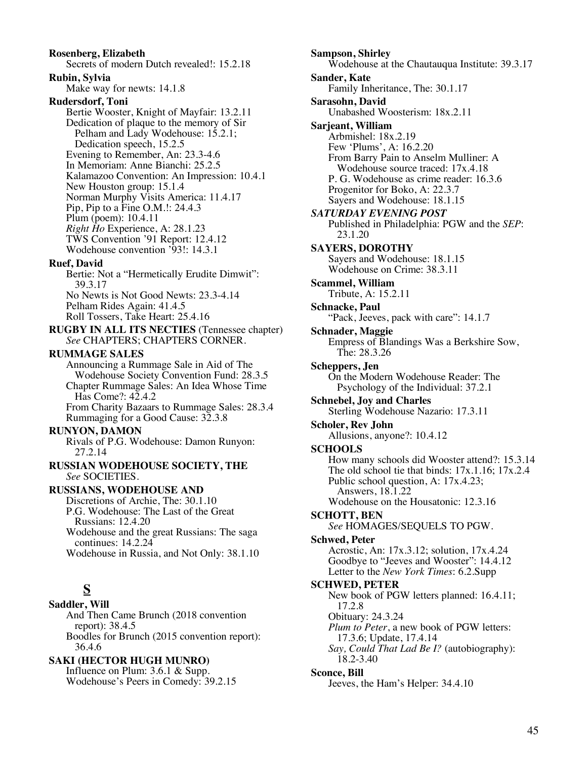#### **Rosenberg, Elizabeth** Secrets of modern Dutch revealed!: 15.2.18 **Rubin, Sylvia** Make way for newts: 14.1.8 **Rudersdorf, Toni** Bertie Wooster, Knight of Mayfair: 13.2.11 Dedication of plaque to the memory of Sir Pelham and Lady Wodehouse: 15.2.1; Dedication speech, 15.2.5 Evening to Remember, An: 23.3-4.6 In Memoriam: Anne Bianchi: 25.2.5 Kalamazoo Convention: An Impression: 10.4.1 New Houston group: 15.1.4 Norman Murphy Visits America: 11.4.17 Pip, Pip to a Fine O.M.!: 24.4.3 Plum (poem): 10.4.11 *Right Ho* Experience, A: 28.1.23 TWS Convention '91 Report: 12.4.12 Wodehouse convention '93!: 14.3.1 **Ruef, David** Bertie: Not a "Hermetically Erudite Dimwit": 39.3.17 No Newts is Not Good Newts: 23.3-4.14 Pelham Rides Again: 41.4.5 Roll Tossers, Take Heart: 25.4.16 **RUGBY IN ALL ITS NECTIES** (Tennessee chapter) *See* CHAPTERS; CHAPTERS CORNER. **RUMMAGE SALES** Announcing a Rummage Sale in Aid of The Wodehouse Society Convention Fund: 28.3.5 Chapter Rummage Sales: An Idea Whose Time Has Come?: 42.4.2 From Charity Bazaars to Rummage Sales: 28.3.4 Rummaging for a Good Cause: 32.3.8 **RUNYON, DAMON** Rivals of P.G. Wodehouse: Damon Runyon: 27.2.14 **RUSSIAN WODEHOUSE SOCIETY, THE** *See* SOCIETIES. **RUSSIANS, WODEHOUSE AND** Discretions of Archie, The: 30.1.10 P.G. Wodehouse: The Last of the Great Russians: 12.4.20 Wodehouse and the great Russians: The saga continues: 14.2.24 Wodehouse in Russia, and Not Only: 38.1.10 **S Saddler, Will** And Then Came Brunch (2018 convention report): 38.4.5 Boodles for Brunch (2015 convention report): 36.4.6 **SAKI (HECTOR HUGH MUNRO)** Influence on Plum: 3.6.1 & Supp. Wodehouse's Peers in Comedy: 39.2.15

**Sampson, Shirley** Wodehouse at the Chautauqua Institute: 39.3.17 **Sander, Kate** Family Inheritance, The: 30.1.17 **Sarasohn, David** Unabashed Woosterism: 18x.2.11 **Sarjeant, William** Arbmishel: 18x.2.19 Few 'Plums', A: 16.2.20 From Barry Pain to Anselm Mulliner: A Wodehouse source traced: 17x.4.18 P. G. Wodehouse as crime reader: 16.3.6 Progenitor for Boko, A: 22.3.7 Sayers and Wodehouse: 18.1.15 *SATURDAY EVENING POST* Published in Philadelphia: PGW and the *SEP*: 23.1.20 **SAYERS, DOROTHY** Sayers and Wodehouse: 18.1.15 Wodehouse on Crime: 38.3.11 **Scammel, William** Tribute, A: 15.2.11 **Schnacke, Paul** "Pack, Jeeves, pack with care": 14.1.7 **Schnader, Maggie** Empress of Blandings Was a Berkshire Sow, The: 28.3.26 **Scheppers, Jen** On the Modern Wodehouse Reader: The Psychology of the Individual: 37.2.1 **Schnebel, Joy and Charles** Sterling Wodehouse Nazario: 17.3.11 **Scholer, Rev John** Allusions, anyone?: 10.4.12 **SCHOOLS** How many schools did Wooster attend?: 15.3.14 The old school tie that binds:  $17x.1.16$ ;  $17x.2.4$ Public school question, A: 17x.4.23; Answers, 18.1.22 Wodehouse on the Housatonic: 12.3.16 **SCHOTT, BEN** *See* HOMAGES/SEQUELS TO PGW. **Schwed, Peter** Acrostic, An: 17x.3.12; solution, 17x.4.24 Goodbye to "Jeeves and Wooster": 14.4.12 Letter to the *New York Times*: 6.2.Supp **SCHWED, PETER** New book of PGW letters planned: 16.4.11; 17.2.8 Obituary: 24.3.24 *Plum to Peter*, a new book of PGW letters: 17.3.6; Update, 17.4.14 *Say, Could That Lad Be I?* (autobiography): 18.2-3.40 **Sconce, Bill** Jeeves, the Ham's Helper: 34.4.10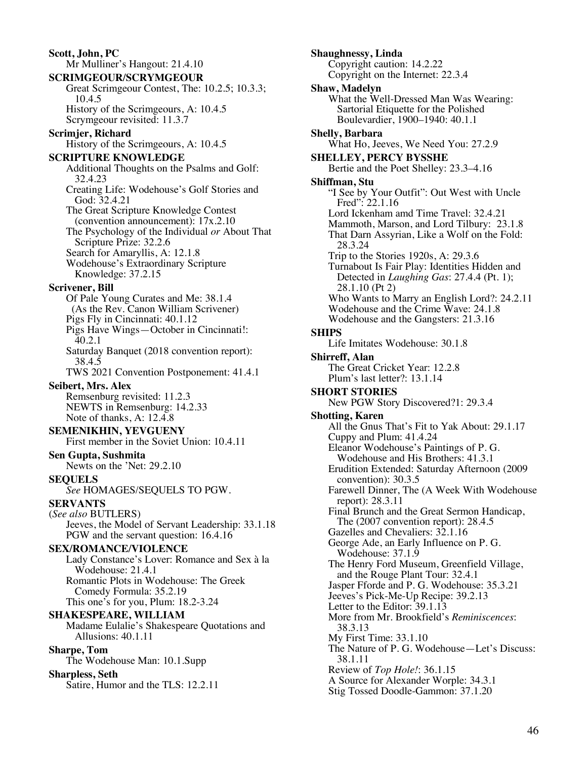**Scott, John, PC** Mr Mulliner's Hangout: 21.4.10 **SCRIMGEOUR/SCRYMGEOUR** Great Scrimgeour Contest, The: 10.2.5; 10.3.3; 10.4.5 History of the Scrimgeours, A: 10.4.5 Scrymgeour revisited: 11.3.7 **Scrimjer, Richard** History of the Scrimgeours, A: 10.4.5 **SCRIPTURE KNOWLEDGE** Additional Thoughts on the Psalms and Golf: 32.4.23 Creating Life: Wodehouse's Golf Stories and God: 32.4.21 The Great Scripture Knowledge Contest (convention announcement): 17x.2.10 The Psychology of the Individual *or* About That Scripture Prize: 32.2.6 Search for Amaryllis, A: 12.1.8 Wodehouse's Extraordinary Scripture Knowledge: 37.2.15 **Scrivener, Bill** Of Pale Young Curates and Me: 38.1.4 (As the Rev. Canon William Scrivener) Pigs Fly in Cincinnati: 40.1.12 Pigs Have Wings—October in Cincinnati!: 40.2.1 Saturday Banquet (2018 convention report): 38.4.5 TWS 2021 Convention Postponement: 41.4.1 **Seibert, Mrs. Alex** Remsenburg revisited: 11.2.3 NEWTS in Remsenburg: 14.2.33 Note of thanks, A: 12.4.8 **SEMENIKHIN, YEVGUENY** First member in the Soviet Union: 10.4.11 **Sen Gupta, Sushmita** Newts on the 'Net: 29.2.10 **SEQUELS** *See* HOMAGES/SEQUELS TO PGW. **SERVANTS** (*See also* BUTLERS) Jeeves, the Model of Servant Leadership: 33.1.18 PGW and the servant question: 16.4.16 **SEX/ROMANCE/VIOLENCE** Lady Constance's Lover: Romance and Sex à la Wodehouse: 21.4.1 Romantic Plots in Wodehouse: The Greek Comedy Formula: 35.2.19 This one's for you, Plum: 18.2-3.24 **SHAKESPEARE, WILLIAM** Madame Eulalie's Shakespeare Quotations and Allusions: 40.1.11 **Sharpe, Tom** The Wodehouse Man: 10.1.Supp **Sharpless, Seth**

Satire, Humor and the TLS: 12.2.11

**Shaughnessy, Linda** Copyright caution: 14.2.22 Copyright on the Internet: 22.3.4 **Shaw, Madelyn** What the Well-Dressed Man Was Wearing: Sartorial Etiquette for the Polished Boulevardier, 1900–1940: 40.1.1 **Shelly, Barbara** What Ho, Jeeves, We Need You: 27.2.9 **SHELLEY, PERCY BYSSHE** Bertie and the Poet Shelley: 23.3–4.16 **Shiffman, Stu** "I See by Your Outfit": Out West with Uncle Fred": 22.1.16 Lord Ickenham amd Time Travel: 32.4.21 Mammoth, Marson, and Lord Tilbury: 23.1.8 That Darn Assyrian, Like a Wolf on the Fold: 28.3.24 Trip to the Stories 1920s, A: 29.3.6 Turnabout Is Fair Play: Identities Hidden and Detected in *Laughing Gas*: 27.4.4 (Pt. 1); 28.1.10 (Pt 2) Who Wants to Marry an English Lord?: 24.2.11 Wodehouse and the Crime Wave: 24.1.8 Wodehouse and the Gangsters: 21.3.16 **SHIPS** Life Imitates Wodehouse: 30.1.8 **Shirreff, Alan** The Great Cricket Year: 12.2.8 Plum's last letter?: 13.1.14 **SHORT STORIES** New PGW Story Discovered?1: 29.3.4 **Shotting, Karen** All the Gnus That's Fit to Yak About: 29.1.17 Cuppy and Plum: 41.4.24 Eleanor Wodehouse's Paintings of P. G. Wodehouse and His Brothers: 41.3.1 Erudition Extended: Saturday Afternoon (2009 convention): 30.3.5 Farewell Dinner, The (A Week With Wodehouse report): 28.3.11 Final Brunch and the Great Sermon Handicap, The (2007 convention report): 28.4.5 Gazelles and Chevaliers:  $32.1.16$ George Ade, an Early Influence on P. G. Wodehouse: 37.1.9 The Henry Ford Museum, Greenfield Village, and the Rouge Plant Tour: 32.4.1 Jasper Fforde and P. G. Wodehouse: 35.3.21 Jeeves's Pick-Me-Up Recipe: 39.2.13 Letter to the Editor: 39.1.13 More from Mr. Brookfield's *Reminiscences*: 38.3.13 My First Time: 33.1.10 The Nature of P. G. Wodehouse—Let's Discuss: 38.1.11 Review of *Top Hole!*: 36.1.15 A Source for Alexander Worple: 34.3.1 Stig Tossed Doodle-Gammon: 37.1.20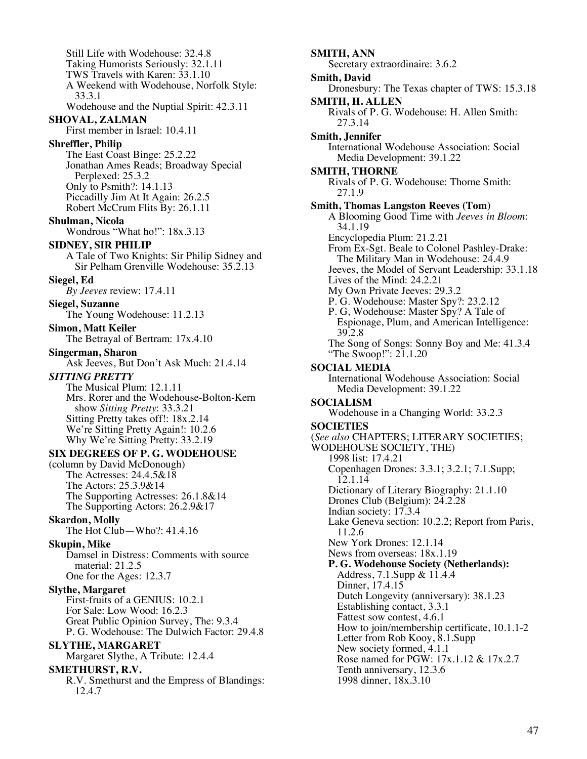Still Life with Wodehouse: 32.4.8 Taking Humorists Seriously: 32.1.11 TWS Travels with Karen: 33.1.10 A Weekend with Wodehouse, Norfolk Style: 33.3.1 Wodehouse and the Nuptial Spirit: 42.3.11 **SHOVAL, ZALMAN** First member in Israel: 10.4.11 **Shreffler, Philip** The East Coast Binge: 25.2.22 Jonathan Ames Reads; Broadway Special Perplexed: 25.3.2 Only to Psmith?: 14.1.13 Piccadilly Jim At It Again: 26.2.5 Robert McCrum Flits By: 26.1.11 **Shulman, Nicola** Wondrous "What ho!": 18x.3.13 **SIDNEY, SIR PHILIP** A Tale of Two Knights: Sir Philip Sidney and Sir Pelham Grenville Wodehouse: 35.2.13 **Siegel, Ed** *By Jeeves* review: 17.4.11 **Siegel, Suzanne** The Young Wodehouse: 11.2.13 **Simon, Matt Keiler** The Betrayal of Bertram: 17x.4.10 **Singerman, Sharon** Ask Jeeves, But Don't Ask Much: 21.4.14 *SITTING PRETTY* The Musical Plum: 12.1.11 Mrs. Rorer and the Wodehouse-Bolton-Kern show *Sitting Pretty*: 33.3.21 Sitting Pretty takes off!: 18x.2.14 We're Sitting Pretty Again!: 10.2.6 Why We're Sitting Pretty: 33.2.19 **SIX DEGREES OF P. G. WODEHOUSE** (column by David McDonough) The Actresses: 24.4.5&18 The Actors: 25.3.9&14 The Supporting Actresses: 26.1.8&14 The Supporting Actors: 26.2.9&17 **Skardon, Molly** The Hot Club—Who?: 41.4.16 **Skupin, Mike** Damsel in Distress: Comments with source material: 21.2.5 One for the Ages: 12.3.7 **Slythe, Margaret** First-fruits of a GENIUS: 10.2.1 For Sale: Low Wood: 16.2.3 Great Public Opinion Survey, The: 9.3.4 P. G. Wodehouse: The Dulwich Factor: 29.4.8 **SLYTHE, MARGARET** Margaret Slythe, A Tribute: 12.4.4 **SMETHURST, R.V.** R.V. Smethurst and the Empress of Blandings: 12.4.7

**SMITH, ANN** Secretary extraordinaire: 3.6.2 **Smith, David** Dronesbury: The Texas chapter of TWS: 15.3.18 **SMITH, H. ALLEN** Rivals of P. G. Wodehouse: H. Allen Smith: 27.3.14 **Smith, Jennifer** International Wodehouse Association: Social Media Development: 39.1.22 **SMITH, THORNE** Rivals of P. G. Wodehouse: Thorne Smith: 27.1.9 **Smith, Thomas Langston Reeves (Tom)** A Blooming Good Time with *Jeeves in Bloom*: 34.1.19 Encyclopedia Plum: 21.2.21 From Ex-Sgt. Beale to Colonel Pashley-Drake: The Military Man in Wodehouse: 24.4.9 Jeeves, the Model of Servant Leadership: 33.1.18 Lives of the Mind: 24.2.21 My Own Private Jeeves: 29.3.2 P. G. Wodehouse: Master Spy?: 23.2.12 P. G, Wodehouse: Master Spy? A Tale of Espionage, Plum, and American Intelligence: 39.2.8 The Song of Songs: Sonny Boy and Me: 41.3.4 "The Swoop!": 21.1.20 **SOCIAL MEDIA** International Wodehouse Association: Social Media Development: 39.1.22 **SOCIALISM** Wodehouse in a Changing World: 33.2.3 **SOCIETIES** (*See also* CHAPTERS; LITERARY SOCIETIES; WODEHOUSE SOCIETY, THE) 1998 list: 17.4.21 Copenhagen Drones: 3.3.1; 3.2.1; 7.1.Supp; 12.1.14 Dictionary of Literary Biography: 21.1.10 Drones Club (Belgium): 24.2.28 Indian society: 17.3.4 Lake Geneva section: 10.2.2; Report from Paris, 11.2.6 New York Drones: 12.1.14 News from overseas: 18x.1.19 **P. G. Wodehouse Society (Netherlands):** Address, 7.1.Supp & 11.4.4 Dinner, 17.4.15 Dutch Longevity (anniversary): 38.1.23 Establishing contact, 3.3.1 Fattest sow contest, 4.6.1 How to join/membership certificate, 10.1.1-2 Letter from Rob Kooy, 8.1.Supp New society formed, 4.1.1 Rose named for PGW: 17x.1.12 & 17x.2.7 Tenth anniversary, 12.3.6 1998 dinner, 18x.3.10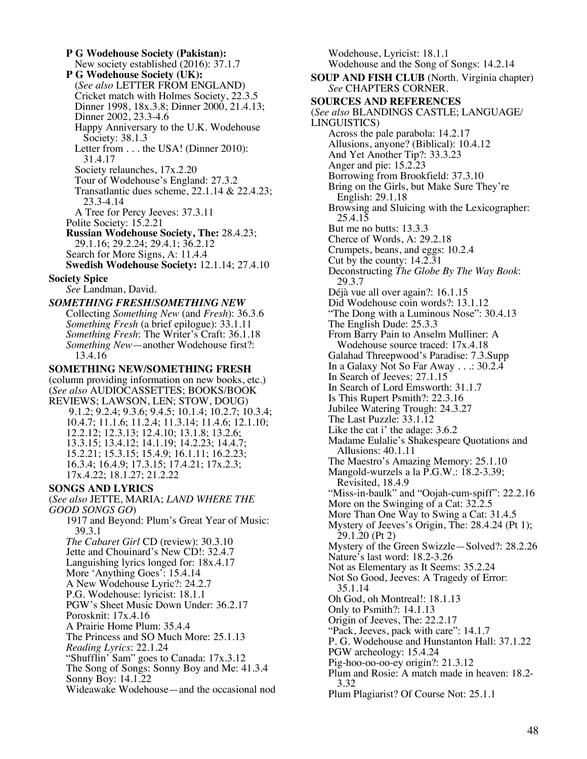**P G Wodehouse Society (Pakistan):** New society established (2016): 37.1.7 **P G Wodehouse Society (UK):** (*See also* LETTER FROM ENGLAND) Cricket match with Holmes Society, 22.3.5 Dinner 1998, 18x.3.8; Dinner 2000, 21.4.13; Dinner 2002, 23.3-4.6 Happy Anniversary to the U.K. Wodehouse Society: 38.1.3 Letter from . . . the USA! (Dinner 2010): 31.4.17 Society relaunches, 17x.2.20 Tour of Wodehouse's England: 27.3.2 Transatlantic dues scheme, 22.1.14 & 22.4.23; 23.3-4.14 A Tree for Percy Jeeves: 37.3.11 Polite Society: 15.2.21 **Russian Wodehouse Society, The:** 28.4.23; 29.1.16; 29.2.24; 29.4.1; 36.2.12 Search for More Signs, A: 11.4.4 **Swedish Wodehouse Society:** 12.1.14; 27.4.10 **Society Spice** *See* Landman, David. *SOMETHING FRESH/SOMETHING NEW* Collecting *Something New* (and *Fresh*): 36.3.6 *Something Fresh* (a brief epilogue): 33.1.11 *Something Fresh*: The Writer's Craft: 36.1.18 *Something New*—another Wodehouse first?: 13.4.16 **SOMETHING NEW/SOMETHING FRESH** (column providing information on new books, etc.) (*See also* AUDIOCASSETTES; BOOKS/BOOK REVIEWS; LAWSON, LEN; STOW, DOUG) 9.1.2; 9.2.4; 9.3.6; 9.4.5; 10.1.4; 10.2.7; 10.3.4; 10.4.7; 11.1.6; 11.2.4; 11.3.14; 11.4.6; 12.1.10; 12.2.12; 12.3.13; 12.4.10; 13.1.8; 13.2.6; 13.3.15; 13.4.12; 14.1.19; 14.2.23; 14.4.7; 15.2.21; 15.3.15; 15.4.9; 16.1.11; 16.2.23; 16.3.4; 16.4.9; 17.3.15; 17.4.21; 17x.2.3; 17x.4.22; 18.1.27; 21.2.22 **SONGS AND LYRICS** (*See also* JETTE, MARIA; *LAND WHERE THE GOOD SONGS GO*) 1917 and Beyond: Plum's Great Year of Music: 39.3.1 *The Cabaret Girl* CD (review): 30.3.10 Jette and Chouinard's New CD!: 32.4.7 Languishing lyrics longed for: 18x.4.17 More 'Anything Goes': 15.4.14 A New Wodehouse Lyric?: 24.2.7 P.G. Wodehouse: lyricist: 18.1.1 PGW's Sheet Music Down Under: 36.2.17 Porosknit: 17x.4.16 A Prairie Home Plum: 35.4.4 The Princess and SO Much More: 25.1.13 *Reading Lyrics*: 22.1.24 "Shufflin' Sam" goes to Canada: 17x.3.12 The Song of Songs: Sonny Boy and Me: 41.3.4 Sonny Boy: 14.1.22 Wideawake Wodehouse—and the occasional nod

Wodehouse, Lyricist: 18.1.1 Wodehouse and the Song of Songs: 14.2.14 **SOUP AND FISH CLUB** (North. Virginia chapter) *See* CHAPTERS CORNER. **SOURCES AND REFERENCES** (*See also* BLANDINGS CASTLE; LANGUAGE/ LINGUISTICS) Across the pale parabola: 14.2.17 Allusions, anyone? (Biblical): 10.4.12 And Yet Another Tip?: 33.3.23 Anger and pie: 15.2.23 Borrowing from Brookfield: 37.3.10 Bring on the Girls, but Make Sure They're English: 29.1.18 Browsing and Sluicing with the Lexicographer: 25.4.15 But me no butts: 13.3.3 Cherce of Words, A: 29.2.18 Crumpets, beans, and eggs: 10.2.4 Cut by the county: 14.2.31 Deconstructing *The Globe By The Way Book*: 29.3.7 Déjà vue all over again?: 16.1.15 Did Wodehouse coin words?: 13.1.12 "The Dong with a Luminous Nose": 30.4.13 The English Dude: 25.3.3 From Barry Pain to Anselm Mulliner: A Wodehouse source traced: 17x.4.18 Galahad Threepwood's Paradise: 7.3.Supp In a Galaxy Not So Far Away . . .: 30.2.4 In Search of Jeeves: 27.1.15 In Search of Lord Emsworth: 31.1.7 Is This Rupert Psmith?: 22.3.16 Jubilee Watering Trough: 24.3.27 The Last Puzzle: 33.1.12 Like the cat i' the adage: 3.6.2 Madame Eulalie's Shakespeare Quotations and Allusions: 40.1.11 The Maestro's Amazing Memory: 25.1.10 Mangold-wurzels a la P.G.W.: 18.2-3.39; Revisited, 18.4.9 "Miss-in-baulk" and "Oojah-cum-spiff": 22.2.16 More on the Swinging of a Cat: 32.2.5 More Than One Way to Swing a Cat: 31.4.5 Mystery of Jeeves's Origin, The: 28.4.24 (Pt 1); 29.1.20 (Pt 2) Mystery of the Green Swizzle—Solved?: 28.2.26 Nature's last word: 18.2-3.26 Not as Elementary as It Seems: 35.2.24 Not So Good, Jeeves: A Tragedy of Error: 35.1.14 Oh God, oh Montreal!: 18.1.13 Only to Psmith?: 14.1.13 Origin of Jeeves, The: 22.2.17 "Pack, Jeeves, pack with care": 14.1.7 P. G. Wodehouse and Hunstanton Hall: 37.1.22 PGW archeology: 15.4.24 Pig-hoo-oo-oo-ey origin?: 21.3.12 Plum and Rosie: A match made in heaven: 18.2- 3.32 Plum Plagiarist? Of Course Not: 25.1.1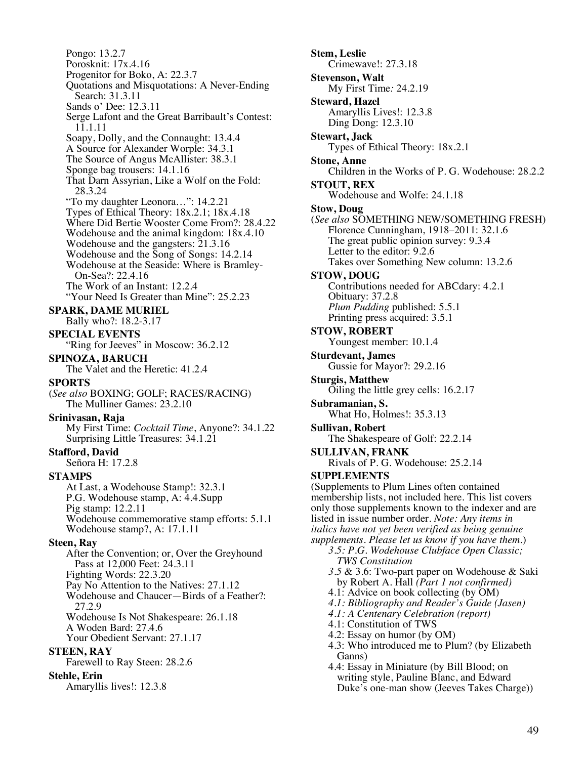Pongo: 13.2.7 Porosknit: 17x.4.16 Progenitor for Boko, A: 22.3.7 Quotations and Misquotations: A Never-Ending Search: 31.3.11 Sands o' Dee: 12.3.11 Serge Lafont and the Great Barribault's Contest: 11.1.11 Soapy, Dolly, and the Connaught: 13.4.4 A Source for Alexander Worple: 34.3.1 The Source of Angus McAllister: 38.3.1 Sponge bag trousers: 14.1.16 That Darn Assyrian, Like a Wolf on the Fold: 28.3.24 "To my daughter Leonora…": 14.2.21 Types of Ethical Theory: 18x.2.1; 18x.4.18 Where Did Bertie Wooster Come From?: 28.4.22 Wodehouse and the animal kingdom: 18x.4.10 Wodehouse and the gangsters: 21.3.16 Wodehouse and the Song of Songs: 14.2.14 Wodehouse at the Seaside: Where is Bramley-On-Sea?: 22.4.16 The Work of an Instant: 12.2.4 "Your Need Is Greater than Mine": 25.2.23 **SPARK, DAME MURIEL** Bally who?: 18.2-3.17 **SPECIAL EVENTS** "Ring for Jeeves" in Moscow: 36.2.12" **SPINOZA, BARUCH** The Valet and the Heretic: 41.2.4 **SPORTS** (*See also* BOXING; GOLF; RACES/RACING) The Mulliner Games: 23.2.10 **Srinivasan, Raja** My First Time: *Cocktail Time*, Anyone?: 34.1.22 Surprising Little Treasures: 34.1.21 **Stafford, David** Señora H: 17.2.8 **STAMPS** At Last, a Wodehouse Stamp!: 32.3.1 P.G. Wodehouse stamp, A: 4.4.Supp Pig stamp: 12.2.11 Wodehouse commemorative stamp efforts: 5.1.1 Wodehouse stamp?, A: 17.1.11 **Steen, Ray** After the Convention; or, Over the Greyhound Pass at 12,000 Feet: 24.3.11 Fighting Words: 22.3.20 Pay No Attention to the Natives: 27.1.12 Wodehouse and Chaucer—Birds of a Feather?: 27.2.9 Wodehouse Is Not Shakespeare: 26.1.18 A Woden Bard: 27.4.6 Your Obedient Servant: 27.1.17 **STEEN, RAY** Farewell to Ray Steen: 28.2.6 **Stehle, Erin** Amaryllis lives!: 12.3.8

**Stem, Leslie** Crimewave!: 27.3.18 **Stevenson, Walt** My First Time*:* 24.2.19 **Steward, Hazel** Amaryllis Lives!: 12.3.8 Ding Dong: 12.3.10 **Stewart, Jack** Types of Ethical Theory: 18x.2.1 **Stone, Anne** Children in the Works of P. G. Wodehouse: 28.2.2 **STOUT, REX** Wodehouse and Wolfe: 24.1.18 **Stow, Doug** (*See also* SOMETHING NEW/SOMETHING FRESH) Florence Cunningham, 1918–2011: 32.1.6 The great public opinion survey: 9.3.4 Letter to the editor: 9.2.6 Takes over Something New column: 13.2.6 **STOW, DOUG** Contributions needed for ABCdary: 4.2.1 Obituary: 37.2.8 *Plum Pudding* published: 5.5.1 Printing press acquired: 3.5.1 **STOW, ROBERT** Youngest member: 10.1.4 **Sturdevant, James** Gussie for Mayor?: 29.2.16 **Sturgis, Matthew** Oiling the little grey cells: 16.2.17 **Subramanian, S.** What Ho, Holmes!: 35.3.13 **Sullivan, Robert** The Shakespeare of Golf: 22.2.14 **SULLIVAN, FRANK** Rivals of P. G. Wodehouse: 25.2.14 **SUPPLEMENTS** (Supplements to Plum Lines often contained membership lists, not included here. This list covers only those supplements known to the indexer and are listed in issue number order. *Note: Any items in italics have not yet been verified as being genuine supplements. Please let us know if you have them.*) *3.5: P.G. Wodehouse Clubface Open Classic; TWS Constitution 3.5* & 3.6: Two-part paper on Wodehouse & Saki by Robert A. Hall *(Part 1 not confirmed)* 4.1: Advice on book collecting (by OM) *4.1: Bibliography and Reader's Guide (Jasen) 4.1: A Centenary Celebration (report)* 4.1: Constitution of TWS 4.2: Essay on humor (by OM) 4.3: Who introduced me to Plum? (by Elizabeth Ganns) 4.4: Essay in Miniature (by Bill Blood; on writing style, Pauline Blanc, and Edward Duke's one-man show (Jeeves Takes Charge))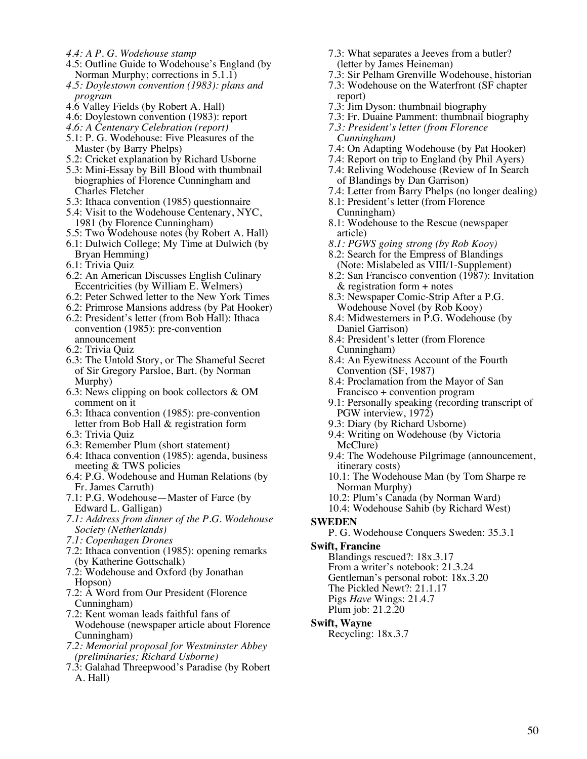- *4.4: A P. G. Wodehouse stamp*
- 4.5: Outline Guide to Wodehouse's England (by Norman Murphy; corrections in 5.1.1)
- *4.5: Doylestown convention (1983): plans and program*
- 4.6 Valley Fields (by Robert A. Hall)
- 4.6: Doylestown convention (1983): report
- *4.6: A Centenary Celebration (report)*
- 5.1: P. G. Wodehouse: Five Pleasures of the Master (by Barry Phelps)
- 5.2: Cricket explanation by Richard Usborne
- 5.3: Mini-Essay by Bill Blood with thumbnail biographies of Florence Cunningham and Charles Fletcher
- 5.3: Ithaca convention (1985) questionnaire
- 5.4: Visit to the Wodehouse Centenary, NYC, 1981 (by Florence Cunningham)
- 5.5: Two Wodehouse notes (by Robert A. Hall) 6.1: Dulwich College; My Time at Dulwich (by
	- Bryan Hemming)
- 6.1: Trivia Quiz
- 6.2: An American Discusses English Culinary Eccentricities (by William E. Welmers)
- 6.2: Peter Schwed letter to the New York Times
- 6.2: Primrose Mansions address (by Pat Hooker)
- 6.2: President's letter (from Bob Hall): Ithaca convention (1985): pre-convention announcement
- 6.2: Trivia Quiz
- 6.3: The Untold Story, or The Shameful Secret of Sir Gregory Parsloe, Bart. (by Norman Murphy)
- 6.3: News clipping on book collectors & OM comment on it
- 6.3: Ithaca convention (1985): pre-convention letter from Bob Hall & registration form
- 6.3: Trivia Quiz
- 6.3: Remember Plum (short statement)
- 6.4: Ithaca convention (1985): agenda, business meeting & TWS policies
- 6.4: P.G. Wodehouse and Human Relations (by Fr. James Carruth)
- 7.1: P.G. Wodehouse—Master of Farce (by Edward L. Galligan)
- *7.1: Address from dinner of the P.G. Wodehouse Society (Netherlands)*
- *7.1: Copenhagen Drones*
- 7.2: Ithaca convention (1985): opening remarks (by Katherine Gottschalk)
- 7.2: Wodehouse and Oxford (by Jonathan Hopson)
- 7.2: A Word from Our President (Florence Cunningham)
- 7.2: Kent woman leads faithful fans of Wodehouse (newspaper article about Florence Cunningham)
- *7.2: Memorial proposal for Westminster Abbey (preliminaries; Richard Usborne)*
- 7.3: Galahad Threepwood's Paradise (by Robert A. Hall)
- 7.3: What separates a Jeeves from a butler? (letter by James Heineman)
- 7.3: Sir Pelham Grenville Wodehouse, historian
- 7.3: Wodehouse on the Waterfront (SF chapter report)
- 7.3: Jim Dyson: thumbnail biography
- 7.3: Fr. Duaine Pamment: thumbnail biography
- *7.3: President's letter (from Florence Cunningham)*
- 7.4: On Adapting Wodehouse (by Pat Hooker)
- 7.4: Report on trip to England (by Phil Ayers)
- 7.4: Reliving Wodehouse (Review of In Search of Blandings by Dan Garrison)
- 7.4: Letter from Barry Phelps (no longer dealing)
- 8.1: President's letter (from Florence Cunningham)
- 8.1: Wodehouse to the Rescue (newspaper article)
- *8.1: PGWS going strong (by Rob Kooy)*
- 8.2: Search for the Empress of Blandings (Note: Mislabeled as VIII/1-Supplement)
- 8.2: San Francisco convention (1987): Invitation & registration form + notes
- 8.3: Newspaper Comic-Strip After a P.G. Wodehouse Novel (by Rob Kooy)
- 8.4: Midwesterners in P.G. Wodehouse (by Daniel Garrison)
- 8.4: President's letter (from Florence Cunningham)
- 8.4: An Eyewitness Account of the Fourth Convention (SF, 1987)
- 8.4: Proclamation from the Mayor of San Francisco + convention program
- 9.1: Personally speaking (recording transcript of PGW interview, 1972)
- 9.3: Diary (by Richard Usborne)
- 9.4: Writing on Wodehouse (by Victoria McClure)
- 9.4: The Wodehouse Pilgrimage (announcement, itinerary costs)
- 10.1: The Wodehouse Man (by Tom Sharpe re Norman Murphy)
- 10.2: Plum's Canada (by Norman Ward)
- 10.4: Wodehouse Sahib (by Richard West)
- **SWEDEN**
	- P. G. Wodehouse Conquers Sweden: 35.3.1
- **Swift, Francine**

Blandings rescued?: 18x.3.17 From a writer's notebook: 21.3.24 Gentleman's personal robot: 18x.3.20 The Pickled Newt?: 21.1.17 Pigs *Have* Wings: 21.4.7 Plum job: 21.2.20

## **Swift, Wayne**

Recycling: 18x.3.7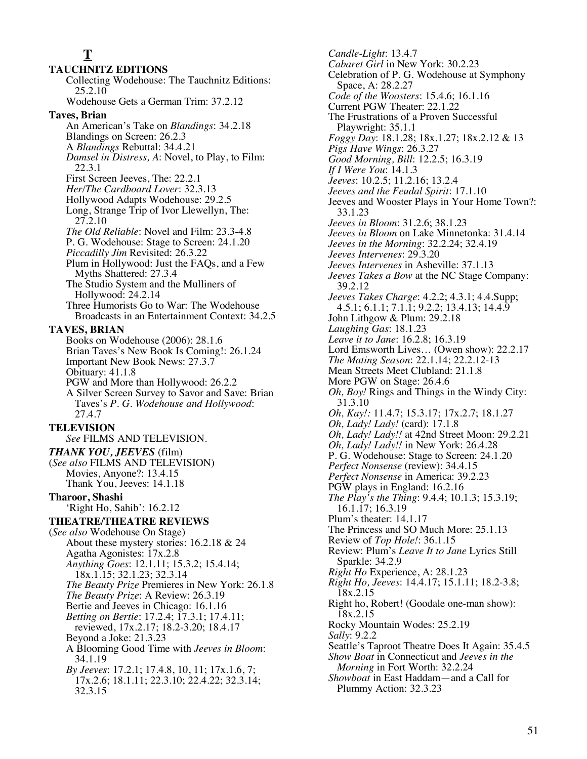# **T**

**TAUCHNITZ EDITIONS** Collecting Wodehouse: The Tauchnitz Editions: 25.2.10 Wodehouse Gets a German Trim: 37.2.12 **Taves, Brian** An American's Take on *Blandings*: 34.2.18 Blandings on Screen: 26.2.3 A *Blandings* Rebuttal: 34.4.21 *Damsel in Distress, A*: Novel, to Play, to Film: 22.3.1 First Screen Jeeves, The: 22.2.1 *Her/The Cardboard Lover*: 32.3.13 Hollywood Adapts Wodehouse: 29.2.5 Long, Strange Trip of Ivor Llewellyn, The: 27.2.10 *The Old Reliable*: Novel and Film: 23.3-4.8 P. G. Wodehouse: Stage to Screen: 24.1.20 *Piccadilly Jim* Revisited: 26.3.22 Plum in Hollywood: Just the FAQs, and a Few Myths Shattered: 27.3.4 The Studio System and the Mulliners of Hollywood: 24.2.14 Three Humorists Go to War: The Wodehouse Broadcasts in an Entertainment Context: 34.2.5 **TAVES, BRIAN** Books on Wodehouse (2006): 28.1.6 Brian Taves's New Book Is Coming!: 26.1.24 Important New Book News: 27.3.7 Obituary: 41.1.8 PGW and More than Hollywood: 26.2.2 A Silver Screen Survey to Savor and Save: Brian Taves's *P. G. Wodehouse and Hollywood*: 27.4.7 **TELEVISION** *See* FILMS AND TELEVISION. *THANK YOU, JEEVES* (film) (*See also* FILMS AND TELEVISION) Movies, Anyone?: 13.4.15 Thank You, Jeeves: 14.1.18 **Tharoor, Shashi** 'Right Ho, Sahib': 16.2.12 **THEATRE/THEATRE REVIEWS** (*See also* Wodehouse On Stage) About these mystery stories: 16.2.18 & 24 Agatha Agonistes: 17x.2.8 *Anything Goes*: 12.1.11; 15.3.2; 15.4.14; 18x.1.15; 32.1.23; 32.3.14 *The Beauty Prize* Premieres in New York: 26.1.8 *The Beauty Prize*: A Review: 26.3.19 Bertie and Jeeves in Chicago: 16.1.16 *Betting on Bertie*: 17.2.4; 17.3.1; 17.4.11; reviewed, 17x.2.17; 18.2-3.20; 18.4.17 Beyond a Joke: 21.3.23 A Blooming Good Time with *Jeeves in Bloom*: 34.1.19 *By Jeeves*: 17.2.1; 17.4.8, 10, 11; 17x.1.6, 7; 17x.2.6; 18.1.11; 22.3.10; 22.4.22; 32.3.14; 32.3.15

*Candle-Light*: 13.4.7 *Cabaret Girl* in New York: 30.2.23 Celebration of P. G. Wodehouse at Symphony Space, A: 28.2.27 *Code of the Woosters*: 15.4.6; 16.1.16 Current PGW Theater: 22.1.22 The Frustrations of a Proven Successful Playwright: 35.1.1 *Foggy Day*: 18.1.28; 18x.1.27; 18x.2.12 & 13 *Pigs Have Wings*: 26.3.27 *Good Morning, Bill*: 12.2.5; 16.3.19 *If I Were You*: 14.1.3 *Jeeves*: 10.2.5; 11.2.16; 13.2.4 *Jeeves and the Feudal Spirit*: 17.1.10 Jeeves and Wooster Plays in Your Home Town?: 33.1.23 *Jeeves in Bloom*: 31.2.6; 38.1.23 *Jeeves in Bloom* on Lake Minnetonka: 31.4.14 *Jeeves in the Morning*: 32.2.24; 32.4.19 *Jeeves Intervenes*: 29.3.20 *Jeeves Intervenes* in Asheville: 37.1.13 *Jeeves Takes a Bow* at the NC Stage Company: 39.2.12 *Jeeves Takes Charge*: 4.2.2; 4.3.1; 4.4.Supp; 4.5.1; 6.1.1; 7.1.1; 9.2.2; 13.4.13; 14.4.9 John Lithgow & Plum: 29.2.18 *Laughing Gas*: 18.1.23 *Leave it to Jane*: 16.2.8; 16.3.19 Lord Emsworth Lives… (Owen show): 22.2.17 *The Mating Season*: 22.1.14; 22.2.12-13 Mean Streets Meet Clubland: 21.1.8 More PGW on Stage: 26.4.6 *Oh, Boy!* Rings and Things in the Windy City: 31.3.10 *Oh, Kay!:* 11.4.7; 15.3.17; 17x.2.7; 18.1.27 *Oh, Lady! Lady!* (card): 17.1.8 *Oh, Lady! Lady!!* at 42nd Street Moon: 29.2.21 *Oh, Lady! Lady!!* in New York: 26.4.28 P. G. Wodehouse: Stage to Screen: 24.1.20 *Perfect Nonsense* (review): 34.4.15 *Perfect Nonsense* in America: 39.2.23 PGW plays in England: 16.2.16 *The Play's the Thing*: 9.4.4; 10.1.3; 15.3.19; 16.1.17; 16.3.19 Plum's theater: 14.1.17 The Princess and SO Much More: 25.1.13 Review of *Top Hole!*: 36.1.15 Review: Plum's *Leave It to Jane* Lyrics Still Sparkle: 34.2.9 *Right Ho* Experience, A: 28.1.23 *Right Ho, Jeeves*: 14.4.17; 15.1.11; 18.2-3.8; 18x.2.15 Right ho, Robert! (Goodale one-man show): 18x.2.15 Rocky Mountain Wodes: 25.2.19 *Sally*: 9.2.2 Seattle's Taproot Theatre Does It Again: 35.4.5 *Show Boat* in Connecticut and *Jeeves in the Morning* in Fort Worth: 32.2.24 *Showboat* in East Haddam—and a Call for Plummy Action: 32.3.23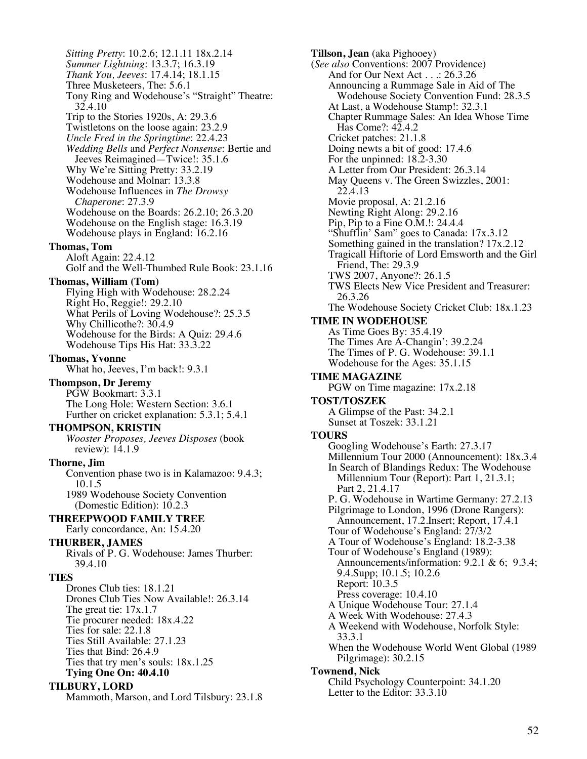*Sitting Pretty*: 10.2.6; 12.1.11 18x.2.14 *Summer Lightning*: 13.3.7; 16.3.19 *Thank You, Jeeves*: 17.4.14; 18.1.15 Three Musketeers, The: 5.6.1 Tony Ring and Wodehouse's "Straight" Theatre: 32.4.10 Trip to the Stories 1920s, A: 29.3.6 Twistletons on the loose again: 23.2.9 *Uncle Fred in the Springtime*: 22.4.23 *Wedding Bells* and *Perfect Nonsense*: Bertie and Jeeves Reimagined—Twice!: 35.1.6 Why We're Sitting Pretty: 33.2.19 Wodehouse and Molnar: 13.3.8 Wodehouse Influences in *The Drowsy Chaperone*: 27.3.9 Wodehouse on the Boards: 26.2.10; 26.3.20 Wodehouse on the English stage: 16.3.19 Wodehouse plays in England: 16.2.16 **Thomas, Tom** Aloft Again: 22.4.12 Golf and the Well-Thumbed Rule Book: 23.1.16 **Thomas, William (Tom)** Flying High with Wodehouse: 28.2.24 Right Ho, Reggie!: 29.2.10 What Perils of Loving Wodehouse?: 25.3.5 Why Chillicothe?: 30.4.9 Wodehouse for the Birds: A Quiz: 29.4.6 Wodehouse Tips His Hat: 33.3.22 **Thomas, Yvonne** What ho, Jeeves, I'm back!: 9.3.1 **Thompson, Dr Jeremy** PGW Bookmart: 3.3.1 The Long Hole: Western Section: 3.6.1 Further on cricket explanation: 5.3.1; 5.4.1 **THOMPSON, KRISTIN** *Wooster Proposes, Jeeves Disposes* (book review): 14.1.9 **Thorne, Jim** Convention phase two is in Kalamazoo: 9.4.3; 10.1.5 1989 Wodehouse Society Convention (Domestic Edition): 10.2.3 **THREEPWOOD FAMILY TREE** Early concordance, An: 15.4.20 **THURBER, JAMES** Rivals of P. G. Wodehouse: James Thurber: 39.4.10 **TIES** Drones Club ties: 18.1.21 Drones Club Ties Now Available!: 26.3.14 The great tie: 17x.1.7 Tie procurer needed: 18x.4.22 Ties for sale: 22.1.8 Ties Still Available: 27.1.23 Ties that Bind: 26.4.9 Ties that try men's souls: 18x.1.25 **Tying One On: 40.4.10**

**TILBURY, LORD**

Mammoth, Marson, and Lord Tilsbury: 23.1.8

**Tillson, Jean** (aka Pighooey) (*See also* Conventions: 2007 Providence) And for Our Next Act . . .: 26.3.26 Announcing a Rummage Sale in Aid of The Wodehouse Society Convention Fund: 28.3.5 At Last, a Wodehouse Stamp!: 32.3.1 Chapter Rummage Sales: An Idea Whose Time Has Come?: 42.4.2 Cricket patches: 21.1.8 Doing newts a bit of good: 17.4.6 For the unpinned: 18.2-3.30 A Letter from Our President: 26.3.14 May Queens v. The Green Swizzles, 2001: 22.4.13 Movie proposal, A: 21.2.16 Newting Right Along: 29.2.16 Pip, Pip to a Fine O.M.!: 24.4.4 "Shufflin' Sam" goes to Canada: 17x.3.12 Something gained in the translation? 17x.2.12 Tragicall Hiftorie of Lord Emsworth and the Girl Friend, The: 29.3.9 TWS 2007, Anyone?: 26.1.5 TWS Elects New Vice President and Treasurer: 26.3.26 The Wodehouse Society Cricket Club: 18x.1.23 **TIME IN WODEHOUSE** As Time Goes By: 35.4.19 The Times Are A-Changin': 39.2.24 The Times of P. G. Wodehouse: 39.1.1 Wodehouse for the Ages: 35.1.15 **TIME MAGAZINE** PGW on Time magazine: 17x.2.18 **TOST/TOSZEK** A Glimpse of the Past: 34.2.1 Sunset at Toszek: 33.1.21 **TOURS** Googling Wodehouse's Earth: 27.3.17 Millennium Tour 2000 (Announcement): 18x.3.4 In Search of Blandings Redux: The Wodehouse Millennium Tour (Report): Part 1, 21.3.1; Part 2, 21.4.17 P. G. Wodehouse in Wartime Germany: 27.2.13 Pilgrimage to London, 1996 (Drone Rangers): Announcement, 17.2.Insert; Report, 17.4.1 Tour of Wodehouse's England: 27/3/2 A Tour of Wodehouse's England: 18.2-3.38 Tour of Wodehouse's England (1989): Announcements/information: 9.2.1 & 6; 9.3.4; 9.4.Supp; 10.1.5; 10.2.6 Report: 10.3.5 Press coverage: 10.4.10 A Unique Wodehouse Tour: 27.1.4 A Week With Wodehouse: 27.4.3 A Weekend with Wodehouse, Norfolk Style: 33.3.1 When the Wodehouse World Went Global (1989 Pilgrimage): 30.2.15 **Townend, Nick** Child Psychology Counterpoint: 34.1.20 Letter to the Editor: 33.3.10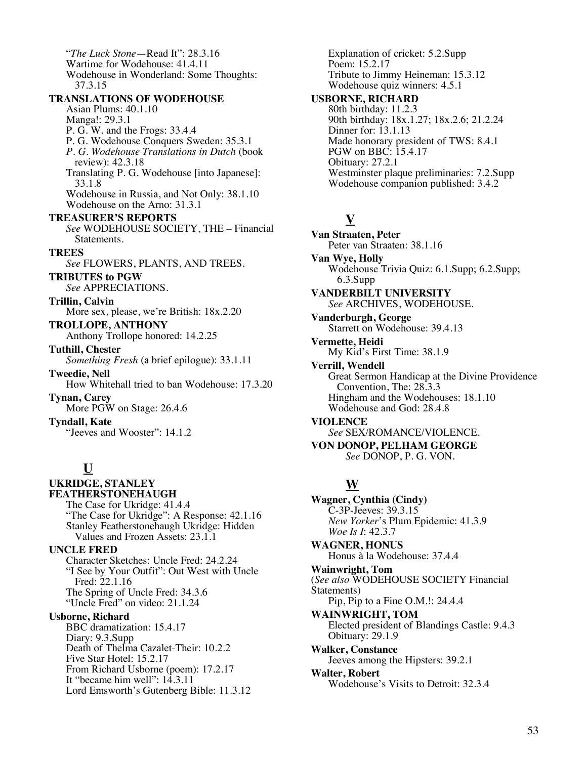"*The Luck Stone*—Read It": 28.3.16 Wartime for Wodehouse: 41.4.11 Wodehouse in Wonderland: Some Thoughts: 37.3.15 **TRANSLATIONS OF WODEHOUSE** Asian Plums: 40.1.10 Manga!: 29.3.1 P. G. W. and the Frogs: 33.4.4 P. G. Wodehouse Conquers Sweden: 35.3.1 *P. G. Wodehouse Translations in Dutch* (book review): 42.3.18 Translating P. G. Wodehouse [into Japanese]: 33.1.8 Wodehouse in Russia, and Not Only: 38.1.10 Wodehouse on the Arno: 31.3.1 **TREASURER'S REPORTS** *See* WODEHOUSE SOCIETY, THE – Financial Statements. **TREES** *See* FLOWERS, PLANTS, AND TREES. **TRIBUTES to PGW** *See* APPRECIATIONS. **Trillin, Calvin** More sex, please, we're British: 18x.2.20 **TROLLOPE, ANTHONY** Anthony Trollope honored: 14.2.25 **Tuthill, Chester** *Something Fresh* (a brief epilogue): 33.1.11 **Tweedie, Nell** How Whitehall tried to ban Wodehouse: 17.3.20 **Tynan, Carey** More PGW on Stage: 26.4.6 **Tyndall, Kate** "Jeeves and Wooster": 14.1.2 **U UKRIDGE, STANLEY FEATHERSTONEHAUGH** The Case for Ukridge: 41.4.4

"The Case for Ukridge": A Response: 42.1.16 Stanley Featherstonehaugh Ukridge: Hidden Values and Frozen Assets: 23.1.1

#### **UNCLE FRED**

Character Sketches: Uncle Fred: 24.2.24 "I See by Your Outfit": Out West with Uncle Fred: 22.1.16 The Spring of Uncle Fred: 34.3.6 "Uncle Fred" on video: 21.1.24

**Usborne, Richard**

BBC dramatization: 15.4.17 Diary: 9.3.Supp Death of Thelma Cazalet-Their: 10.2.2 Five Star Hotel: 15.2.17 From Richard Usborne (poem): 17.2.17 It "became him well": 14.3.11 Lord Emsworth's Gutenberg Bible: 11.3.12 Explanation of cricket: 5.2.Supp Poem: 15.2.17 Tribute to Jimmy Heineman: 15.3.12 Wodehouse quiz winners: 4.5.1

#### **USBORNE, RICHARD**

80th birthday: 11.2.3 90th birthday: 18x.1.27; 18x.2.6; 21.2.24 Dinner for: 13.1.13 Made honorary president of TWS: 8.4.1 PGW on BBC: 15.4.17 Obituary: 27.2.1 Westminster plaque preliminaries: 7.2.Supp Wodehouse companion published: 3.4.2

## **V**

**Van Straaten, Peter** Peter van Straaten: 38.1.16 **Van Wye, Holly** Wodehouse Trivia Quiz: 6.1.Supp; 6.2.Supp; 6.3.Supp **VANDERBILT UNIVERSITY** *See* ARCHIVES, WODEHOUSE. **Vanderburgh, George** Starrett on Wodehouse: 39.4.13 **Vermette, Heidi** My Kid's First Time: 38.1.9 **Verrill, Wendell** Great Sermon Handicap at the Divine Providence Convention, The: 28.3.3 Hingham and the Wodehouses: 18.1.10 Wodehouse and God: 28.4.8 **VIOLENCE** *See* SEX/ROMANCE/VIOLENCE. **VON DONOP, PELHAM GEORGE** *See* DONOP, P. G. VON.

## **W**

**Wagner, Cynthia (Cindy)** C-3P-Jeeves: 39.3.15 *New Yorker*'s Plum Epidemic: 41.3.9 *Woe Is I*: 42.3.7 **WAGNER, HONUS** Honus à la Wodehouse: 37.4.4 **Wainwright, Tom** (*See also* WODEHOUSE SOCIETY Financial Statements) Pip, Pip to a Fine O.M.!: 24.4.4 **WAINWRIGHT, TOM** Elected president of Blandings Castle: 9.4.3 Obituary: 29.1.9 **Walker, Constance** Jeeves among the Hipsters: 39.2.1 **Walter, Robert** Wodehouse's Visits to Detroit: 32.3.4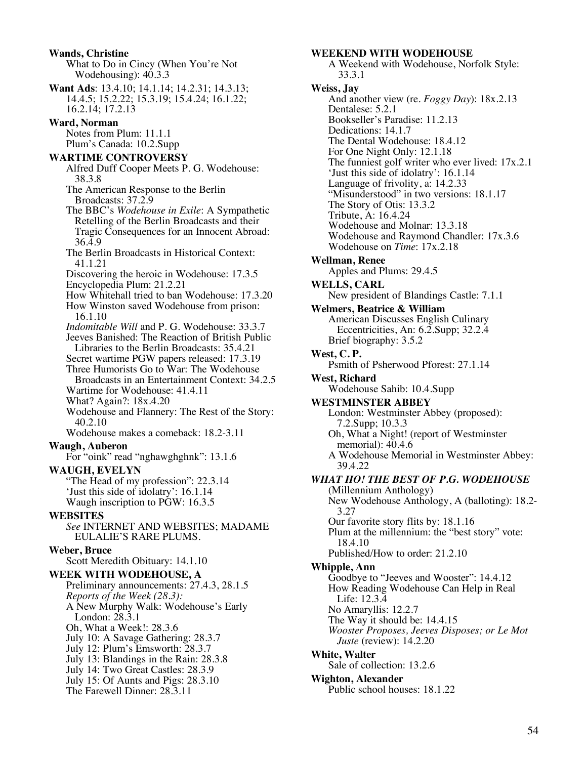**Wands, Christine** What to Do in Cincy (When You're Not Wodehousing): 40.3.3 **Want Ads**: 13.4.10; 14.1.14; 14.2.31; 14.3.13; 14.4.5; 15.2.22; 15.3.19; 15.4.24; 16.1.22; 16.2.14; 17.2.13 **Ward, Norman** Notes from Plum: 11.1.1 Plum's Canada: 10.2.Supp **WARTIME CONTROVERSY** Alfred Duff Cooper Meets P. G. Wodehouse: 38.3.8 The American Response to the Berlin Broadcasts: 37.2.9 The BBC's *Wodehouse in Exile*: A Sympathetic Retelling of the Berlin Broadcasts and their Tragic Consequences for an Innocent Abroad: 36.4.9 The Berlin Broadcasts in Historical Context: 41.1.21 Discovering the heroic in Wodehouse: 17.3.5 Encyclopedia Plum: 21.2.21 How Whitehall tried to ban Wodehouse: 17.3.20 How Winston saved Wodehouse from prison: 16.1.10 *Indomitable Will* and P. G. Wodehouse: 33.3.7 Jeeves Banished: The Reaction of British Public Libraries to the Berlin Broadcasts: 35.4.21 Secret wartime PGW papers released: 17.3.19 Three Humorists Go to War: The Wodehouse Broadcasts in an Entertainment Context: 34.2.5 Wartime for Wodehouse: 41.4.11 What? Again?: 18x.4.20 Wodehouse and Flannery: The Rest of the Story: 40.2.10 Wodehouse makes a comeback: 18.2-3.11 **Waugh, Auberon** For "oink" read "nghawghghnk": 13.1.6 **WAUGH, EVELYN** "The Head of my profession": 22.3.14 'Just this side of idolatry': 16.1.14 Waugh inscription to PGW: 16.3.5 **WEBSITES** *See* INTERNET AND WEBSITES; MADAME EULALIE'S RARE PLUMS. **Weber, Bruce** Scott Meredith Obituary: 14.1.10 **WEEK WITH WODEHOUSE, A** Preliminary announcements: 27.4.3, 28.1.5 *Reports of the Week (28.3):* A New Murphy Walk: Wodehouse's Early London: 28.3.1 Oh, What a Week!: 28.3.6 July 10: A Savage Gathering: 28.3.7 July 12: Plum's Emsworth: 28.3.7 July 13: Blandings in the Rain: 28.3.8 July 14: Two Great Castles: 28.3.9 July 15: Of Aunts and Pigs: 28.3.10 The Farewell Dinner: 28.3.11

#### **WEEKEND WITH WODEHOUSE**

A Weekend with Wodehouse, Norfolk Style: 33.3.1 **Weiss, Jay** And another view (re. *Foggy Day*): 18x.2.13 Dentalese: 5.2.1 Bookseller's Paradise: 11.2.13 Dedications: 14.1.7 The Dental Wodehouse: 18.4.12 For One Night Only: 12.1.18 The funniest golf writer who ever lived: 17x.2.1 'Just this side of idolatry': 16.1.14 Language of frivolity, a: 14.2.33 "Misunderstood" in two versions: 18.1.17 The Story of Otis: 13.3.2 Tribute, A: 16.4.24 Wodehouse and Molnar: 13.3.18 Wodehouse and Raymond Chandler: 17x.3.6 Wodehouse on *Time*: 17x.2.18 **Wellman, Renee** Apples and Plums: 29.4.5 **WELLS, CARL** New president of Blandings Castle: 7.1.1 **Welmers, Beatrice & William** American Discusses English Culinary Eccentricities, An: 6.2.Supp; 32.2.4 Brief biography: 3.5.2 **West, C. P.** Psmith of Psherwood Pforest: 27.1.14 **West, Richard** Wodehouse Sahib: 10.4.Supp **WESTMINSTER ABBEY** London: Westminster Abbey (proposed): 7.2.Supp; 10.3.3 Oh, What a Night! (report of Westminster memorial):  $40.4.6$ A Wodehouse Memorial in Westminster Abbey: 39.4.22 *WHAT HO! THE BEST OF P.G. WODEHOUSE* (Millennium Anthology) New Wodehouse Anthology, A (balloting): 18.2- 3.27 Our favorite story flits by: 18.1.16 Plum at the millennium: the "best story" vote: 18.4.10 Published/How to order: 21.2.10 **Whipple, Ann** Goodbye to "Jeeves and Wooster": 14.4.12 How Reading Wodehouse Can Help in Real Life: 12.3.4 No Amaryllis: 12.2.7 The Way it should be: 14.4.15 *Wooster Proposes, Jeeves Disposes; or Le Mot Juste* (review): 14.2.20 **White, Walter** Sale of collection: 13.2.6 **Wighton, Alexander** Public school houses: 18.1.22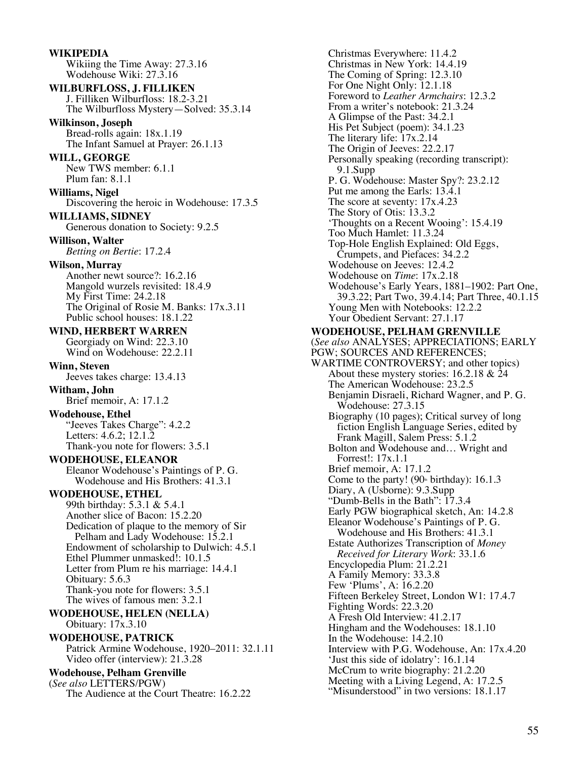**WIKIPEDIA** Wikiing the Time Away: 27.3.16 Wodehouse Wiki: 27.3.16 **WILBURFLOSS, J. FILLIKEN** J. Filliken Wilburfloss: 18.2-3.21 The Wilburfloss Mystery—Solved: 35.3.14 **Wilkinson, Joseph** Bread-rolls again: 18x.1.19 The Infant Samuel at Prayer: 26.1.13 **WILL, GEORGE** New TWS member: 6.1.1 Plum fan: 8.1.1 **Williams, Nigel** Discovering the heroic in Wodehouse: 17.3.5 **WILLIAMS, SIDNEY** Generous donation to Society: 9.2.5 **Willison, Walter** *Betting on Bertie*: 17.2.4 **Wilson, Murray** Another newt source?: 16.2.16 Mangold wurzels revisited: 18.4.9 My First Time: 24.2.18 The Original of Rosie M. Banks: 17x.3.11 Public school houses: 18.1.22 **WIND, HERBERT WARREN** Georgiady on Wind: 22.3.10 Wind on Wodehouse: 22.2.11 **Winn, Steven** Jeeves takes charge: 13.4.13 **Witham, John** Brief memoir, A: 17.1.2 **Wodehouse, Ethel** "Jeeves Takes Charge": 4.2.2 Letters: 4.6.2; 12.1.2 Thank-you note for flowers: 3.5.1 **WODEHOUSE, ELEANOR** Eleanor Wodehouse's Paintings of P. G. Wodehouse and His Brothers: 41.3.1 **WODEHOUSE, ETHEL** 99th birthday: 5.3.1 & 5.4.1 Another slice of Bacon: 15.2.20 Dedication of plaque to the memory of Sir Pelham and Lady Wodehouse: 15.2.1 Endowment of scholarship to Dulwich: 4.5.1 Ethel Plummer unmasked!: 10.1.5 Letter from Plum re his marriage: 14.4.1 Obituary: 5.6.3 Thank-you note for flowers: 3.5.1 The wives of famous men: 3.2.1 **WODEHOUSE, HELEN (NELLA)** Obituary: 17x.3.10 **WODEHOUSE, PATRICK** Patrick Armine Wodehouse, 1920–2011: 32.1.11 Video offer (interview): 21.3.28 **Wodehouse, Pelham Grenville** (*See also* LETTERS/PGW) The Audience at the Court Theatre: 16.2.22

Christmas Everywhere: 11.4.2 Christmas in New York: 14.4.19 The Coming of Spring: 12.3.10 For One Night Only: 12.1.18 Foreword to *Leather Armchairs*: 12.3.2 From a writer's notebook: 21.3.24 A Glimpse of the Past: 34.2.1 His Pet Subject (poem): 34.1.23 The literary life: 17x.2.14 The Origin of Jeeves: 22.2.17 Personally speaking (recording transcript): 9.1.Supp P. G. Wodehouse: Master Spy?: 23.2.12 Put me among the Earls: 13.4.1 The score at seventy: 17x.4.23 The Story of Otis: 13.3.2 'Thoughts on a Recent Wooing': 15.4.19 Too Much Hamlet: 11.3.24 Top-Hole English Explained: Old Eggs, Crumpets, and Piefaces: 34.2.2 Wodehouse on Jeeves: 12.4.2 Wodehouse on *Time*: 17x.2.18 Wodehouse's Early Years, 1881–1902: Part One, 39.3.22; Part Two, 39.4.14; Part Three, 40.1.15 Young Men with Notebooks: 12.2.2 Your Obedient Servant: 27.1.17 **WODEHOUSE, PELHAM GRENVILLE** (*See also* ANALYSES; APPRECIATIONS; EARLY PGW; SOURCES AND REFERENCES; WARTIME CONTROVERSY; and other topics) About these mystery stories: 16.2.18 & 24 The American Wodehouse: 23.2.5 Benjamin Disraeli, Richard Wagner, and P. G. Wodehouse: 27.3.15 Biography (10 pages); Critical survey of long fiction English Language Series, edited by Frank Magill, Salem Press: 5.1.2 Bolton and Wodehouse and… Wright and Forrest!: 17x.1.1 Brief memoir, A: 17.1.2 Come to the party! (90<sup>th</sup> birthday): 16.1.3 Diary, A (Usborne): 9.3.Supp "Dumb-Bells in the Bath": 17.3.4 Early PGW biographical sketch, An: 14.2.8 Eleanor Wodehouse's Paintings of P. G. Wodehouse and His Brothers: 41.3.1 Estate Authorizes Transcription of *Money Received for Literary Work*: 33.1.6 Encyclopedia Plum: 21.2.21 A Family Memory: 33.3.8 Few 'Plums', A: 16.2.20 Fifteen Berkeley Street, London W1: 17.4.7 Fighting Words: 22.3.20 A Fresh Old Interview: 41.2.17 Hingham and the Wodehouses: 18.1.10 In the Wodehouse: 14.2.10 Interview with P.G. Wodehouse, An: 17x.4.20 'Just this side of idolatry': 16.1.14 McCrum to write biography: 21.2.20 Meeting with a Living Legend, A: 17.2.5 "Misunderstood" in two versions: 18.1.17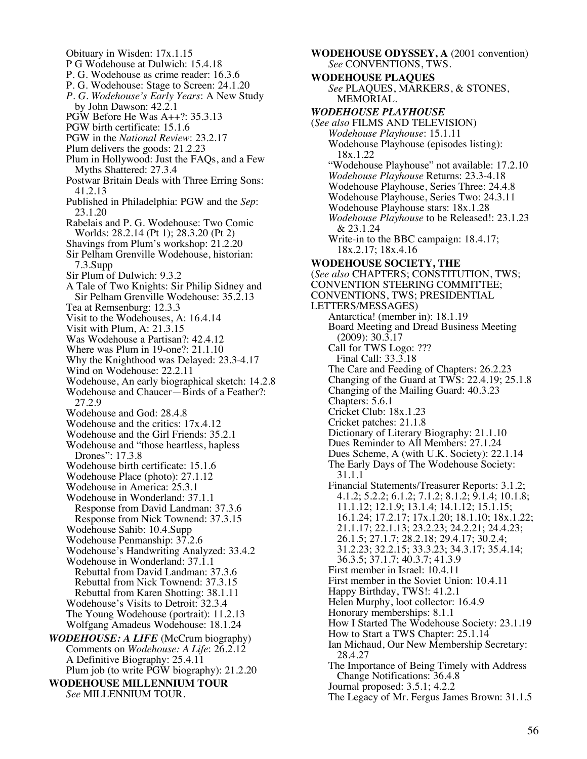Obituary in Wisden: 17x.1.15 P G Wodehouse at Dulwich: 15.4.18 P. G. Wodehouse as crime reader: 16.3.6 P. G. Wodehouse: Stage to Screen: 24.1.20 *P. G. Wodehouse's Early Years*: A New Study by John Dawson: 42.2.1 PGW Before He Was A++?: 35.3.13 PGW birth certificate: 15.1.6 PGW in the *National Review*: 23.2.17 Plum delivers the goods: 21.2.23 Plum in Hollywood: Just the FAQs, and a Few Myths Shattered: 27.3.4 Postwar Britain Deals with Three Erring Sons: 41.2.13 Published in Philadelphia: PGW and the *Sep*: 23.1.20 Rabelais and P. G. Wodehouse: Two Comic Worlds: 28.2.14 (Pt 1); 28.3.20 (Pt 2) Shavings from Plum's workshop: 21.2.20 Sir Pelham Grenville Wodehouse, historian: 7.3.Supp Sir Plum of Dulwich: 9.3.2 A Tale of Two Knights: Sir Philip Sidney and Sir Pelham Grenville Wodehouse: 35.2.13 Tea at Remsenburg: 12.3.3 Visit to the Wodehouses, A: 16.4.14 Visit with Plum, A: 21.3.15 Was Wodehouse a Partisan?: 42.4.12 Where was Plum in 19-one?: 21.1.10 Why the Knighthood was Delayed: 23.3-4.17 Wind on Wodehouse: 22.2.11 Wodehouse, An early biographical sketch: 14.2.8 Wodehouse and Chaucer—Birds of a Feather?: 27.2.9 Wodehouse and God: 28.4.8 Wodehouse and the critics: 17x.4.12 Wodehouse and the Girl Friends: 35.2.1 Wodehouse and "those heartless, hapless Drones": 17.3.8 Wodehouse birth certificate: 15.1.6 Wodehouse Place (photo): 27.1.12 Wodehouse in America: 25.3.1 Wodehouse in Wonderland: 37.1.1 Response from David Landman: 37.3.6 Response from Nick Townend: 37.3.15 Wodehouse Sahib: 10.4.Supp Wodehouse Penmanship: 37.2.6 Wodehouse's Handwriting Analyzed: 33.4.2 Wodehouse in Wonderland: 37.1.1 Rebuttal from David Landman: 37.3.6 Rebuttal from Nick Townend: 37.3.15 Rebuttal from Karen Shotting: 38.1.11 Wodehouse's Visits to Detroit: 32.3.4 The Young Wodehouse (portrait): 11.2.13 Wolfgang Amadeus Wodehouse: 18.1.24 *WODEHOUSE: A LIFE* (McCrum biography) Comments on *Wodehouse: A Life*: 26.2.12 A Definitive Biography: 25.4.11 Plum job (to write PGW biography): 21.2.20 **WODEHOUSE MILLENNIUM TOUR** *See* MILLENNIUM TOUR.

**WODEHOUSE ODYSSEY, A** (2001 convention) *See* CONVENTIONS, TWS. **WODEHOUSE PLAQUES** *See* PLAQUES, MARKERS, & STONES, MEMORIAL. *WODEHOUSE PLAYHOUSE* (*See also* FILMS AND TELEVISION) *Wodehouse Playhouse*: 15.1.11 Wodehouse Playhouse (episodes listing): 18x.1.22 "Wodehouse Playhouse" not available: 17.2.10 *Wodehouse Playhouse* Returns: 23.3-4.18 Wodehouse Playhouse, Series Three: 24.4.8 Wodehouse Playhouse, Series Two: 24.3.11 Wodehouse Playhouse stars: 18x.1.28 *Wodehouse Playhouse* to be Released!: 23.1.23 & 23.1.24 Write-in to the BBC campaign: 18.4.17; 18x.2.17; 18x.4.16 **WODEHOUSE SOCIETY, THE** (*See also* CHAPTERS; CONSTITUTION, TWS; CONVENTION STEERING COMMITTEE; CONVENTIONS, TWS; PRESIDENTIAL LETTERS/MESSAGES) Antarctica! (member in): 18.1.19 Board Meeting and Dread Business Meeting (2009): 30.3.17 Call for TWS Logo: ??? Final Call: 33.3.18 The Care and Feeding of Chapters: 26.2.23 Changing of the Guard at TWS: 22.4.19; 25.1.8 Changing of the Mailing Guard: 40.3.23 Chapters: 5.6.1 Cricket Club: 18x.1.23 Cricket patches: 21.1.8 Dictionary of Literary Biography: 21.1.10 Dues Reminder to All Members: 27.1.24 Dues Scheme, A (with U.K. Society): 22.1.14 The Early Days of The Wodehouse Society: 31.1.1 Financial Statements/Treasurer Reports: 3.1.2; 4.1.2; 5.2.2; 6.1.2; 7.1.2; 8.1.2; 9.1.4; 10.1.8; 11.1.12; 12.1.9; 13.1.4; 14.1.12; 15.1.15; 16.1.24; 17.2.17; 17x.1.20; 18.1.10; 18x.1.22; 21.1.17; 22.1.13; 23.2.23; 24.2.21; 24.4.23; 26.1.5; 27.1.7; 28.2.18; 29.4.17; 30.2.4; 31.2.23; 32.2.15; 33.3.23; 34.3.17; 35.4.14; 36.3.5; 37.1.7; 40.3.7; 41.3.9 First member in Israel: 10.4.11 First member in the Soviet Union: 10.4.11 Happy Birthday, TWS!: 41.2.1 Helen Murphy, loot collector: 16.4.9 Honorary memberships: 8.1.1 How I Started The Wodehouse Society: 23.1.19 How to Start a TWS Chapter: 25.1.14 Ian Michaud, Our New Membership Secretary: 28.4.27 The Importance of Being Timely with Address Change Notifications: 36.4.8 Journal proposed: 3.5.1; 4.2.2 The Legacy of Mr. Fergus James Brown: 31.1.5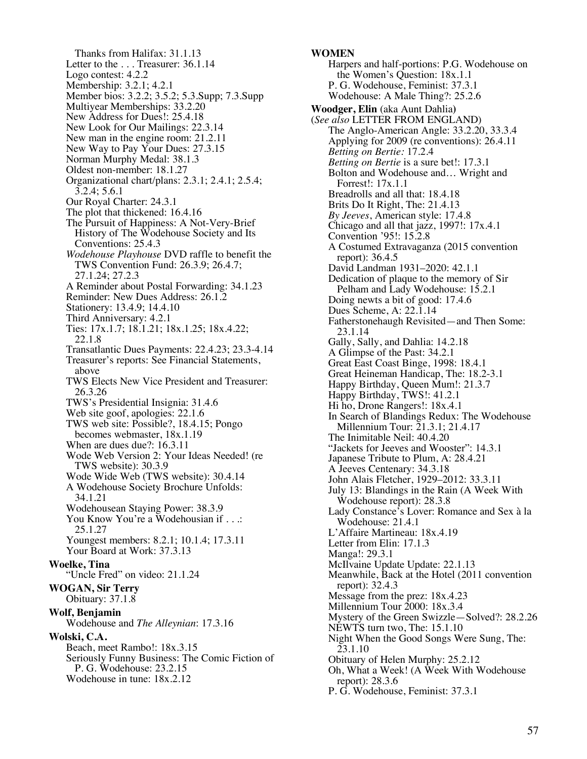Thanks from Halifax: 31.1.13 Letter to the ... Treasurer: 36.1.14 Logo contest: 4.2.2 Membership: 3.2.1; 4.2.1 Member bios: 3.2.2; 3.5.2; 5.3.Supp; 7.3.Supp Multiyear Memberships: 33.2.20 New Address for Dues!: 25.4.18 New Look for Our Mailings: 22.3.14 New man in the engine room: 21.2.11 New Way to Pay Your Dues: 27.3.15 Norman Murphy Medal: 38.1.3 Oldest non-member: 18.1.27 Organizational chart/plans: 2.3.1; 2.4.1; 2.5.4; 3.2.4; 5.6.1 Our Royal Charter: 24.3.1 The plot that thickened: 16.4.16 The Pursuit of Happiness: A Not-Very-Brief History of The Wodehouse Society and Its Conventions: 25.4.3 *Wodehouse Playhouse* DVD raffle to benefit the TWS Convention Fund: 26.3.9; 26.4.7; 27.1.24; 27.2.3 A Reminder about Postal Forwarding: 34.1.23 Reminder: New Dues Address: 26.1.2 Stationery: 13.4.9; 14.4.10 Third Anniversary: 4.2.1 Ties: 17x.1.7; 18.1.21; 18x.1.25; 18x.4.22; 22.1.8 Transatlantic Dues Payments: 22.4.23; 23.3-4.14 Treasurer's reports: See Financial Statements, above TWS Elects New Vice President and Treasurer: 26.3.26 TWS's Presidential Insignia: 31.4.6 Web site goof, apologies: 22.1.6 TWS web site: Possible?, 18.4.15; Pongo becomes webmaster, 18x.1.19 When are dues due?: 16.3.11 Wode Web Version 2: Your Ideas Needed! (re TWS website): 30.3.9 Wode Wide Web (TWS website): 30.4.14 A Wodehouse Society Brochure Unfolds: 34.1.21 Wodehousean Staying Power: 38.3.9 You Know You're a Wodehousian if . . .: 25.1.27 Youngest members: 8.2.1; 10.1.4; 17.3.11 Your Board at Work: 37.3.13 **Woelke, Tina** "Uncle Fred" on video: 21.1.24 **WOGAN, Sir Terry** Obituary: 37.1.8 **Wolf, Benjamin** Wodehouse and *The Alleynian*: 17.3.16 **Wolski, C.A.** Beach, meet Rambo!: 18x.3.15 Seriously Funny Business: The Comic Fiction of P. G. Wodehouse: 23.2.15 Wodehouse in tune: 18x.2.12

#### **WOMEN**

Harpers and half-portions: P.G. Wodehouse on the Women's Question: 18x.1.1 P. G. Wodehouse, Feminist: 37.3.1 Wodehouse: A Male Thing?: 25.2.6 **Woodger, Elin** (aka Aunt Dahlia**)** (*See also* LETTER FROM ENGLAND) The Anglo-American Angle: 33.2.20, 33.3.4 Applying for 2009 (re conventions): 26.4.11 *Betting on Bertie:* 17.2.4 *Betting on Bertie* is a sure bet!: 17.3.1 Bolton and Wodehouse and… Wright and Forrest!: 17x.1.1 Breadrolls and all that: 18.4.18 Brits Do It Right, The: 21.4.13 *By Jeeves*, American style: 17.4.8 Chicago and all that jazz, 1997!: 17x.4.1 Convention '95!: 15.2.8 A Costumed Extravaganza (2015 convention report): 36.4.5 David Landman 1931–2020: 42.1.1 Dedication of plaque to the memory of Sir Pelham and Lady Wodehouse: 15.2.1 Doing newts a bit of good: 17.4.6 Dues Scheme, A: 22.1.14 Fatherstonehaugh Revisited—and Then Some: 23.1.14 Gally, Sally, and Dahlia: 14.2.18 A Glimpse of the Past: 34.2.1 Great East Coast Binge, 1998: 18.4.1 Great Heineman Handicap, The: 18.2-3.1 Happy Birthday, Queen Mum!: 21.3.7 Happy Birthday, TWS!: 41.2.1 Hi ho, Drone Rangers!: 18x.4.1 In Search of Blandings Redux: The Wodehouse Millennium Tour: 21.3.1; 21.4.17 The Inimitable Neil: 40.4.20 "Jackets for Jeeves and Wooster": 14.3.1 Japanese Tribute to Plum, A: 28.4.21 A Jeeves Centenary: 34.3.18 John Alais Fletcher, 1929–2012: 33.3.11 July 13: Blandings in the Rain (A Week With Wodehouse report): 28.3.8 Lady Constance<sup>5</sup>s Lover: Romance and Sex à la Wodehouse: 21.4.1 L'Affaire Martineau: 18x.4.19 Letter from Elin: 17.1.3 Manga!: 29.3.1 McIlvaine Update Update: 22.1.13 Meanwhile, Back at the Hotel (2011 convention report): 32.4.3 Message from the prez: 18x.4.23 Millennium Tour 2000: 18x.3.4 Mystery of the Green Swizzle—Solved?: 28.2.26 NEWTS turn two, The: 15.1.10 Night When the Good Songs Were Sung, The: 23.1.10 Obituary of Helen Murphy: 25.2.12 Oh, What a Week! (A Week With Wodehouse report): 28.3.6 P. G. Wodehouse, Feminist: 37.3.1